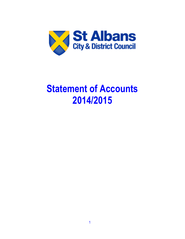

# **Statement of Accounts 2014/2015**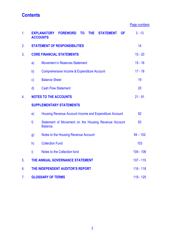### **Contents**

| Page numbers |
|--------------|
|--------------|

| 1.             |                              | <b>EXPLANATORY FOREWORD</b><br><b>TO</b><br>THE.<br><b>STATEMENT</b><br><b>OF</b><br><b>ACCOUNTS</b> | $3 - 13$    |  |  |  |  |
|----------------|------------------------------|------------------------------------------------------------------------------------------------------|-------------|--|--|--|--|
| 2.             |                              | <b>STATEMENT OF RESPONSIBILITIES</b>                                                                 | 14          |  |  |  |  |
| 3.             |                              | <b>CORE FINANCIAL STATEMENTS</b>                                                                     | $15 - 20$   |  |  |  |  |
|                | a)                           | <b>Movement in Reserves Statement</b>                                                                | $15 - 16$   |  |  |  |  |
|                | b)                           | Comprehensive Income & Expenditure Account                                                           | $17 - 18$   |  |  |  |  |
|                | $\mathsf{c})$                | <b>Balance Sheet</b>                                                                                 | 19          |  |  |  |  |
|                | $\mathsf{d}$                 | <b>Cash Flow Statement</b>                                                                           | 20          |  |  |  |  |
| 4.             | <b>NOTES TO THE ACCOUNTS</b> |                                                                                                      |             |  |  |  |  |
|                |                              | <b>SUPPLEMENTARY STATEMENTS</b>                                                                      |             |  |  |  |  |
|                | e)                           | Housing Revenue Account Income and Expenditure Account                                               | 92          |  |  |  |  |
|                | f                            | Statement of Movement on the Housing Revenue Account<br>Balance.                                     | 93          |  |  |  |  |
|                | g)                           | Notes to the Housing Revenue Account                                                                 | $94 - 102$  |  |  |  |  |
|                | h)                           | <b>Collection Fund</b>                                                                               | 103         |  |  |  |  |
|                | i)                           | Notes to the Collection fund                                                                         | $104 - 106$ |  |  |  |  |
| 5 <sub>1</sub> |                              | THE ANNUAL GOVERNANCE STATEMENT                                                                      | $107 - 115$ |  |  |  |  |
| 6.             |                              | THE INDEPENDENT AUDITOR'S REPORT                                                                     | $116 - 118$ |  |  |  |  |
| 7 <sub>1</sub> |                              | <b>GLOSSARY OF TERMS</b>                                                                             | $119 - 125$ |  |  |  |  |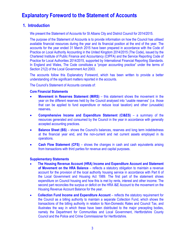### **1. Introduction**

We present the Statement of Accounts for St Albans City and District Council for 2014/2015.

The purpose of the Statement of Accounts is to provide information on how the Council has utilised available financial resources during the year and its financial position at the end of the year. The accounts for the year ended 31 March 2015 have been prepared in accordance with the Code of Practice on Local Authority Accounting in the United Kingdom 2014/2015 (The Code), issued by the Chartered Institute of Public Finance and Accountancy (CIPFA) and the Service Reporting Code of Practice for Local Authorities 2014/2015, supported by International Financial Reporting Standards. In England and Wales, The Code constitutes a "proper accounting practice" under the terms of Section 21(2) of the Local Government Act 2003.

The accounts follow this Explanatory Foreword, which has been written to provide a better understanding of the significant matters reported in the accounts.

The Council's Statement of Accounts consists of:

#### **Core Financial Statements**

- **Movement in Reserves Statement (MiRS)**  this statement shows the movement in the year on the different reserves held by the Council analysed into "usable reserves" (i.e. those that can be applied to fund expenditure or reduce local taxation) and other (unusable) reserves**.**
- **Comprehensive Income and Expenditure Statement (CI&ES)**  a summary of the resources generated and consumed by the Council in the year in accordance with generally accepted accounting practices.
- **Balance Sheet (BS)** shows the Council's balances, reserves and long term indebtedness at the financial year end, and the non-current and net current assets employed in its operations.
- **Cash Flow Statement (CFS)**  shows the changes in cash and cash equivalents arising from transactions with third parties for revenue and capital purposes.

#### **Supplementary Statements**

- **The Housing Revenue Account (HRA) Income and Expenditure Account and Statement of Movement on the HRA Balance** – reflects a statutory obligation to maintain a revenue account for the provision of the local authority housing service in accordance with Part 6 of the Local Government and Housing Act 1989. The first part of the statement shows expenditure on Council housing and how this is met by rents, interest and other income. The second part reconciles the surplus or deficit on the HRA I&E Account to the movement on the Housing Revenue Account Balance for the year.
- **Collection Fund Income and Expenditure Account** reflects the statutory requirement for the Council as a billing authority to maintain a separate Collection Fund, which shows the transactions of the billing authority in relation to Non-Domestic Rates and Council Tax, and illustrates the way in which these have been distributed to the major precepting bodies, namely the Department for Communities and Local Government, Hertfordshire County Council and the Police and Crime Commissioner for Hertfordshire.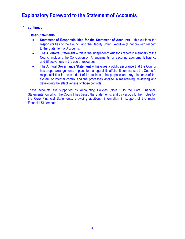#### **1. continued**

#### **Other Statements**

- **Statement of Responsibilities for the Statement of Accounts** this outlines the responsibilities of the Council and the Deputy Chief Executive (Finance) with respect to the Statement of Accounts.
- **The Auditor's Statement** this is the independent Auditor's report to members of the Council including the Conclusion on Arrangements for Securing Economy, Efficiency and Effectiveness in the use of resources.
- **The Annual Governance Statement** this gives a public assurance that the Council has proper arrangements in place to manage all its affairs. It summarises the Council's responsibilities in the conduct of its business, the purpose and key elements of the system of internal control and the processes applied in maintaining, reviewing and developing the effectiveness of those controls.

These accounts are supported by Accounting Policies (Note 1 to the Core Financial Statements) on which the Council has based the Statements, and by various further notes to the Core Financial Statements, providing additional information in support of the main Financial Statements.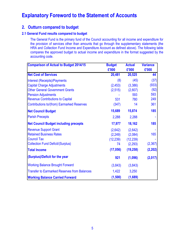### **2. Outturn compared to budget**

#### **2.1 General Fund results compared to budget**

The General Fund is the primary fund of the Council accounting for all income and expenditure for the provision of services other than amounts that go through the supplementary statements (the HRA and Collection Fund Income and Expenditure Account as defined above). The following table compares the approved budget to actual income and expenditure in the format suggested by the accounting code.

| <b>Comparison of Actual to Budget 2014/15</b>       | <b>Budget</b><br>£'000 | <b>Actual</b><br>£'000 | <b>Variance</b><br>£'000 |
|-----------------------------------------------------|------------------------|------------------------|--------------------------|
| <b>Net Cost of Services</b>                         | 20,481                 | 20,525                 | 44                       |
| <b>Interest (Receipts)/Payments</b>                 | (8)                    | (45)                   | (37)                     |
| <b>Capital Charge Adjustments</b>                   | (2, 453)               | (3,386)                | (933)                    |
| <b>Other General Government Grants</b>              | (2,515)                | (2,607)                | (92)                     |
| <b>Pension Adjustments</b>                          |                        | 593                    | 593                      |
| <b>Revenue Contributions to Capital</b>             | 531                    | 780                    | 249                      |
| <b>Contributions to/(from) Earmarked Reserves</b>   | (347)                  | 14                     | 361                      |
| <b>Net Council Budget</b>                           | 15,689                 | 15,874                 | 185                      |
| <b>Parish Precepts</b>                              | 2,288                  | 2,288                  |                          |
| <b>Net Council Budget including precepts</b>        | 17,977                 | 18,162                 | 185                      |
| <b>Revenue Support Grant</b>                        | (2,642)                | (2,642)                |                          |
| <b>Retained Business Rates</b>                      | (2, 249)               | (2,084)                | 165                      |
| <b>Council Tax</b>                                  | (12, 239)              | (12, 239)              |                          |
| <b>Collection Fund Deficit/(Surplus)</b>            | 74                     | (2,293)                | (2, 367)                 |
| <b>Total Income</b>                                 | (17, 056)              | (19, 258)              | (2, 202)                 |
| (Surplus)/Deficit for the year                      | 921                    | (1,096)                | (2,017)                  |
| <b>Working Balance Brought Forward</b>              | (3,843)                | (3,843)                |                          |
| <b>Transfer to Earmarked Reserves from Balances</b> | 1,422                  | 3,250                  |                          |
| <b>Working Balance Carried Forward</b>              | (1,500)                | (1,689)                |                          |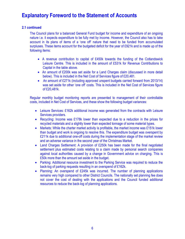#### **2.1 continued**

The Council plans for a balanced General Fund budget for income and expenditure of an ongoing nature i.e. it expects expenditure to be fully met by income. However, the Council also has to take account in its plans of items of a 'one off' nature that need to be funded from accumulated surpluses. These items account for the budgeted deficit for the year of £921k and is made up of the following items:

- A revenue contribution to capital of £450k towards the funding of the Cotlandswick Leisure Centre. This is included in the amount of £531k for Revenue Contributions to Capital in the table above.
- An amount of £200k was set aside for a Land Charges claim (discussed in more detail below). This is included in the Net Cost of Services figure of £20,481.
- An amount of £271k (including approved unspent budgets carried forward from 2013/14) was set aside for other 'one off' costs. This is included in the Net Cost of Services figure of £20,481k.

Regular monthly budget monitoring reports are presented to management of their controllable costs, included in Net Cost of Services, and these show the following budget variances:

- Leisure Services: £162k additional income was generated from the contracts with Leisure Services providers.
- Recycling: Income was £178k lower than expected due to a reduction in the prices for recycled materials and a slightly lower than expected tonnage of some material types.
- Markets: While the charter market activity is profitable, the market income was £151k lower than budget and work is ongoing to resolve this. The expenditure budget was overspent by £211k due to additional one-off costs during the implementation stage of the market review and an adverse variance in the second year of the Christmas Market.
- Land Charges Settlement: A provision of £250k has been made for the final negotiated settlement plus estimated costs relating to a claim made by personal search companies against local authorities caused by a change in Government advice on charging. This is £50k more than the amount set aside in the budget.
- Parking: Additional resource investment to the Parking Service was required to reduce the back-log of parking requests resulting in an overspend of £162k.
- Planning: An overspend of £245k was incurred. The number of planning applications remains very high compared to other District Councils. The nationally set planning fee does not cover the cost of dealing with the applications and the Council funded additional resources to reduce the back-log of planning applications.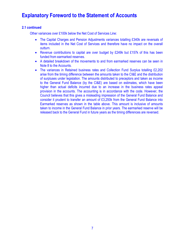#### **2.1 continued**

Other variances over £100k below the Net Cost of Services Line:

- The Capital Charges and Pension Adjustments variances totalling £340k are reversals of items included in the Net Cost of Services and therefore have no impact on the overall outturn.
- Revenue contributions to capital are over budget by £249k but £157k of this has been funded from earmarked reserves.
- A detailed breakdown of the movements to and from earmarked reserves can be seen in Note 8 to the Accounts.
- The variances in Retained business rates and Collection Fund Surplus totalling £2,202 arise from the timing difference between the amounts taken to the CI&E and the distribution of surpluses under legislation. The amounts distributed to preceptors and taken as income to the General Fund Balance (by the CI&E) are based on estimates, which have been higher than actual deficits incurred due to an increase in the business rates appeal provision in the accounts. The accounting is in accordance with the code. However, the Council believes that this gives a misleading impression of the General Fund Balance and consider it prudent to transfer an amount of £3,250k from the General Fund Balance into Earmarked reserves as shown in the table above. This amount is inclusive of amounts taken to income in the General Fund Balance in prior years. The earmarked reserve will be released back to the General Fund in future years as the timing differences are reversed.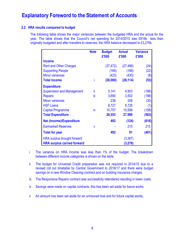#### **2.2 HRA results compared to budget**

The following table shows the major variances between the budgeted HRA and the actual for the year. The table shows that the Council's net spending for 2014/2015 was £616k less than originally budgeted and after transfers to reserves, the HRA balance decreased to £3,276k.

|                                    | <b>Note</b> | <b>Budget</b><br>£'000 | <b>Actual</b><br>£'000 | <b>Variance</b><br>£'000 |
|------------------------------------|-------------|------------------------|------------------------|--------------------------|
| <b>Income</b>                      |             |                        |                        |                          |
| <b>Rent and Other Charges</b>      |             | (27, 472)              | (27, 496)              | (24)                     |
| <b>Supporting People</b>           |             | (166)                  | (188)                  | (22)                     |
| <b>Minor variances</b>             |             | (423)                  | (430)                  | (8)                      |
| <b>Total Income</b>                | i           | (28,060)               | (28, 114)              | (53)                     |
| <b>Expenditure</b>                 |             |                        |                        |                          |
| <b>Supervision and Management</b>  | ii          | 5,141                  | 4,953                  | (186)                    |
| <b>Repairs</b>                     | Ϊij         | 3,690                  | 3,502                  | (188)                    |
| <b>Minor variances</b>             |             | 238                    | 208                    | (30)                     |
| <b>HSF Loans</b>                   |             | 8,727                  | 8,726                  | (1)                      |
| <b>Capital Programme</b>           | iv          | 10,757                 | 10,599                 | (158)                    |
| <b>Total Expenditure</b>           |             | 28,553                 | 27,989                 | (563)                    |
| <b>Net (Income)/Expenditure</b>    |             | 492                    | (124)                  | (616)                    |
| <b>Earmarked Reserves</b>          | V           |                        | 215                    | 215                      |
| <b>Total for year</b>              |             | 492                    | 91                     | (401)                    |
| HRA surplus brought forward        |             |                        | (3, 367)               |                          |
| <b>HRA surplus carried forward</b> |             |                        | (3,276)                |                          |

- i. The variance on HRA Income was less than 1% of the budget. The breakdown between different income categories is shown on the table.
- ii. The budget for Universal Credit preparation was not required in 2014/15 due to a revised roll out timetable by Central Government to 2016/17 and there were budget savings on a new Window Cleaning contract and on building insurance charges.
- iii. The Responsive Repairs contract was successfully retendered resulting in lower costs.
- iv Savings were made on capital contracts, this has been set aside for future works.
- v An amount has been set aside for an uninsured loss and for future capital works,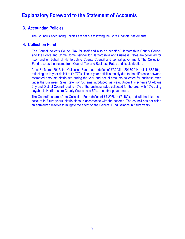### **3. Accounting Policies**

The Council's Accounting Policies are set out following the Core Financial Statements.

### **4. Collection Fund**

The Council collects Council Tax for itself and also on behalf of Hertfordshire County Council and the Police and Crime Commissioner for Hertfordshire and Business Rates are collected for itself and on behalf of Hertfordshire County Council and central government. The Collection Fund records the income from Council Tax and Business Rates and its distribution.

As at 31 March 2015, the Collection Fund had a deficit of £7,298k, (2013/2014 deficit £2,519k), reflecting an in-year deficit of £4,779k. The in-year deficit is mainly due to the difference between estimated amounts distributed during the year and actual amounts collected for business rates under the Business Rates Retention Scheme introduced last year. Under this scheme St Albans City and District Council retains 40% of the business rates collected for the area with 10% being payable to Hertfordshire County Council and 50% to central government.

The Council's share of the Collection Fund deficit of £7,298k is £3,480k, and will be taken into account in future years' distributions in accordance with the scheme. The council has set aside an earmarked reserve to mitigate the effect on the General Fund Balance in future years.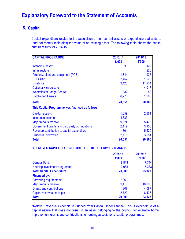### **5. Capital**

Capital expenditure relates to the acquisition of non-current assets or expenditure that adds to (and not merely maintains) the value of an existing asset. The following table shows the capital outturn results for 2014/15.

| <b>CAPITAL PROGRAMME</b>                                 | 2013/14          | 2014/15          |
|----------------------------------------------------------|------------------|------------------|
|                                                          | £'000            | £'000            |
| Intangible assets                                        | 33               | 122              |
| Infrastructure                                           |                  | 226              |
| Property, plant and equipment (PPE)                      | 1,844            | 925              |
| <b>REFCUS*</b>                                           | 2,452            | 1,573            |
| <b>Dwellings</b>                                         | 9,120            | 11,934           |
| <b>Cotlandswick Leisure</b>                              |                  | 4,017            |
| <b>Westminster Lodge Centre</b>                          | 832              | 88               |
| <b>Batchwood Leisure</b>                                 | 6,270            | 1,280            |
| <b>Total</b>                                             | 20,551           | 20,165           |
| This Capital Programme was financed as follows:          |                  |                  |
| <b>Capital receipts</b>                                  | 1,359            | 2,361            |
| <b>Insurance Income</b>                                  | 4,333            |                  |
| Major repairs reserve                                    | 9,824            | 5,475            |
| Government grants and third party contributions          | 2,119            | 3,158            |
| Revenue contribution to capital expenditure              | 801              | 5,520            |
| <b>Prudential borrowing</b>                              | 2,115            | 3,651            |
| <b>Total</b>                                             | 20,551           | 20,165           |
| APPROVED CAPITAL EXPENDITURE FOR THE FOLLOWING YEARS IS: |                  |                  |
|                                                          | 2015/16<br>£'000 | 2016/17<br>£'000 |
| <b>General Fund</b>                                      | 8,813            | 7,744            |
| Housing investment programme                             | 12,088           | 15,383           |
| <b>Total Capital Expenditure</b>                         | 20,900           | 23,127           |
| <b>Financed by:</b>                                      |                  |                  |
| <b>Borrowing requirements</b>                            | 7,961            |                  |
| Major repairs reserve                                    | 9,413            | 10,603           |
| <b>Grants and contributions</b>                          | 807              | 4,087            |
| Capital reserves / receipts                              | 2,720            | 8,437            |
| <b>Total</b>                                             | 20,900           | 23,127           |

\*Refcus: Revenue Expenditure Funded from Capital Under Statute. This is expenditure of a capital nature that does not result in an asset belonging to the council, for example home improvement grants and contributions to housing associations' capital programmes.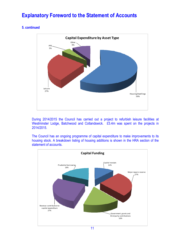### **5. continued**



During 2014/2015 the Council has carried out a project to refurbish leisure facilities at Westminster Lodge, Batchwood and Cotlandswick. £5.4m was spent on the projects in 2014/2015.

The Council has an ongoing programme of capital expenditure to make improvements to its housing stock. A breakdown listing of housing additions is shown in the HRA section of the statement of accounts.

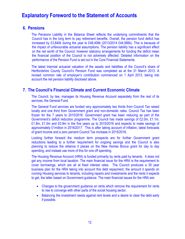### **6. Pensions**

The Pensions Liability in the Balance Sheet reflects the underlying commitments that the Council has in the long term to pay retirement benefits. Overall, the pension fund deficit has increased by £3,840k during the year to £48,406k (2013/2014 £44,566k). This is because of the impact of unfavourable actuarial assumptions. The pension liability has a significant effect on the net worth of the Council, however statutory arrangements for funding the deficit mean the financial position of the Council is not adversely affected. Detailed information on the performance of the Pension Fund is set out in the Core Financial Statements.

The latest triennial actuarial valuation of the assets and liabilities of the Council's share of Hertfordshire County Council's Pension Fund was completed as at the 31 March 2013. A revised common rate of employer's contribution commenced on 1 April 2013, taking into account the net pension liability disclosed above.

### **7. The Council's Financial Climate and Current Economic Climate**

The Council, by law, manages its Housing Revenue Account separately from the rest of its services, the General Fund.

The General Fund services are funded very approximately two thirds from Council Tax raised locally and one third from Government grant and non-domestic rates. Council Tax has been frozen for the 7 years to 2015/2016. Government grant has been reducing as part of the Government's deficit reduction programme. The Council has made savings of £2.0m, £1.1m, £1.8m, £1.0m and £0.9m in the five years up to 2015/2016 and expects to make savings of approximately £1million in 2016/2017. This is after taking account of inflation, latest forecasts of grant income and a zero percent Council Tax increase in 2015/2016.

Looking further forward the medium term prospects are for further Government grant reductions leading to a further requirement for ongoing savings and the Council is also planning to reduce the reliance it places on the New Homes Bonus grant for day to day spending, and instead use more of this for one off spending.

The Housing Revenue Account (HRA) is funded primarily by rents paid by tenants. It does not get any income from local taxation. The main financial issue for the HRA is the requirement to cover borrowings, which are all at fixed interest rates. The Council produces a 30 year business plan for the HRA taking into account this debt repayment, the amount it spends on running Housing services to tenants, including repairs and investments and the rents it expects to get, the latter based on Government guidance. The main financial issues for the HRA are:

- Changes to the government guidance on rents which remove the requirement for rents to rise to converge with other parts of the social housing sector.
- Balancing the investment needs against rent levels and a desire to clear the debt early if possible.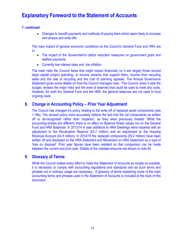### **7. continued**

• Changes to benefit payments and methods of paying them which seem likely to increase rent arrears and write offs.

The main impact of general economic conditions on the Council's General Fund and HRA are in:

- The impact of the Government's deficit reduction measures on government grant and welfare payments
- Currently low interest rates and low inflation.

The main risks the Council faces that might impact financially on it are largely those around large capital project spending, or income streams that support them, income from recycling sales and the rate of recycling and the cost of planning appeals. The Annual Governance Statement gives some details on how the Council manages risks. The Council, when it sets the budget, reviews the major risks and the level of reserves that could be used to meet any costs. However, for both the General Fund and the HRA, the general balances are not used to fund ongoing costs.

### **8. Change in Accounting Policy – Prior Year Adjustment**

The Council has changed it's policy relating to the write off of replaced asset components (see 1.18e). The revised policy more accurately reflects the fact that the old components as written off or de-recognised rather than 'impaired', as they were previously treated. While the accounting entries are different, there is no effect on Balance Sheet values nor on the General Fund and HRA Balances. In 2013/14 in year additions to HRA Dwellings were impaired with an adjustment to the Revaluation Reserve (£4.7 million) and an adjustment to the Housing Revenue Account (£4.5 million). In 2014/15 the replaced components (£9.2 million) have been written off and disclosed on the HRA Statement and Movement on HRA Statement as a type of 'loss on disposal'. Prior year figures have been restated so that comparison can be made between the current and prior year. Details of the restated amounts are shown in note 44.

### **9. Glossary of Terms**

While the Council makes every effort to make the Statement of Accounts as simple as possible, it is necessary to comply with accounting regulations and standards and as such terms and phrases not in ordinary usage are necessary. A glossary of terms explaining some of the main accounting terms and phrases used in the Statement of Accounts is included at the back of this document.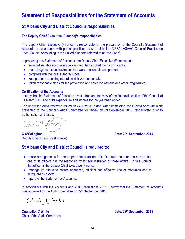# **Statement of Responsibilities for the Statement of Accounts**

### **St Albans City and District Council's responsibilities**

#### **The Deputy Chief Executive (Finance)'s responsibilities**

The Deputy Chief Executive (Finance) is responsible for the preparation of the Council's Statement of Accounts in accordance with proper practices as set out in the CIPFA/LASAAC Code of Practice on Local Council Accounting in the United Kingdom referred to as 'the Code'.

In preparing this Statement of Accounts, the Deputy Chief Executive (Finance) has:

- selected suitable accounting policies and then applied them consistently.
- made judgements and estimates that were reasonable and prudent.
- complied with the local authority Code.
- kept proper accounting records which were up to date.
- taken reasonable steps for the prevention and detection of fraud and other irregularities.

#### **Certification of the Accounts**

I certify that the Statement of Accounts gives a true and fair view of the financial position of the Council at 31 March 2015 and of its expenditure and income for the year then ended.

The unaudited Accounts were issued on 24 June 2015 and, when completed, the audited Accounts were presented to the Council's Audit Committee for review on 29 September 2015, respectively, prior to authorisation and issue.

n O'Calle

**C O'Callaghan Date: 29<sup>th</sup> September, 2015** 

Deputy Chief Executive (Finance)

### **St Albans City and District Council is required to:**

- make arrangements for the proper administration of its financial affairs and to ensure that one of its officers has the responsibility for administration of those affairs. In this Council that officer is the Deputy Chief Executive (Finance).
- manage its affairs to secure economic, efficient and effective use of resources and to safeguard its assets;
- approve the Statement of Accounts.

In accordance with the Accounts and Audit Regulations 2011, I certify that the Statement of Accounts was approved by the Audit Committee on 29<sup>th</sup> September, 2015.

ani White

**Councillor C White Date: 29<sup>th</sup> September, 2015** Chair of the Audit Committee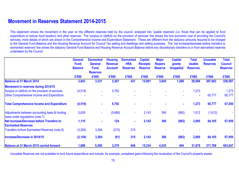### **Movement in Reserves Statement 2014-2015**

This statement shows the movement in the year on the different reserves held by the council, analysed into 'usable reserves' (i.e. those that can be applied to fund expenditure or reduce local taxation) and other reserves. The 'surplus or (deficit) on the provision of services' line shows the true economic cost of providing the Council's services, more details of which are shown in the Comprehensive Income and Expenditure Statement. These are different from the statutory amounts required to be charged to the General Fund Balance and the Housing Revenue Account for Council Tax setting and dwellings rent setting purposes. The 'net increase/decrease before transfers to earmarked reserves' line shows the statutory General Fund Balance and Housing Revenue Account Balance before any discretionary transfers to or from earmarked reserves undertaken by the Council.

|                                                                                    | <b>General</b><br><b>Fund</b><br><b>Balance</b> | <b>Earmarked</b><br><b>General</b><br><b>Fund</b><br><b>Reserves</b> | <b>Housing</b><br><b>Revenue</b><br><b>Account</b> | <b>Earmarked</b><br><b>HRA</b><br><b>Reserves</b> | <b>Capital</b><br><b>Receipts</b><br><b>Reserve</b> | <b>Major</b><br><b>Repairs</b><br><b>Reserve</b> | <b>Capital</b><br>grants<br><b>Unapplied</b> | <b>Total</b><br><b>Usable</b><br><b>Reserves</b> | <b>Unusable</b><br><b>Reserves</b> | <b>Total</b><br><b>Council</b><br><b>Reserves</b> |
|------------------------------------------------------------------------------------|-------------------------------------------------|----------------------------------------------------------------------|----------------------------------------------------|---------------------------------------------------|-----------------------------------------------------|--------------------------------------------------|----------------------------------------------|--------------------------------------------------|------------------------------------|---------------------------------------------------|
|                                                                                    | £'000                                           | £'000                                                                | £'000                                              | £'000                                             | £'000                                               | £'000                                            | £'000                                        | £'000                                            | £'000                              | £'000                                             |
| <b>Balance at 31 March 2014</b>                                                    | 3,843                                           | 3,331                                                                | 3,367                                              | 431                                               | 13,091                                              | 3,645                                            | 1,286                                        | 28,994                                           | 307,603                            | 336,597                                           |
| <b>Movement in reserves during 2014/15</b>                                         |                                                 |                                                                      |                                                    |                                                   |                                                     |                                                  |                                              |                                                  |                                    |                                                   |
| Surplus or (deficit) on the provision of services                                  | (4, 519)                                        | $\overline{\phantom{a}}$                                             | 5,792                                              |                                                   |                                                     |                                                  | $\overline{\phantom{a}}$                     | 1,273                                            |                                    | 1,273                                             |
| <b>Other Comprehensive Income and Expenditure</b>                                  |                                                 |                                                                      |                                                    |                                                   |                                                     |                                                  |                                              | $\blacksquare$                                   | 65,777                             | 65,777                                            |
| <b>Total Comprehensive Income and Expenditure</b>                                  | (4, 519)                                        | $\blacksquare$                                                       | 5,792                                              |                                                   |                                                     | ٠                                                | $\blacksquare$                               | 1,273                                            | 65,777                             | 67,050                                            |
| Adjustments between accounting basis & funding<br>basis under regulations (note 7) | 5,629                                           | $\blacksquare$                                                       | (5,668)                                            | $\blacksquare$                                    | 2,143                                               | 390                                              | (882)                                        | 1,612                                            | (1,612)                            |                                                   |
| Net Increase/Decrease before Transfers to<br><b>Earmarked Reserves</b>             | 1,110                                           |                                                                      | 124                                                | $\blacksquare$                                    | 2,143                                               | 390                                              | (882)                                        | 2,885                                            | 64,165                             | 67,050                                            |
| Transfers to/from Earmarked Reserves (note 8)                                      | (3,264)                                         | 3,264                                                                | (215)                                              | 215                                               |                                                     |                                                  |                                              |                                                  |                                    |                                                   |
| Increase/Decrease in 2014/15                                                       | (2, 154)                                        | 3,264                                                                | (91)                                               | 215                                               | 2,143                                               | 390                                              | (882)                                        | 2,885                                            | 64,165                             | 67,050                                            |
| <b>Balance at 31 March 2015 carried forward</b>                                    | 1,689                                           | 6,595                                                                | 3,276                                              | 646                                               | 15,234                                              | 4,035                                            | 404                                          | 31,879                                           | 371,768                            | 403,647                                           |

Unusable Reserves are not available to fund future expenditure and include, for example, unrealised gains following the revaluation of the Council's property assets.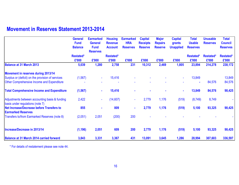# **Movement in Reserves Statement 2013-2014**

|                                                                                    | <b>General</b><br><b>Fund</b><br><b>Balance</b> | <b>Earmarked</b><br><b>General</b><br><b>Fund</b><br><b>Reserves</b> | <b>Housing</b><br><b>Revenue</b><br><b>Account</b> | <b>Earmarked</b><br><b>HRA</b><br><b>Reserves</b> | <b>Capital</b><br><b>Receipts</b><br><b>Reserve</b> | <b>Major</b><br><b>Repairs</b><br><b>Reserve</b> | <b>Capital</b><br>grants<br><b>Unapplied</b> | <b>Total</b><br><b>Usable</b><br><b>Reserves</b> | <b>Unusable</b><br><b>Reserves</b> | <b>Total</b><br><b>Council</b><br><b>Reserves</b> |
|------------------------------------------------------------------------------------|-------------------------------------------------|----------------------------------------------------------------------|----------------------------------------------------|---------------------------------------------------|-----------------------------------------------------|--------------------------------------------------|----------------------------------------------|--------------------------------------------------|------------------------------------|---------------------------------------------------|
|                                                                                    | <b>Restated*</b><br>£'000                       | £'000                                                                | <b>Restated*</b><br>£'000                          | £'000                                             | £'000                                               | £'000                                            | £'000                                        | Restated*<br>£'000                               | Restated*<br>£'000                 | Restated*<br>£'000                                |
| <b>Balance at 31 March 2013</b>                                                    | 5,039                                           | 1,280                                                                | 2,758                                              | 231                                               | 10,312                                              | 2,469                                            | 1,805                                        | 23,894                                           | 214,278                            | 238,172                                           |
| Movement in reserves during 2013/14                                                |                                                 |                                                                      |                                                    |                                                   |                                                     |                                                  |                                              |                                                  |                                    |                                                   |
| Surplus or (deficit) on the provision of services                                  | (1, 567)                                        |                                                                      | 15,416                                             |                                                   |                                                     |                                                  | $\blacksquare$                               | 13,849                                           |                                    | 13,849                                            |
| Other Comprehensive Income and Expenditure                                         |                                                 |                                                                      |                                                    |                                                   |                                                     |                                                  |                                              |                                                  | 84,576                             | 84,576                                            |
| <b>Total Comprehensive Income and Expenditure</b>                                  | (1, 567)                                        |                                                                      | 15,416                                             |                                                   |                                                     |                                                  | ٠                                            | 13,849                                           | 84,576                             | 98,425                                            |
| Adjustments between accounting basis & funding<br>basis under regulations (note 7) | 2,422                                           | $\sim$                                                               | (14,607)                                           | $\blacksquare$                                    | 2,779                                               | 1,176                                            | (519)                                        | (8, 749)                                         | 8,749                              |                                                   |
| Net Increase/Decrease before Transfers to<br><b>Earmarked Reserves</b>             | 855                                             | $\blacksquare$                                                       | 809                                                | $\blacksquare$                                    | 2,779                                               | 1,176                                            | (519)                                        | 5,100                                            | 93,325                             | 98,425                                            |
| Transfers to/from Earmarked Reserves (note 8)                                      | (2,051)                                         | 2,051                                                                | (200)                                              | 200                                               |                                                     |                                                  |                                              |                                                  |                                    |                                                   |
| Increase/Decrease in 2013/14                                                       | (1, 196)                                        | 2,051                                                                | 609                                                | 200                                               | 2,779                                               | 1,176                                            | (519)                                        | 5,100                                            | 93,325                             | 98,425                                            |
| <b>Balance at 31 March 2014 carried forward</b>                                    | 3,843                                           | 3,331                                                                | 3,367                                              | 431                                               | 13,091                                              | 3,645                                            | 1,286                                        | 28,994                                           | 307,603                            | 336,597                                           |

\* For details of restatement please see note 44.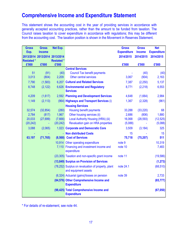# **Comprehensive Income and Expenditure Statement**

This statement shows the accounting cost in the year of providing services in accordance with generally accepted accounting practices, rather than the amount to be funded from taxation. The Council raises taxation to cover expenditure in accordance with regulations; this may be different from the accounting cost. The taxation position is shown in the Movement in Reserves Statement.

| <b>Gross</b>                  | <b>Gross</b>  | Net Exp.          |                                                                            | <b>Gross</b>       | <b>Gross</b>  | <b>Net</b>         |
|-------------------------------|---------------|-------------------|----------------------------------------------------------------------------|--------------------|---------------|--------------------|
| Exp.                          | <b>Income</b> |                   |                                                                            | <b>Expenditure</b> | <b>Income</b> | <b>Expenditure</b> |
| 2013/2014 2013/2014 2013/2014 |               |                   |                                                                            | 2014/2015          | 2014/2015     | 2014/2015          |
| <b>Restated*</b>              |               | <b>Restated *</b> |                                                                            |                    |               |                    |
| £'000                         | £'000         | £'000             | <b>Central Services</b>                                                    | £'000              | £'000         | £'000              |
| 51                            | (91)          | (40)              | <b>Council Tax benefit payments</b>                                        |                    | (40)          | (40)               |
| 3,013                         | (804)         | 2,209             | Other central services                                                     | 3,067              | (904)         | 2,163              |
| 7,790                         | (1, 583)      |                   | 6,207 Cultural and Related Services                                        | 7,387              | (2,250)       | 5,137              |
| 8,748                         | (2, 122)      |                   | 6,626 Environmental and Regulatory<br><b>Services</b>                      | 8,771              | (2, 218)      | 6,553              |
| 4,209                         | (1,617)       |                   | 2,592 Planning and Development Services                                    | 4,648              | (1,664)       | 2,984              |
| 1,149                         | (2, 113)      |                   | (964) Highways and Transport Services (i)                                  | 1,367              | (2,328)       | (961)              |
|                               |               |                   | <b>Housing Services</b>                                                    |                    |               |                    |
| 32,574                        | (32, 854)     | (280)             | <b>Housing benefit payments</b>                                            | 33,288             | (33, 220)     | 68                 |
| 2,784                         | (817)         | 1,967             | Other housing services (ii)                                                | 2,686              | (806)         | 1,880              |
| 20,033                        | (27,699)      | (7,666)           | Local Authority Housing (HRA) (iii)                                        | 16,068             | (28, 593)     | (12, 525)          |
| (20, 242)                     |               | (20, 242)         | Revaluation gain on HRA properties                                         | (5,088)            |               | (5,088)            |
| 3,088                         | (2,065)       |                   | 1,023 Corporate and Democratic Core                                        | 3,509              | (3, 184)      | 325                |
|                               |               |                   | <b>Non distributed Costs</b>                                               | 15                 |               | 15                 |
| 63,197                        | (71, 765)     |                   | (8,568) Cost of Services                                                   | 75,718             | (75, 207)     | 511                |
|                               |               |                   | 10,914 Other operating expenditure                                         | note 9             |               | 10,319             |
|                               |               |                   | 7,110 Financing and investment income and<br>expenditure                   | note 10            |               | 7,483              |
|                               |               |                   | (23,305) Taxation and non-specific grant income                            | note 11            |               | (19, 586)          |
|                               |               |                   | (13,849) Surplus on Provision of Services                                  |                    |               | (1, 273)           |
|                               |               |                   | (78,252) Surplus on revaluation of property, plant<br>and equipment assets | note 24.1          |               | (68, 510)          |
|                               |               |                   | (6,324) Actuarial (gains)/losses on pension                                | note 39            |               | 2,733              |
|                               |               |                   | (84,576) Other Comprehensive Income and<br><b>Expenditure</b>              |                    |               | (65, 777)          |
|                               |               |                   | (98,425) Total Comprehensive Income and<br><b>Expenditure</b>              |                    |               | (67,050)           |

\* For details of re-statement, see note 44.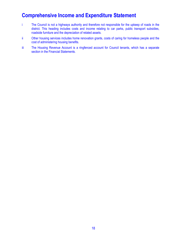# **Comprehensive Income and Expenditure Statement**

- i The Council is not a highways authority and therefore not responsible for the upkeep of roads in the district. This heading includes costs and income relating to car parks, public transport subsidies, roadside furniture and the depreciation of related assets.
- ii Other housing services includes home renovation grants, costs of caring for homeless people and the cost of administering housing benefits.
- iii The Housing Revenue Account is a ringfenced account for Council tenants, which has a separate section in the Financial Statements.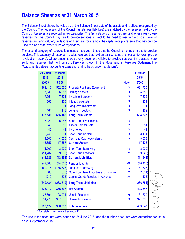### **Balance Sheet as at 31 March 2015**

The Balance Sheet shows the value as at the Balance Sheet date of the assets and liabilities recognised by the Council. The net assets of the Council (assets less liabilities) are matched by the reserves held by the Council. Reserves are reported in two categories. The first category of reserves are usable reserves - those reserves that the Council may use to provide services, subject to the need to maintain a prudent level of reserves and any statutory limitations on their use (for example the capital receipts reserve that may only be used to fund capital expenditure or repay debt).

The second category of reserves is unusable reserves - those that the Council is not able to use to provide services. This category of reserves includes reserves that hold unrealised gains and losses (for example the revaluation reserve), where amounts would only become available to provide services if the assets were sold; and reserves that hold timing differences shown in the Movement in Reserves Statement line "Adjustments between accounting basis and funding basis under regulations".

| <b>30 March</b> | 31 March   |                                            |             | 31 March   |  |
|-----------------|------------|--------------------------------------------|-------------|------------|--|
| 2013            | 2014       |                                            |             | 2015       |  |
| £'000           | £'000      |                                            | <b>Note</b> | £'000      |  |
| 462,418         | 552,076    | <b>Property Plant and Equipment</b>        | 12          | 621,720    |  |
| 5,139           | 5,256      | <b>Heritage Assets</b>                     | 13          | 5,380      |  |
| 7,554           | 7,801      | <b>Investment property</b>                 | 14          | 7,335      |  |
| 260             | 160        | <b>Intangible Assets</b>                   | 15          | 239        |  |
| 1               | 1          | Long term investments                      | 16          | 1          |  |
| 164             | 148        | Long term debtors                          | 16          | 162        |  |
| 475,536         | 565,442    | <b>Long Term Assets</b>                    |             | 634,837    |  |
| 5,120           | 5,043      | <b>Short Term Investments</b>              | 16          |            |  |
| 648             | 350        | <b>Assets Held for Sale</b>                | 17          | 351        |  |
| 40              | 48         | Inventories                                | 18          | 48         |  |
| 5,246           | 7,881      | <b>Short Term Debtors</b>                  | 19          | 8,134      |  |
| 4,803           | 4,535      | <b>Cash and Cash equivalents</b>           | 20          | 8,603      |  |
| 15,857          | 17,857     | <b>Current Assets</b>                      |             | 17,136     |  |
| (1,000)         |            | (3,500) Short Term Borrowing               | 16          | (2,000)    |  |
| (11, 787)       | (9,692)    | <b>Short Term Creditors</b>                | 21          | (9, 542)   |  |
| (12, 787)       | (13, 192)  | <b>Current Liabilities</b>                 |             | (11, 542)  |  |
| (49,580)        |            | (44,566) Pension Liability                 | 39          | (48, 406)  |  |
| (190, 076)      | (186, 576) | Long term borrowing                        | 16          | (184, 576) |  |
| (68)            | (830)      | Other Long term Liabilities and Provisions | 22          | (2,664)    |  |
| (710)           | (1,538)    | <b>Capital Grants Receipts in Advance</b>  | 35          | (1, 138)   |  |
| (240, 434)      | (233, 510) | <b>Long Term Liabilities</b>               |             | (236, 784) |  |
| 238,172         | 336,597    | <b>Net Assets</b>                          |             | 403,647    |  |
| 23,894          | 28,994     | <b>Usable Reserves</b>                     | 23          | 31,879     |  |
| 214,278         | 307,603    | Unusable reserves                          | 24          | 371,768    |  |
| 238,172         | 336,597    | <b>Total reserves</b>                      |             | 403,647    |  |

\* For details of re-statement, see note 44.

The unaudited accounts were issued on 24 June 2015, and the audited accounts were authorised for issue on 29 September 2015.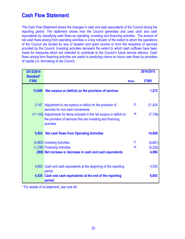# **Cash Flow Statement**

The Cash Flow Statement shows the changes in cash and cash equivalents of the Council during the reporting period. The statement shows how the Council generates and uses cash and cash equivalents by classifying cash flows as operating, investing and financing activities. The amount of net cash flows arising from operating activities is a key indicator of the extent to which the operations of the Council are funded by way of taxation and grant income or from the recipients of services provided by the Council. Investing activities represent the extent to which cash outflows have been made for resources which are intended to contribute to the Council's future service delivery. Cash flows arising from financing activities are useful in predicting claims on future cash flows by providers of capital (i.e. borrowing) to the Council.

| 2013/2014                 |                                                                                                                                                      |              | 2014/2015 |
|---------------------------|------------------------------------------------------------------------------------------------------------------------------------------------------|--------------|-----------|
| <b>Restated*</b><br>£'000 |                                                                                                                                                      | <b>Notes</b> | £'000     |
| 13,849                    | Net surplus or (deficit) on the provision of services                                                                                                |              | 1,273     |
|                           | 3,147 Adjustment to net surplus or deficit on the provision of<br>services for non-cash movements                                                    | 25           | 21,424    |
|                           | (11,143) Adjustments for items included in the net surplus or deficit on<br>the provision of services that are investing and financing<br>activities | 26           | (7, 748)  |
| 5,853                     | <b>Net cash flows from Operating Activities</b>                                                                                                      |              | 14,949    |
|                           | (4,883) Investing Activities                                                                                                                         | 27           | (6,681)   |
|                           | (1,238) Financing Activities                                                                                                                         | 28           | (4,200)   |
|                           | (268) Net increase or decrease in cash and cash equivalents                                                                                          |              | 4,068     |
|                           | 4,803 Cash and cash equivalents at the beginning of the reporting<br>period                                                                          |              | 4,535     |
|                           | 4,535 Cash and cash equivalents at the end of the reporting<br>period                                                                                |              | 8,603     |

\* For details of re-statement, see note 44.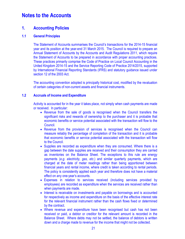### **1. Accounting Policies**

#### **1.1 General Principles**

The Statement of Accounts summarises the Council's transactions for the 2014-15 financial year and its position at the year-end 31 March 2015. The Council is required to prepare an Annual Statement of Accounts by the Accounts and Audit Regulations 2011, which require the Statement of Accounts to be prepared in accordance with proper accounting practices. These practices primarily comprise the Code of Practice on Local Council Accounting in the United Kingdom 2014-15 and the Service Reporting Code of Practice 2014/2015, supported by International Financial Reporting Standards (IFRS) and statutory guidance issued under section 12 of the 2003 Act.

The accounting convention adopted is principally historical cost, modified by the revaluation of certain categories of non-current assets and financial instruments.

#### **1.2 Accruals of Income and Expenditure**

Activity is accounted for in the year it takes place, not simply when cash payments are made or received. In particular:

- Revenue from the sale of goods is recognised when the Council transfers the significant risks and rewards of ownership to the purchaser and it is probable that economic benefits or service potential associated with the transaction will flow to the Council.
- Revenue from the provision of services is recognised when the Council can measure reliably the percentage of completion of the transaction and it is probable that economic benefits or service potential associated with the transaction will flow to the Council.
- Supplies are recorded as expenditure when they are consumed. Where there is a gap between the date supplies are received and their consumption they are carried as inventories on the Balance Sheet. The exceptions to this rule are energy payments (*e.g. electricity, gas, etc.*) and similar quarterly payments, which are charged at the date of meter readings rather than being apportioned between financial years and rental income, where credit is taken according to rental periods. The policy is consistently applied each year and therefore does not have a material effect on any one-year's accounts.
- Expenses in relation to services received (including services provided by employees) are recorded as expenditure when the services are received rather than when payments are made.
- Interest is receivable on investments and payable on borrowings and is accounted for respectively as income and expenditure on the basis of the effective interest rate for the relevant financial instrument rather than the cash flows fixed or determined by the contract.
- Where revenue and expenditure have been recognised but cash has not been received or paid, a debtor or creditor for the relevant amount is recorded in the Balance Sheet. Where debts may not be settled, the balance of debtors is written down and a charge made to revenue for the income that might not be collected.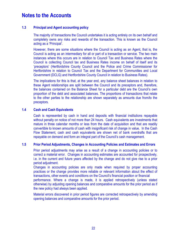#### **1.3 Principal and Agent accounting policy**

The majority of transactions the Council undertakes it is acting entirely on its own behalf and completely owns any risks and rewards of the transaction. This is known as the Council acting as a 'Principal'.

However, there are some situations where the Council is acting as an Agent, that is, the Council is acting as an intermediary for all or part of a transaction or service. The two main instances where this occurs are in relation to Council Tax and Business Rates where the Council is collecting Council tax and Business Rates income on behalf of itself and its 'preceptors' (Hertfordshire County Council and the Police and Crime Commissioner for Hertfordshire in relation to Council Tax and the Department for Communities and Local Government (DCLG) and Hertfordshire County Council in relation to Business Rates).

The implications for this is that, at the year end, any balance sheet balances in relation to these Agent relationships are split between the Council and its preceptors and, therefore, the balances contained on the Balance Sheet for a particular debt are the Council's own proportion of the debt and associated balances. The proportions of transactions that relate to the other parties to the relationship are shown separately as amounts due from/to the preceptors.

#### **1.4 Cash and Cash Equivalents**

Cash is represented by cash in hand and deposits with financial institutions repayable without penalty on notice of not more than 24 hours. Cash equivalents are investments that mature in three calendar months or less from the date of acquisition and that are readily convertible to known amounts of cash with insignificant risk of change in value. In the Cash Flow Statement, cash and cash equivalents are shown net of bank overdrafts that are repayable on demand and form an integral part of the Council's cash management.

#### **1.5 Prior Period Adjustments, Changes in Accounting Policies and Estimates and Errors**

 Prior period adjustments may arise as a result of a change in accounting policies or to correct a material error. Changes in accounting estimates are accounted for prospectively, i.e. in the current and future years affected by the change and do not give rise to a prior period adjustment.

Changes in accounting policies are only made when required by proper accounting practices or the change provides more reliable or relevant information about the effect of transactions, other events and conditions on the Council's financial position or financial performance. Where a change is made, it is applied retrospectively (unless stated otherwise) by adjusting opening balances and comparative amounts for the prior period as if the new policy had always been applied.

Material errors discovered in prior period figures are corrected retrospectively by amending opening balances and comparative amounts for the prior period.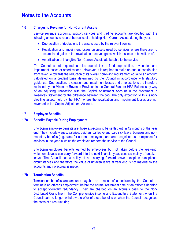#### **1.6 Charges to Revenue for Non-Current Assets**

Service revenue accounts, support services and trading accounts are debited with the following amounts to record the real cost of holding Non-Current Assets during the year.

- Depreciation attributable to the assets used by the relevant service.
- Revaluation and Impairment losses on assets used by services where there are no accumulated gains in the revaluation reserve against which losses can be written off.
- Amortisation of intangible Non-Current Assets attributable to the service

The Council is not required to raise council tax to fund depreciation, revaluation and impairment losses or amortisations. However, it is required to make an annual contribution from revenue towards the reduction of its overall borrowing requirement equal to an amount calculated on a prudent basis determined by the Council in accordance with statutory guidance. Depreciation, revaluation and impairment losses and amortisations are therefore replaced by the Minimum Revenue Provision in the General Fund or HRA Balances by way of an adjusting transaction with the Capital Adjustment Account in the Movement in Reserves Statement for the difference between the two. The only exception to this is nondwelling assets held by the HRA, where the revaluation and impairment losses are not reversed to the Capital Adjustment Account.

#### **1.7 Employee Benefits**

#### **1.7a Benefits Payable During Employment**

Short-term employee benefits are those expecting to be settled within 12 months of the year end. They include wages, salaries, paid annual leave and paid sick leave, bonuses and nonmonetary benefits (e.g. cars) for current employees, and are recognised as an expense for services in the year in which the employee renders the service to the Council.

Short-term employee benefits earned by employees but not taken before the year-end, which employees can carry forward into the next financial year, consists mainly of untaken leave. The Council has a policy of not carrying forward leave except in exceptional circumstances and therefore the value of untaken leave at year end is not material to the accounts and no accrual is made.

#### **1.7b Termination Benefits**

Termination benefits are amounts payable as a result of a decision by the Council to terminate an officer's employment before the normal retirement date or an officer's decision to accept voluntary redundancy. They are charged on an accruals basis to the Non-Distributed Costs line in the Comprehensive income and Expenditure Statement when the Council can no longer withdraw the offer of those benefits or when the Council recognises the costs of a restructuring.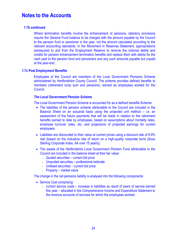#### **1.7b continued**

Where termination benefits involve the enhancement of pensions, statutory provisions require the General Fund balance to be charged with the amount payable by the Council to the pension fund or pensioner in the year, not the amount calculated according to the relevant accounting standards. In the Movement in Reserves Statement, appropriations arerequired to and from the Employment Reserve to remove the notional debits and credits for pension enhancement termination benefits and replace them with debits for the cash paid to the pension fund and pensioners and any such amounts payable but unpaid at the year-end.

#### **1.7c Post Employment Benefits**

Employees of the Council are members of the Local Government Pensions Scheme administered by Hertfordshire County Council. The scheme provides defined benefits to members (retirement lump sum and pensions), earned as employees worked for the Council.

#### *The Local Government Pension Scheme*

The Local Government Pension Scheme is accounted for as a defined benefits Scheme:

- The liabilities of the pension scheme attributable to the Council are included in the Balance Sheet on an actuarial basis using the projected unit method – i.e. an assessment of the future payments that will be made in relation to the retirement benefits earned to date by employees, based on assumptions about mortality rates, employee turnover rates, etc, and projections of projected earnings for current employees.
- Liabilities are discounted to their value at current prices using a discount rate of 6.9% real (based on the indicative rate of return on a high-quality corporate bond (iboxx Sterling Corporate Index, AA over 15 years)).
- The assets of the Hertfordshire Local Government Pension Fund attributable to the Council are included in the balance sheet at their fair value:
	- Quoted securities current bid price
	- Unquoted securities professional estimate
	- Unitised securities current bid price
	- Property market value

The change in the net pensions liability is analysed into the following components:

- Service Cost comprising:
	- current service costs increase in liabilities as result of years of service earned this year – allocated in the Comprehensive Income and Expenditure Statement to the revenue accounts of services for which the employees worked;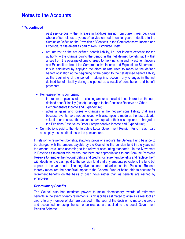#### **1.7c continued**

- past service cost the increase in liabilities arising from current year decisions whose effect relates to years of service earned in earlier years – debited to the Surplus or Deficit on the Provision of Services in the Comprehensive Income and Expenditure Statement as part of Non Distributed Costs;
- net interest on the net defined benefit liability, i.e. net interest expense for the authority – the change during the period in the net defined benefit liability that arises from the passage of time charged to the Financing and Investment Income and Expenditure line of the Comprehensive Income and Expenditure Statement – this is calculated by applying the discount rate used to measure the defined benefit obligation at the beginning of the period to the net defined benefit liability at the beginning of the period – taking into account any changes in the net defined benefit liability during the period as a result of contribution and benefit payments.
- Remeasurements comprising:
	- the return on plan assets excluding amounts included in net interest on the net defined benefit liability (asset) – charged to the Pensions Reserve as Other Comprehensive Income and Expenditure;
	- actuarial gains and losses changes in the net pensions liability that arise because events have not coincided with assumptions made at the last actuarial valuation or because the actuaries have updated their assumptions – charged to the Pensions Reserve as Other Comprehensive Income and Expenditure;
- Contributions paid to the Hertfordshire Local Government Pension Fund cash paid as employer's contributions to the pension fund.

In relation to retirement benefits, statutory provisions require the General Fund balance to be charged with the amount payable by the Council to the pension fund in the year, not the amount calculated according to the relevant accounting standards. In the Movement in Reserves Statement this means that there are appropriations to and from the Pensions Reserve to remove the notional debits and credits for retirement benefits and replace them with debits for the cash paid to the pension fund and any amounts payable to the fund but unpaid at the year-end. The negative balance that arises on the Pensions Reserve thereby measures the beneficial impact to the General Fund of being able to account for retirement benefits on the basis of cash flows rather than as benefits are earned by employees.

#### *Discretionary Benefits*

The Council also has restricted powers to make discretionary awards of retirement benefits in the event of early retirements. Any liabilities estimated to arise as a result of an award to any member of staff are accrued in the year of the decision to make the award and accounted for using the same policies as are applied to the Local Government Pension Scheme.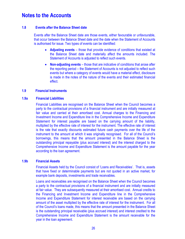#### **1.8 Events after the Balance Sheet date**

Events after the Balance Sheet date are those events, either favourable or unfavourable, that occur between the Balance Sheet date and the date when the Statement of Accounts is authorised for issue. Two types of events can be identified:

- **Adjusting events** those that provide evidence of conditions that existed at the Balance Sheet date and materially affect the amounts included. The Statement of Accounts is adjusted to reflect such events.
- **Non-adjusting events** those that are indicative of conditions that arose after the reporting period – the Statement of Accounts is not adjusted to reflect such events but where a category of events would have a material effect, disclosure is made in the notes of the nature of the events and their estimated financial effect.

#### **1.9 Financial Instruments**

#### **1.9a Financial Liabilities**

Financial Liabilities are recognised on the Balance Sheet when the Council becomes a party to the contractual provisions of a financial instrument and are initially measured at fair value and carried at their amortised cost. Annual charges to the Financing and Investment Income and Expenditure line in the Comprehensive Income and Expenditure Statement for interest payable are based on the carrying amount of the liability, multiplied by the effective rate of interest for the instrument. The effective rate of interest is the rate that exactly discounts estimated future cash payments over the life of the instrument to the amount at which it was originally recognised. For all of the Council's borrowings, this means that the amount presented in the Balance Sheet is the outstanding principal repayable (plus accrued interest) and the interest charged to the Comprehensive Income and Expenditure Statement is the amount payable for the year according to the loan agreement.

#### **1.9b Financial Assets**

Financial Assets held by the Council consist of 'Loans and Receivables'. That is, assets that have fixed or determinable payments but are not quoted in an active market, for example bank deposits, investments and trade receivables.

Loans and receivables are recognised on the Balance Sheet when the Council becomes a party to the contractual provisions of a financial instrument and are initially measured at fair value. They are subsequently measured at their amortised cost. Annual credits to the Financing and Investment Income and Expenditure line in the Comprehensive Income and Expenditure Statement for interest receivable are based on the carrying amount of the asset multiplied by the effective rate of interest for the instrument. For all of the Council's loans made, this means that the amount presented in the Balance Sheet is the outstanding principal receivable (plus accrued interest) and interest credited to the Comprehensive Income and Expenditure Statement is the amount receivable for the year in the loan agreement.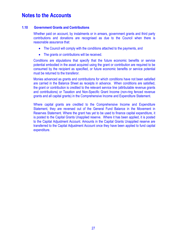#### **1.10 Government Grants and Contributions**

Whether paid on account, by instalments or in arrears, government grants and third party contributions and donations are recognised as due to the Council when there is reasonable assurance that:

- The Council will comply with the conditions attached to the payments, and
- The grants or contributions will be received.

Conditions are stipulations that specify that the future economic benefits or service potential embodied in the asset acquired using the grant or contribution are required to be consumed by the recipient as specified, or future economic benefits or service potential must be returned to the transferor.

Monies advanced as grants and contributions for which conditions have not been satisfied are carried in the Balance Sheet as receipts in advance. When conditions are satisfied, the grant or contribution is credited to the relevant service line (attributable revenue grants and contributions) or Taxation and Non-Specific Grant Income (non-ring fenced revenue grants and all capital grants) in the Comprehensive Income and Expenditure Statement.

Where capital grants are credited to the Comprehensive Income and Expenditure Statement, they are reversed out of the General Fund Balance in the Movement in Reserves Statement. Where the grant has yet to be used to finance capital expenditure, it is posted to the Capital Grants Unapplied reserve. Where it has been applied, it is posted to the Capital Adjustment Account. Amounts in the Capital Grants Unapplied reserve are transferred to the Capital Adjustment Account once they have been applied to fund capital expenditure.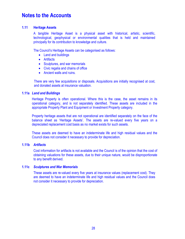#### **1.11 Heritage Assets**

A tangible Heritage Asset is a physical asset with historical, artistic, scientific, technological, geophysical or environmental qualities that is held and maintained principally for its contribution to knowledge and culture.

The Council's Heritage Assets can be categorised as follows:

- Land and buildings
- Artifacts
- Sculptures, and war memorials
- Civic regalia and chains of office
- Ancient walls and ruins.

There are very few acquisitions or disposals. Acquisitions are initially recognised at cost, and donated assets at insurance valuation.

#### **1.11a** *Land and Buildings*

Heritage Property is often operational. Where this is the case, the asset remains in its operational category, and is not separately identified. These assets are included in the appropriate Property Plant and Equipment or Investment Property category.

Property heritage assets that are not operational are identified separately on the face of the balance sheet as 'Heritage Assets'. The assets are re-valued every five years on a depreciated replacement cost basis as no market exists for such assets.

These assets are deemed to have an indeterminate life and high residual values and the Council does not consider it necessary to provide for depreciation.

#### **1.11b** *Artifacts*

Cost information for artifacts is not available and the Council is of the opinion that the cost of obtaining valuations for these assets, due to their unique nature, would be disproportionate to any benefit derived.

#### **1.11c** *Sculptures and War Memorials*

These assets are re-valued every five years at insurance values (replacement cost). They are deemed to have an indeterminate life and high residual values and the Council does not consider it necessary to provide for depreciation.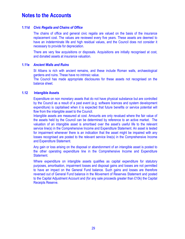#### **1.11d** *Civic Regalia and Chains of Office*

The chains of office and general civic regalia are valued on the basis of the insurance replacement cost. The values are reviewed every five years. These assets are deemed to have an indeterminate life and high residual values, and the Council does not consider it necessary to provide for depreciation.

There are very few acquisitions or disposals. Acquisitions are initially recognised at cost, and donated assets at insurance valuation.

#### **1.11e** *Ancient Walls and Ruins*

St Albans is rich with ancient remains, and these include Roman walls, archaeological gardens and ruins. These have no intrinsic value.

The Council has made appropriate disclosures for these assets not recognised on the balance sheet.

#### **1.12 Intangible Assets**

Expenditure on non monetary assets that do not have physical substance but are controlled by the Council as a result of a past event (e.g. software licences and system development expenditure) is capitalised when it is expected that future benefits or service potential will flow from the intangible asset to the Council.

Intangible assets are measured at cost. Amounts are only revalued where the fair value of the assets held by the Council can be determined by reference to an active market. The valuation of an intangible asset is amortised over the asset's useful life to the relevant service line(s) in the Comprehensive Income and Expenditure Statement. An asset is tested for impairment whenever there is an indication that the asset might be impaired with any losses recognised are posted to the relevant service line(s) in the Comprehensive Income and Expenditure Statement.

Any gain or loss arising on the disposal or abandonment of an intangible asset is posted to the other operating expenditure line in the Comprehensive Income and Expenditure Statement.

Where expenditure on intangible assets qualifies as capital expenditure for statutory purposes, amortisation, impairment losses and disposal gains and losses are not permitted to have an impact on the General Fund balance. Such gains and losses are therefore reversed out of General Fund balance in the Movement of Reserves Statement and posted to the Capital Adjustment Account and (for any sale proceeds greater than £10k) the Capital Receipts Reserve.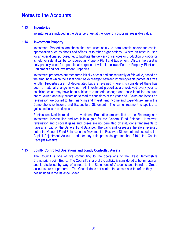#### **1.13 Inventories**

Inventories are included in the Balance Sheet at the lower of cost or net realisable value.

#### **1.14 Investment Property**

Investment Properties are those that are used solely to earn rentals and/or for capital appreciation such as shops and offices let to other organisations. Where an asset is used for an operational purpose, i.e. to facilitate the delivery of services or production of goods or is held for sale, it will be considered as Property Plant and Equipment. Also, if the asset is only partially used for operational purposes it will still be classified as Property Plant and Equipment and not Investment Properties.

Investment properties are measured initially at cost and subsequently at fair value, based on the amount at which the asset could be exchanged between knowledgeable parties at arm's length. Properties are not depreciated but are revalued where it is considered there has been a material change in value. All Investment properties are reviewed every year to establish which may have been subject to a material change and those identified as such are re-valued annually according to market conditions at the year-end. Gains and losses on revaluation are posted to the Financing and Investment Income and Expenditure line in the Comprehensive Income and Expenditure Statement. The same treatment is applied to gains and losses on disposal.

Rentals received in relation to Investment Properties are credited to the Financing and Investment Income line and result in a gain for the General Fund Balance. However, revaluation and disposal gains and losses are not permitted by statutory arrangements to have an impact on the General Fund Balance. The gains and losses are therefore reversed out of the General Fund Balance in the Movement in Reserves Statement and posted to the Capital Adjustment Account and (for any sale proceeds greater than £10k) the Capital Receipts Reserve.

#### **1.15 Jointly Controlled Operations and Jointly Controlled Assets**

The Council is one of five contributing to the operations of the West Hertfordshire Crematorium Joint Board. The Council's share of the activity is considered to be immaterial, and is disclosed by way of a note to the Statement of Accounts and therefore Group accounts are not prepared. The Council does not control the assets and therefore they are not included in the Balance Sheet.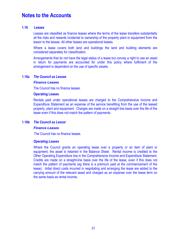#### **1.16 Leases**

Leases are classified as finance leases where the terms of the lease transfers substantially all the risks and rewards incidental to ownership of the property plant or equipment from the lessor to the lessee. All other leases are operational leases.

Where a lease covers both land and buildings the land and building elements are considered separately for classification.

Arrangements that do not have the legal status of a lease but convey a right to use an asset in return for payments are accounted for under this policy where fulfilment of the arrangement is dependent on the use of specific assets.

#### **1.16a** *The Council as Lessee*

#### *Finance Leases*

The Council has no finance leases.

#### **Operating Leases**

Rentals paid under operational leases are charged to the Comprehensive Income and Expenditure Statement as an expense of the service benefiting from the use of the leased property, plant and equipment. Charges are made on a straight line basis over the life of the lease even if this does not match the pattern of payments.

#### **1.16b** *The Council as Lessor*

#### *Finance Leases*

The Council has no finance leases.

#### *Operating Leases*

Where the Council grants an operating lease over a property or an item of plant or equipment, the asset is retained in the Balance Sheet. Rental income is credited to the Other Operating Expenditure line in the Comprehensive Income and Expenditure Statement. Credits are made on a straight-line basis over the life of the lease, even if this does not match the pattern of payments (eg there is a premium paid at the commencement of the lease). Initial direct costs incurred in negotiating and arranging the lease are added to the carrying amount of the relevant asset and charged as an expense over the lease term on the same basis as rental income.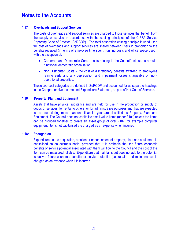#### **1.17 Overheads and Support Services**

The costs of overheads and support services are charged to those services that benefit from the supply or service in accordance with the costing principles of the CIPFA Service Reporting Code of Practice (SeRCOP). The total absorption costing principle is used - the full cost of overheads and support services are shared between users in proportion to the benefits received (in terms of employee time spent, running costs and office space used), with the exception of:

- Corporate and Democratic Core costs relating to the Council's status as a multifunctional, democratic organisation.
- Non Distributed Costs the cost of discretionary benefits awarded to employees retiring early and any depreciation and impairment losses chargeable on nonoperational properties.

These two cost categories are defined in SeRCOP and accounted for as separate headings in the Comprehensive Income and Expenditure Statement, as part of Net Cost of Services.

#### **1.18 Property, Plant and Equipment**

Assets that have physical substance and are held for use in the production or supply of goods or services, for rental to others, or for administrative purposes and that are expected to be used during more than one financial year are classified as Property, Plant and Equipment. The Council does not capitalise small value items (under £10k) unless the items can be grouped together to create an asset group of over £10k, for example computer equipment. Items not capitalised are charged as an expense when incurred.

#### **1.18a Recognition**

Expenditure on the acquisition, creation or enhancement of property, plant and equipment is capitalised on an accruals basis, provided that it is probable that the future economic benefits or service potential associated with them will flow to the Council and the cost of the item can be measured reliably. Expenditure that maintains but does not add to the potential to deliver future economic benefits or service potential (i.e. repairs and maintenance) is charged as an expense when it is incurred.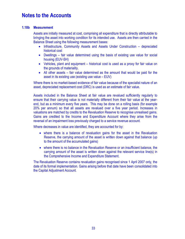#### **1.18b Measurement**

Assets are initially measured at cost, comprising all expenditure that is directly attributable to bringing the asset into working condition for its intended use. Assets are then carried in the Balance Sheet using the following measurement bases:

- Infrastructure, Community Assets and Assets Under Construction depreciated historical cost
- Dwellings fair value determined using the basis of existing use value for social housing (EUV-SH)
- Vehicles, plant and equipment historical cost is used as a proxy for fair value on the grounds of materiality.
- All other assets fair value determined as the amount that would be paid for the asset in its existing use (existing use value – EUV)

Where there is no market-based evidence of fair value because of the specialist nature of an asset, depreciated replacement cost (DRC) is used as an estimate of fair value.

Assets included in the Balance Sheet at fair value are revalued sufficiently regularly to ensure that their carrying value is not materially different from their fair value at the yearend, but as a minimum every five years. This may be done on a rolling basis (for example 20% per annum) so that all assets are revalued over a five year period. Increases in valuations are matched by credits to the Revaluation Reserve to recognise unrealised gains. Gains are credited to the Income and Expenditure Account where they arise from the reversal of an impairment loss previously charged to a service revenue account.

Where decreases in value are identified, they are accounted for by:

- where there is a balance of revaluation gains for the asset in the Revaluation Reserve, the carrying amount of the asset is written down against that balance (up to the amount of the accumulated gains)
- where there is no balance in the Revaluation Reserve or an insufficient balance, the carrying amount of the asset is written down against the relevant service line(s) in the Comprehensive Income and Expenditure Statement.

The Revaluation Reserve contains revaluation gains recognised since 1 April 2007 only, the date of its formal implementation. Gains arising before that date have been consolidated into the Capital Adjustment Account.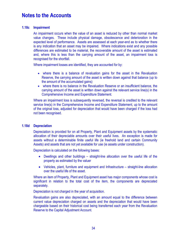#### **1.18c Impairment**

An impairment occurs when the value of an asset is reduced by other than normal market value changes. These include physical damage, obsolescence and deterioration in the expected level of performance. Assets are assessed at each year-end as to whether there is any indication that an asset may be impaired. Where indications exist and any possible differences are estimated to be material, the recoverable amount of the asset is estimated and, where this is less than the carrying amount of the asset, an impairment loss is recognised for the shortfall.

Where impairment losses are identified, they are accounted for by:

- where there is a balance of revaluation gains for the asset in the Revaluation Reserve, the carrying amount of the asset is written down against that balance (up to the amount of the accumulated gains)
- where there is no balance in the Revaluation Reserve or an insufficient balance, the carrying amount of the asset is written down against the relevant service line(s) in the Comprehensive Income and Expenditure Statement.

Where an impairment loss is subsequently reversed, the reversal is credited to the relevant service line(s) in the Comprehensive Income and Expenditure Statement, up to the amount of the original loss, adjusted for depreciation that would have been charged if the loss had not been recognised.

#### **1.18d Depreciation**

Depreciation is provided for on all Property, Plant and Equipment assets by the systematic allocation of their depreciable amounts over their useful lives. An exception is made for assets without a determinable finite useful life (ie freehold land and certain Community Assets) and assets that are not yet available for use (ie assets under construction).

Depreciation is calculated on the following bases:

- Dwellings and other buildings straight-line allocation over the useful life of the property as estimated by the valuer
- Vehicles, plant, furniture and equipment and Infrastructure straight-line allocation over the useful life of the asset.

Where an item of Property, Plant and Equipment asset has major components whose cost is significant in relation to the total cost of the item, the components are depreciated separately.

Depreciation is not charged in the year of acquisition.

Revaluation gains are also depreciated, with an amount equal to the difference between current value depreciation charged on assets and the depreciation that would have been chargeable based on their historical cost being transferred each year from the Revaluation Reserve to the Capital Adjustment Account.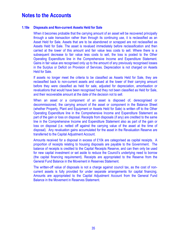#### **1.18e Disposals and Non-current Assets Held for Sale**

When it becomes probable that the carrying amount of an asset will be recovered principally through a sale transaction rather than through its continuing use, it is reclassified as an Asset Held for Sale. Assets that are to be abandoned or scrapped are not reclassified as Assets Held for Sale. The asset is revalued immediately before reclassification and then carried at the lower of this amount and fair value less costs to sell. Where there is a subsequent decrease to fair value less costs to sell, the loss is posted to the Other Operating Expenditure line in the Comprehensive Income and Expenditure Statement. Gains in fair value are recognised only up to the amount of any previously recognised losses in the Surplus or Deficit on Provision of Services. Depreciation is not charged on Assets Held for Sale.

If assets no longer meet the criteria to be classified as Assets Held for Sale, they are reclassified back to non-current assets and valued at the lower of their carrying amount before they were classified as held for sale, adjusted for depreciation, amortisation or revaluations that would have been recognised had they not been classified as Held for Sale, and their recoverable amount at the date of the decision not to sell.

 When an asset or a component of an asset is disposed of, derecognised or decommissioned, the carrying amount of the asset or component in the Balance Sheet (whether Property, Plant and Equipment or Assets Held for Sale) is written off to the Other Operating Expenditure line in the Comprehensive Income and Expenditure Statement as part of the gain or loss on disposal. Receipts from disposals (if any) are credited to the same line in the Comprehensive Income and Expenditure Statement also as part of the gain or loss on disposal (i.e. netted off against the carrying value of the asset at the time of disposal). Any revaluation gains accumulated for the asset in the Revaluation Reserve are transferred to the Capital Adjustment Account.

Amounts received for a disposal in excess of £10k are categorised as capital receipts. A proportion of receipts relating to housing disposals are payable to the Government. The balance of receipts is credited to the Capital Receipts Reserve, and can then only be used for new capital investment or set aside to reduce the Council's underlying need to borrow (the capital financing requirement). Receipts are appropriated to the Reserve from the General Fund Balance in the Movement in Reserves Statement.

The written-off value of disposals is not a charge against council tax, as the cost of noncurrent assets is fully provided for under separate arrangements for capital financing. Amounts are appropriated to the Capital Adjustment Account from the General Fund Balance in the Movement in Reserves Statement.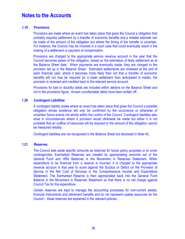#### **1.19 Provisions**

Provisions are made where an event has taken place that gives the Council a obligation that probably requires settlement by a transfer of economic benefits and a reliable estimate can be made of the amount of the obligation but where the timing of the transfer is uncertain. For instance, the Council may be involved in a court case that could eventually result in the making of a settlement or payment of compensation.

Provisions are charged to the appropriate service revenue account in the year that the Council becomes aware of the obligation, based on the estimation of likely settlement as at the Balance Sheet date. When payments are eventually made, they are charged to the provision set up in the Balance Sheet. Estimated settlements are reviewed at the end of each financial year; where it becomes more likely than not that a transfer of economic benefits will not now be required (or a lower settlement than anticipated is made), the provision is reversed and credited back to the relevant service account.

Provisions for bad or doubtful debts are included within debtors on the Balance Sheet and not in the provisions figure. Known uncollectable debts have been written off.

#### **1.20 Contingent Liabilities**

A contingent liability arises where an event has taken place that gives the Council a possible obligation whose existence will only be confirmed by the occurrence or otherwise of uncertain future events not wholly within the control of the Council. Contingent liabilities also arise in circumstances where a provision would otherwise be made but either it is not probable that an outflow of resources will be required or the amount of the obligation cannot be measured reliably.

Contingent liabilities are not recognised in the Balance Sheet but disclosed in Note 40**.** 

#### **1.21 Reserves**

The Council sets aside specific amounts as reserves for future policy purposes or to cover contingencies. Earmarked Reserves are created by appropriating amounts out of the General Fund and HRA Balances in the Movement in Reserves Statement. When expenditure to be financed from a reserve is incurred, it is charged to the appropriate revenue account in that year to score against the Surplus or Deficit on the Provision of Service in the Net Cost of Services in the Comprehensive Income and Expenditure Statement. The Earmarked Reserve is then appropriated back into the General Fund Balance in the Movement in Reserves Statement so that there is no net charge against Council Tax for the expenditure.

Certain reserves are kept to manage the accounting processes for non-current assets, financial instruments and retirement benefits and do not represent usable resources for the Council – these reserves are explained in the relevant policies.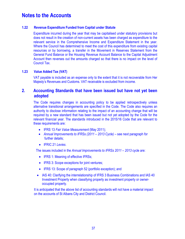### **1.22 Revenue Expenditure Funded from Capital under Statute**

Expenditure incurred during the year that may be capitalised under statutory provisions but does not result in the creation of non-current assets has been charged as expenditure to the relevant service in the Comprehensive Income and Expenditure Statement in the year. Where the Council has determined to meet the cost of this expenditure from existing capital resources or by borrowing, a transfer in the Movement in Reserves Statement from the General Fund Balance or the Housing Revenue Account Balance to the Capital Adjustment Account then reverses out the amounts charged so that there is no impact on the level of Council Tax.

### **1.23 Value Added Tax (VAT)**

VAT payable is included as an expense only to the extent that it is not recoverable from Her Majesty's Revenues and Customs. VAT receivable is excluded from income.

### **2. Accounting Standards that have been issued but have not yet been adopted**

The Code requires changes in accounting policy to be applied retrospectively unless alternative transitional arrangements are specified in the Code. The Code also requires an authority to disclose information relating to the impact of an accounting change that will be required by a new standard that has been issued but not yet adopted by the Code for the relevant financial year. The standards introduced in the 2015/16 Code that are relevant to these requirements are:

- IFRS 13 *Fair Value Measurement* (May 2011);
- Annual Improvements to IFRSs (2011 2013 Cycle) see next paragraph for further details;
- IFRIC 21 *Levies*.

The issues included in the *Annual Improvements to IFRSs 2011 – 2013* cycle are:

- IFRS 1: Meaning of effective IFRSs;
- IFRS 3: Scope exceptions for joint ventures;
- IFRS 13: Scope of paragraph 52 (portfolio exception); and
- IAS 40: Clarifying the interrelationship of IFRS 3 Business Combinations and IAS 40 Investment Property when classifying property as investment property or owneroccupied property.

It is anticipated that the above list of accounting standards will not have a material impact on the accounts of St Albans City and District Council.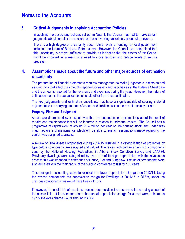### **3. Critical Judgements in applying Accounting Policies**

In applying the accounting policies set out in Note 1, the Council has had to make certain judgments about complex transactions or those involving uncertainty about future events.

There is a high degree of uncertainty about future levels of funding for local government including the future of Business Rate income. However, the Council has determined that this uncertainty is not yet sufficient to provide an indication that the assets of the Council might be impaired as a result of a need to close facilities and reduce levels of service provision.

### **4. Assumptions made about the future and other major sources of estimation uncertainty**

The preparation of financial statements requires management to make judgements, estimates and assumptions that affect the amounts reported for assets and liabilities as at the Balance Sheet date and the amounts reported for the revenues and expenses during the year. However, the nature of estimation means that actual outcomes could differ from those estimates.

The key judgements and estimation uncertainty that have a significant risk of causing material adjustment to the carrying amounts of assets and liabilities within the next financial year are:

#### **Property, Plant and Equipment**

Assets are depreciated over useful lives that are dependent on assumptions about the level of repairs and maintenance that will be incurred in relation to individual assets. The Council has a programme of capital work of around £9.4 million per year on the housing stock, and undertakes major repairs and maintenance which will be able to sustain assumptions made regarding the useful lives assigned to assets.

A review of HRA Asset Components during 2014/15 resulted in a categorisation of properties by type before components are assigned and valued. The review included an anaylsis of components used by the National Housing Federation, St Albans Stock Condition Survey and LAAP86. Previously dwellings were categorised by type of roof to align depreciation with the revaluation process this was changed to categories of House, Flat and Bungalow. The life of components were also adjusted with the main fabric of the building considered to last for 100 years.

This change in accounting estimate resulted in a lower depreciation charge than 2013/14. Using the revised components the depreciation charge for Dwellings in 2014/15 is £5.6m, under the previous components this would have been £11.5m.

If however, the useful life of assets is reduced, depreciation increases and the carrying amount of the assets falls. It is estimated that if the annual depreciation charge for assets were to increase by 1% the extra charge would amount to £86k.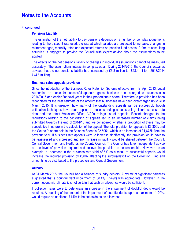### **4. continued**

#### **Pensions Liability**

The estimation of the net liability to pay pensions depends on a number of complex judgements relating to the discount rate used, the rate at which salaries are projected to increase, changes in retirement ages, mortality rates and expected returns on pension fund assets. A firm of consulting actuaries is engaged to provide the Council with expert advice about the assumptions to be applied.

The effects on the net pensions liability of changes in individual assumptions cannot be measured accurately. The assumptions interact in complex ways. During 2014/2015, the Council's actuaries advised that the net pensions liability had increased by £3.8 million to £48.4 million (2013/2014 £44.6 million).

#### **Business rates appeals provision**

Since the introduction of the Business Rates Retention Scheme effective from 1st April 2013, Local Authorities are liable for successful appeals against business rates charged to businesses in 2014/2015 and earlier financial years in their proportionate share. Therefore, a provision has been recognised for the best estimate of the amount that businesses have been overcharged up to 31st March 2015. It is unknown how many of the outstanding appeals will be successful, though estimation techniques have been applied to the outstanding appeals using historic success rate data and the latest Valuation Office (VAO) ratings list of appeals. Recent changes to the regulations relating to the backdating of appeals led to an increased number of claims being submitted towards the end of 2014/15 and we considered whether a proportion of these may be speculative in nature in the calculation of the appeal. The total provision for appeals is £6,300k and the Council's share held in the Balance Sheet is £2,505k, which is an increase of £1,675k from the previous year. If business rate appeals were to increase significantly, the provision would have to be reassessed and increased and any increase in liability would be shared between the Council, Central Government and Hertfordshire County Council. The Council has taken independent advice on the level of provision required and believe the provision to be reasonable. However, as an example, a decrease in the business rate yield of 5% as a result of successful appeals would increase the required provision by £300k affecting the surplus/deficit on the Collection Fund and amounts to be distributed to the preceptors and Central Government.

### **Arrears**

At 31 March 2015, the Council had a balance of sundry debtors. A review of significant balances suggested that a doubtful debt impairment of 38.4% (£549k) was appropriate. However, in the current economic climate it is not certain that such an allowance would be sufficient.

If collection rates were to deteriorate an increase in the impairment of doubtful debts would be required. A doubling of the amount of the impairment of doubtful debts, up to a maximum of 100%, would require an additional £140k to be set aside as an allowance.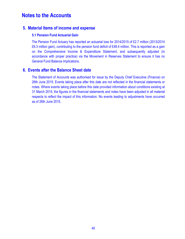### **5. Material Items of income and expense**

### **5.1 Pension Fund Actuarial Gain**

The Pension Fund Actuary has reported an actuarial loss for 2014/2015 of £2.7 million (2013/2014 £6.3 million gain), contributing to the pension fund deficit of £48.4 million. This is reported as a gain on the Comprehensive Income & Expenditure Statement, and subsequently adjusted (in accordance with proper practice) via the Movement in Reserves Statement to ensure it has no General Fund Balance implications.

## **6. Events after the Balance Sheet date**

The Statement of Accounts was authorised for issue by the Deputy Chief Executive (Finance) on 26th June 2015. Events taking place after this date are not reflected in the financial statements or notes. Where events taking place before this date provided information about conditions existing at 31 March 2015, the figures in the financial statements and notes have been adjusted in all material respects to reflect the impact of this information. No events leading to adjustments have occurred as of 26th June 2015.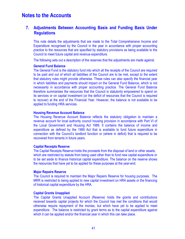### **7. Adjustments Between Accounting Basis and Funding Basis Under Regulations**

This note details the adjustments that are made to the Total Comprehensive Income and Expenditure recognised by the Council in the year in accordance with proper accounting practice to the resources that are specified by statutory provisions as being available to the Council to meet future capital and revenue expenditure.

The following sets out a description of the reserves that the adjustments are made against.

#### **General Fund Balance**

The General Fund is the statutory fund into which all the receipts of the Council are required to be paid and out of which all liabilities of the Council are to be met, except to the extent that statutory rules might provide otherwise. These rules can also specify the financial year in which liabilities and payments should impact on the General Fund Balance, which is not necessarily in accordance with proper accounting practice. The General Fund Balance therefore summarises the resources that the Council is statutorily empowered to spend on its services or on capital investment (or the deficit of resources that the Council is required to recover) at the end of the Financial Year. However, the balance is not available to be applied to funding HRA services.

#### **Housing Revenue Account Balance**

The Housing Revenue Account Balance reflects the statutory obligation to maintain a revenue account for local authority council housing provision in accordance with Part VI of the Local Government and Housing Act 1989. It contains the balance of income and expenditure as defined by the 1989 Act that is available to fund future expenditure in connection with the Council's landlord function or (where in deficit) that is required to be recovered from tenants in future years.

#### **Capital Receipts Reserve**

The Capital Receipts Reserve holds the proceeds from the disposal of land or other assets, which are restricted by statute from being used other than to fund new capital expenditure or to be set aside to finance historical capital expenditure. The balance on the reserve shows the resources that have yet to be applied for these purposes at the year-end.

#### **Major Repairs Reserve**

The Council is required to maintain the Major Repairs Reserve for housing purposes. The MRR is restricted to being applied to new capital investment on HRA assets or the financing of historical capital expenditure by the HRA.

#### **Capital Grants Unapplied**

The Capital Grants Unapplied Account (Reserve) holds the grants and contributions received towards capital projects for which the Council has met the conditions that would otherwise require repayment of the monies, but which have yet to be applied to meet expenditure. The balance is restricted by grant terms as to the capital expenditure against which it can be applied and/or the financial year in which this can take place.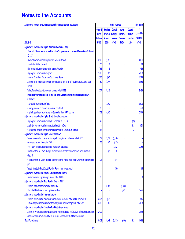| Adjustments between accounting basis and funding basis under regulations                                  | <b>Usable reserves</b> |                |                 | <b>Movement</b> |                  |                 |
|-----------------------------------------------------------------------------------------------------------|------------------------|----------------|-----------------|-----------------|------------------|-----------------|
|                                                                                                           | <b>General</b>         | <b>Housing</b> | <b>Capital</b>  | <b>Major</b>    | <b>Capital</b>   | in.             |
|                                                                                                           | Fund                   | Revenue        | <b>Receipts</b> | <b>Repairs</b>  | <b>Grants</b>    | <b>Unusable</b> |
|                                                                                                           | <b>Balance</b>         | <b>Account</b> | reserve         | <b>Reserve</b>  | <b>Unapplied</b> | <b>Reserves</b> |
| 2014/2015                                                                                                 | £'000                  | £'000          | £'000           | £'000           | £'000            | £'000           |
| Adjustments involving the Capital Adjustment Account (CAA):                                               |                        |                |                 |                 |                  |                 |
| Reversal of items debited or credited to the Comprehensive income and Expenditure Statement               |                        |                |                 |                 |                  |                 |
| (Ci & ES)                                                                                                 |                        |                |                 |                 |                  |                 |
| Charges for depreciation and impairment of non-current assets                                             | (3, 268)               | (1, 393)       |                 |                 |                  | 4,661           |
| Amortisation of intangible assets                                                                         | (36)                   | (7)            |                 |                 |                  | 43              |
| Movements in the market value of Investment Properties                                                    | (461)                  | (5)            |                 |                 |                  | 466             |
| Capital grants and contributions applied                                                                  | 1,503                  | 835            |                 |                 |                  | (2, 338)        |
| Revenue Expenditure Funded from Capital under Statute                                                     | (908)                  | (665)          |                 |                 |                  | 1,573           |
| Amounts of non-current assets written off on disposal or sale as part of the gain/loss on disposal to the | (59)                   | (3,004)        |                 |                 |                  | 3,063           |
| <b>CI&amp;ES</b>                                                                                          |                        |                |                 |                 |                  |                 |
| Write off of replaced asset components charged to the CI&ES                                               | (277)                  | (9, 216)       |                 |                 |                  | 9,493           |
| Insertion of items not debited or credited to the Comprehensive Income and Expenditure                    |                        |                |                 |                 |                  |                 |
| <b>Statement</b>                                                                                          |                        |                |                 |                 |                  |                 |
| Provision for the repayment of debt                                                                       |                        | 3,500          |                 |                 |                  | (3,500)         |
| Statutory provision for the financing of capital investment                                               | 796                    |                |                 |                 |                  | (796)           |
| Capital Expenditure charged against the General Fund and HRA balances                                     | 779                    | 4,740          |                 |                 |                  | (5, 519)        |
| Adjustments involving the Capital Grants Unapplied Account:                                               |                        |                |                 |                 |                  |                 |
| Capital grants and contributions unapplied credited to the CI&ES                                          | 22                     |                |                 |                 | (22)             |                 |
| Application of grants to capital financing transferred to the CAA                                         |                        |                |                 |                 | 821              | (821)           |
| Capital grants unapplied reclassified and transferred to the General Fund Balance                         | (83)                   |                |                 |                 | 83               |                 |
| Adjustments involving the Capital Receipts Reserve                                                        |                        |                |                 |                 |                  |                 |
| Transfer of cash sale proceeds credited as part of the gain/loss on disposal to the CI&ES                 | 59                     | 5,137          | (5, 196)        |                 |                  |                 |
| Other capital receipts taken to the CI&ES                                                                 | 78                     | 85             | (163)           |                 |                  |                 |
| Use of the Capital Receipts Reserve to finance new expenditure                                            |                        |                | 2,362           |                 |                  | (2, 362)        |
| Contribution from the Capital Receipts Reserve towards the administrative costs of non-current asset      |                        | (35)           | 35              |                 |                  |                 |
| disposals                                                                                                 |                        |                |                 |                 |                  |                 |
| Contribution from the Capital Receipts Reserve to finance the payments to the Government capital receipts | (834)                  |                | 834             |                 |                  |                 |
| pool                                                                                                      |                        |                |                 |                 |                  |                 |
| Transfer from the Deferred Capital Receipts Reserve upon receipt of cash                                  |                        |                | (15)            |                 |                  | 15              |
| Adjustments involving the Deferred Capital Receipts Reserve                                               |                        |                |                 |                 |                  |                 |
| Transfer of deferred capital receipts credited to the CI&ES                                               | 30                     |                |                 |                 |                  | (30)            |
| Adjustments involving the Major Repairs Reserve (MRR)                                                     |                        |                |                 |                 |                  |                 |
| Reversal of the depreciation credited to the HRA                                                          |                        | 5,865          |                 | (5,865)         |                  |                 |
| Use of the MRR to finance new capital expenditure                                                         |                        |                |                 | 5,475           |                  | (5, 475)        |
| <b>Adjustments involving the Pensions Reserve</b>                                                         |                        |                |                 |                 |                  |                 |
| Reversal of items relating to retirement benefits debited or credited to the CI&ES (see note 39)          | (3, 337)               | (578)          |                 |                 |                  | 3,915           |
| Employer's pensions contributions and direct payments to pensioners payable in the year                   | 2,399                  | 409            |                 |                 |                  | (2,808)         |
| Adjustments involving the Collection Fund Adjustment Account                                              |                        |                |                 |                 |                  |                 |
| Amount by which council tax and business rate income credited to the CI&ES is different from council tax  | (2,032)                |                |                 |                 |                  | 2,032           |
| and business rate income calculated for the year in accordance with statutory requirements                |                        |                |                 |                 |                  |                 |
| <b>Total Adjustments</b>                                                                                  | (5, 629)               | 5,668          | (2, 143)        | (390)           | 882              | 1,612           |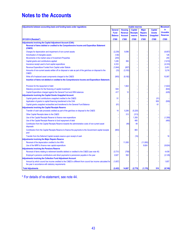| Adjustments between accounting basis and funding basis under regulations                                                                                           | <b>Usable reserves</b> |                |                 |                | <b>Movement</b>  |                 |
|--------------------------------------------------------------------------------------------------------------------------------------------------------------------|------------------------|----------------|-----------------|----------------|------------------|-----------------|
|                                                                                                                                                                    | <b>General</b>         | <b>Housing</b> | <b>Capital</b>  | <b>Major</b>   | <b>Capital</b>   | in              |
|                                                                                                                                                                    | <b>Fund</b>            | <b>Revenue</b> | <b>Receipts</b> | <b>Repairs</b> | <b>Grants</b>    | <b>Unusable</b> |
|                                                                                                                                                                    | <b>Balance</b>         | <b>Account</b> | reserve         | <b>Reserve</b> | <b>Unapplied</b> | <b>Reserves</b> |
| 2013/2014 (Restated*)                                                                                                                                              | £'000                  | £'000          | £'000           | £'000          | £'000            | £'000           |
| <b>Adjustments involving the Capital Adjustment Account (CAA):</b>                                                                                                 |                        |                |                 |                |                  |                 |
| Reversal of items debited or credited to the Comprehensive Income and Expenditue Statement                                                                         |                        |                |                 |                |                  |                 |
| (CI&ES)                                                                                                                                                            |                        |                |                 |                |                  |                 |
| Charges for depreciation and impairment of non-current assets                                                                                                      | (2, 239)               | 9,096          |                 |                |                  | (6, 857)        |
| Amortisation of intangible assets                                                                                                                                  | (126)                  |                |                 |                |                  | 126             |
| Movements in the market value of Investment Properties                                                                                                             | (255)                  |                |                 |                |                  | 255             |
| Capital grants and contributions applied                                                                                                                           | 1,226                  | 384            |                 |                |                  | (1,610)         |
| Insurance receipt used to fund capital expenditure                                                                                                                 | 4,333                  |                |                 |                |                  | (4, 333)        |
| Revenue Expenditure Funded from Capital under Statute                                                                                                              | (1, 844)               | (607)          |                 |                |                  | 2,451           |
| Amounts of non-current assets written off on disposal or sale as part of the gain/loss on disposal to the<br><b>CI&amp;ES</b>                                      | (33)                   | (3, 183)       |                 |                |                  | 3,216           |
| Write off of replaced asset components charged to the CI&ES                                                                                                        | (905)                  | (9, 182)       |                 |                |                  | 10,087          |
| Insertion of items not debited or credited to the Comprehensive Income and Expenditure Statement;                                                                  |                        |                |                 |                |                  |                 |
| Provision for the repayment of debt                                                                                                                                |                        | 1,822          |                 |                |                  | (1,822)         |
| Statutory provision for the financing of capital investment                                                                                                        | 644                    |                |                 |                |                  | (644)           |
| Capital Expenditure charged against the General Fund and HRA balances                                                                                              | 417                    | 12             |                 |                |                  | (429)           |
| <b>Adjustments involving the Capital Grants Unapplied Account:</b>                                                                                                 |                        |                |                 |                |                  |                 |
| Capital grants and contributions unapplied credited to the CI&ES                                                                                                   | 51                     |                |                 |                | (51)             |                 |
| Application of grants to capital financing transferred to the CAA                                                                                                  |                        |                |                 |                | 509              | (509)           |
| Capital grants unapplied reclassified and transferred to the General Fund Balance                                                                                  | (61)                   |                |                 |                | 61               |                 |
| <b>Adjustments involving the Capital Receipts Reserve</b>                                                                                                          |                        |                |                 |                |                  |                 |
| Transfer of cash sale proceeds credited as part of the gain/loss on disposal to the CI&ES                                                                          | 14                     | 5,206          | (5, 220)        |                |                  |                 |
| Other Capital Receipts taken to the CI&ES                                                                                                                          |                        | 313            | (313)           |                |                  |                 |
| Use of the Capital Receipts Reserve to finance new expenditure                                                                                                     |                        |                | 1,359           |                |                  | (1, 359)        |
| Use of the Capital Receipts Reserve to fund repayment of debt                                                                                                      |                        |                | 480             |                |                  | (480)           |
| Contribution from the Capital Receipts Reserve towards the administrative costs of non-current asset<br>disposals                                                  |                        | (48)           | 48              |                |                  |                 |
| Contribution from the Capital Receipts Reserve to finance the payments to the Government capital receipts<br>pool                                                  | (883)                  |                | 883             |                |                  |                 |
| Transfer from the Deferred Capital receipts reserve upon receipt of cash                                                                                           |                        |                | (16)            |                |                  | 16              |
| <b>Adjustments involving the Major Repairs Reserve</b>                                                                                                             |                        |                |                 |                |                  |                 |
| Reversal of the depreciation credited to the HRA                                                                                                                   |                        | 11,000         |                 | (11,000)       |                  |                 |
| Use of the MRR to finance new capital expenditure                                                                                                                  |                        |                |                 | 9,824          |                  | (9,824)         |
| <b>Adjustments involving the Pensions Reserve</b>                                                                                                                  |                        |                |                 |                |                  |                 |
| Reversal of items relating to retirement benefits debited or credited to the CI&ES (see note 40)                                                                   | (3,731)                | (708)          |                 |                |                  | 4,439           |
| Employer's pensions contributions and direct payments to pensioners payable in the year                                                                            | 2,627                  | 502            |                 |                |                  | (3, 129)        |
| <b>Adjustments involving the Collection Fund Adjustment Account</b>                                                                                                |                        |                |                 |                |                  |                 |
| Amount by which council tax income credited to the CI&ES is different from council tax income calculated for<br>the year in accordance with statutory requirements | (1,657)                |                |                 |                |                  | 1,657           |
| <b>Total Adjustments</b>                                                                                                                                           | (2, 422)               | 14,607         | (2,779)         | (1, 176)       | 519              | (8,749)         |

\* For details of re-statement, see note 44.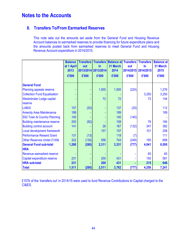## **8. Transfers To/From Earmarked Reserves**

This note sets out the amounts set aside from the General Fund and Housing Revenue Account balances to earmarked reserves to provide financing for future expenditure plans and the amounts posted back from earmarked reserves to meet General Fund and Housing Revenue Account expenditure in 2014/2015.

|                                     | <b>Balance</b><br>at 1 April<br>2013<br>£'000 | <b>Transfers</b><br>out<br>£'000 | <b>Transfers</b><br>$\ln$<br>2013/2014 2013/2014<br>£'000 | <b>Balance at Transfers</b><br>31 March<br>2014<br>£'000 | out<br>2014/2015<br>£'000 | <b>Transfers</b><br>$\ln$<br>2014/2015<br>£'000 | <b>Balance at</b><br>31 March<br>2015<br>£'000 |
|-------------------------------------|-----------------------------------------------|----------------------------------|-----------------------------------------------------------|----------------------------------------------------------|---------------------------|-------------------------------------------------|------------------------------------------------|
| <b>General Fund</b>                 |                                               |                                  |                                                           |                                                          |                           |                                                 |                                                |
| Planning appeals reserve            |                                               |                                  | 1,500                                                     | 1,500                                                    | (224)                     |                                                 | 1,276                                          |
| <b>Collection Fund Equalisation</b> |                                               |                                  |                                                           |                                                          |                           | 3,250                                           | 3,250                                          |
| Westminster Lodge capital           |                                               |                                  | 72                                                        | 72                                                       |                           | 72                                              | 144                                            |
| reserve                             |                                               |                                  |                                                           |                                                          |                           |                                                 |                                                |
| <b>LABGI</b>                        | 157                                           | (20)                             |                                                           | 137                                                      | (25)                      |                                                 | 112                                            |
| <b>Amenity Area Maintenance</b>     | 189                                           |                                  |                                                           | 189                                                      |                           |                                                 | 189                                            |
| S52 Town & Country Planning         | 140                                           |                                  |                                                           | 140                                                      | (140)                     |                                                 |                                                |
| <b>Building maintenance reserve</b> | 200                                           | (92)                             |                                                           | 108                                                      |                           | 76                                              | 184                                            |
| <b>Building control account</b>     | 141                                           |                                  | 26                                                        | 167                                                      | (132)                     | 347                                             | 382                                            |
| Local development framework         |                                               |                                  | 157                                                       | 157                                                      |                           | 101                                             | 258                                            |
| <b>Performance Reward Grant</b>     | 131                                           | (13)                             |                                                           | 118                                                      | (7)                       |                                                 | 111                                            |
| <b>Other Reserves Under £100k</b>   | 322                                           | (135)                            | 556                                                       | 743                                                      | (249)                     | 195                                             | 689                                            |
| <b>General Fund sub-total</b>       | 1,280                                         | (260)                            | 2,311                                                     | 3,331                                                    | (777)                     | 4,041                                           | 6,595                                          |
| <b>HRA</b>                          |                                               |                                  |                                                           |                                                          |                           |                                                 |                                                |
| Revenue earmarked reserve           |                                               |                                  |                                                           |                                                          |                           | 65                                              | 65                                             |
| Capital expenditure reserve         | 231                                           |                                  | 200                                                       | 431                                                      |                           | 150                                             | 581                                            |
| <b>HRA sub-total</b>                | 231                                           |                                  | 200                                                       | 431                                                      |                           | 215                                             | 646                                            |
| <b>Total</b>                        | 1,511                                         | (260)                            | 2,511                                                     | 3,762                                                    | (777)                     | 4,256                                           | 7,241                                          |

£157k of the 'transfers out' in 2014/15 were used to fund Revenue Contributions to Capital charged to the CI&ES.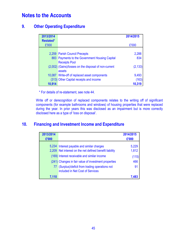## **9. Other Operating Expenditure**

| 2013/2014        |                                                       | 2014/2015 |
|------------------|-------------------------------------------------------|-----------|
| <b>Restated*</b> |                                                       |           |
| £'000            |                                                       | £'000     |
|                  |                                                       |           |
|                  | 2,259 Parish Council Precepts                         | 2,288     |
|                  | 883 Payments to the Government Housing Capital        | 834       |
|                  | <b>Receipts Pool</b>                                  |           |
|                  | (2,002) (Gains)/losses on the disposal of non-current | (2, 133)  |
|                  | assets                                                |           |
|                  | 10,087 Write-off of replaced asset components         | 9,493     |
|                  | (313) Other Capital receipts and income               | (163)     |
| 10,914           |                                                       | 10,319    |

\* For details of re-statement, see note 44.

Write off or derecognition of replaced components relates to the writing off of significant components (for example bathrooms and windows) of housing properties that were replaced during the year. In prior years this was disclosed as an impairment but is more correctly disclosed here as a type of 'loss on disposal'.

## **10. Financing and Investment Income and Expenditure**

| 2013/2014<br>£'000 |                                                                                                       | 2014/2015<br>£'000 |
|--------------------|-------------------------------------------------------------------------------------------------------|--------------------|
|                    | 5,234 Interest payable and similar charges<br>2,209 Net interest on the net defined benefit liability | 5,229<br>1,812     |
|                    | (169) Interest receivable and similar income                                                          | (115)              |
|                    | (241) Changes in fair value of investment properties                                                  | 466                |
|                    | 77 (Surplus)/deficit from trading operations not<br>included in Net Cost of Services                  | 91                 |
| 7.110              |                                                                                                       | 7.48.              |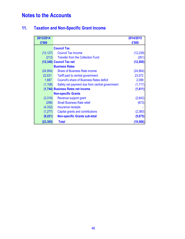# **11. Taxation and Non-Specific Grant Income**

| 2013/2014<br>£'000 |                                                  | 2014/2015<br>£'000 |
|--------------------|--------------------------------------------------|--------------------|
|                    |                                                  |                    |
|                    | <b>Council Tax</b>                               |                    |
| (12, 127)          | <b>Council Tax Income</b>                        | (12, 239)          |
| (213)              | <b>Transfer from the Collection Fund</b>         | (261)              |
|                    | (12,340) Council Tax net                         | (12,500)           |
|                    | <b>Business Rates</b>                            |                    |
| (24, 954)          | <b>Share of Business Rate income</b>             | (24, 864)          |
| 22,631             | Tariff paid to central government                | 23,072             |
| 1,687              | <b>Council's share of Business Rates deficit</b> | 2,098              |
| (1, 108)           | Safety net payment due from central government   | (1,717)            |
|                    | (1,744) Business Rates net income                | (1, 411)           |
|                    | <b>Non-specific Grants</b>                       |                    |
| (3,316)            | Revenue support grant                            | (2,642)            |
| (296)              | <b>Small Business Rate relief</b>                | (673)              |
| (4, 332)           | Insurance receipts                               |                    |
| (1, 277)           | Capital grants and contributions                 | (2,360)            |
| (9,221)            | <b>Non-specific Grants sub-total</b>             | (5,675)            |
| (23, 305)          | <b>Total</b>                                     | (19, 586)          |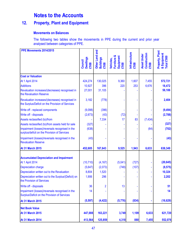## **12. Property, Plant and Equipment**

### **Movements on Balances**

The following two tables show the movements in PPE during the current and prior year analysed between categories of PPE.

| PPE Movements 2014/2015                                                                             |                                      |                                             |                                                |                         |                                             |                                               |
|-----------------------------------------------------------------------------------------------------|--------------------------------------|---------------------------------------------|------------------------------------------------|-------------------------|---------------------------------------------|-----------------------------------------------|
|                                                                                                     | <b>Dwellings</b><br>Council<br>£'000 | Other Land and<br><b>Buildings</b><br>£'000 | Furniture &<br>Equipment<br>Vehicles,<br>£'000 | Infrastructure<br>£'000 | Construction<br><b>Asset Under</b><br>£'000 | Property, Plant<br>& Equipment<br>Total £'000 |
| <b>Cost or Valuation</b>                                                                            |                                      |                                             |                                                |                         |                                             |                                               |
| At 1 April 2014                                                                                     | 424,274                              | 130,025                                     | 9,360                                          | 1,607                   | 7,455                                       | 572,721                                       |
| <b>Additions</b>                                                                                    | 10,927                               | 396                                         | 220                                            | 253                     | 6,676                                       | 18,472                                        |
| Revaluation increases/(decreases) recognised in<br>the Revaluation Reserve                          | 27,001                               | 31,105                                      |                                                |                         |                                             | 58,106                                        |
| Revaluation increases/(decreases) recognised in<br>the Surplus/Deficit on the Provision of Services | 3,182                                | (778)                                       |                                                |                         |                                             | 2,404                                         |
| Write off - replaced components                                                                     | (9,098)                              | (396)                                       |                                                |                         |                                             | (9, 494)                                      |
| Write off - disposals                                                                               | (2,673)                              | (43)                                        | (72)                                           |                         |                                             | (2,788)                                       |
| Assets reclassified (to)/from                                                                       |                                      | 7,334                                       | 17                                             | 83                      | (7, 434)                                    |                                               |
| Assets reclassified (to)/from assets held for sale                                                  | (327)                                |                                             |                                                |                         |                                             | (327)                                         |
| Impairment (losses)/reversals recognised in the<br>surplus/deficit on the Provision of Services     | (638)                                |                                             |                                                |                         | (64)                                        | (702)                                         |
| Impairment (losses)/reversals recognised in the<br><b>Revaluation Reserve</b>                       | (43)                                 |                                             |                                                |                         |                                             | (43)                                          |
| <b>At 31 March 2015</b>                                                                             | 452,605                              | 167,643                                     | 9,525                                          | 1,943                   | 6,633                                       | 638,349                                       |
| <b>Accumulated Depreciation and Impairment</b>                                                      |                                      |                                             |                                                |                         |                                             |                                               |
| At 1 April 2014                                                                                     | (10, 710)                            | (4, 167)                                    | (5,041)                                        | (727)                   |                                             | (20, 645)                                     |
| <b>Depreciation charge</b>                                                                          | (5,647)                              | (2,073)                                     | (748)                                          | (107)                   |                                             | (8, 575)                                      |
| Depreciation written out to the Revaluation                                                         | 8,804                                | 1,520                                       |                                                |                         |                                             | 10,324                                        |
| Depreciation written out to the Surplus/(Deficit) on<br>the Provision of Services                   | 1,906                                | 296                                         |                                                |                         |                                             | 2,202                                         |
| Write off - disposals                                                                               | 36                                   | $\overline{2}$                              | 13                                             |                         |                                             | 51                                            |
| Impairment (losses)/reversals recognised in the<br>Surplus/Deficit on the Provision of Services     | 14                                   |                                             |                                                |                         |                                             | 14                                            |
| <b>At 31 March 2015</b>                                                                             | (5, 597)                             | (4, 422)                                    | (5,776)                                        | (834)                   |                                             | (16, 629)                                     |
| <b>Net Book Value</b>                                                                               |                                      |                                             |                                                |                         |                                             |                                               |
| <b>At 31 March 2015</b>                                                                             | 447,008                              | 163,221                                     | 3,749                                          | 1,109                   | 6,633                                       | 621,720                                       |
| <b>At 31 March 2014</b>                                                                             | 413,564                              | 125,859                                     | 4,318                                          | 880                     | 7,455                                       | 552,076                                       |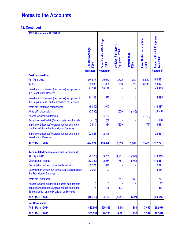### **12. Continued**

| PPE Movements 2013/2014                                                                             |                                         |                                                       |                                          |                         |                                   |                                                                    |
|-----------------------------------------------------------------------------------------------------|-----------------------------------------|-------------------------------------------------------|------------------------------------------|-------------------------|-----------------------------------|--------------------------------------------------------------------|
|                                                                                                     | Council Dwellings<br>£'000<br>Restated* | Other Land and Buildings<br>£'000<br><b>Restated*</b> | Vehicles, Furniture &<br>Equipment £'000 | Infrastructure<br>£'000 | Asset Under Construction<br>£'000 | <b>Property, Plant &amp; Equipment</b><br>Total £'000<br>Restated* |
| <b>Cost or Valuation</b>                                                                            |                                         |                                                       |                                          |                         |                                   |                                                                    |
| <b>At 1 April 2013</b>                                                                              | 364,815                                 | 99,933                                                | 9,572                                    | 1,759                   | 5,552                             | 481,631                                                            |
| <b>Additions</b>                                                                                    | 9,660                                   | 860                                                   | 736                                      | 28                      | 6,743                             | 18,027                                                             |
| Revaluation increases/(decreases) recognised in<br>the Revaluation Reserve                          | 21,737                                  | 28,178                                                |                                          |                         |                                   | 49,915                                                             |
| Revaluation increases/(decreases) recognised in<br>the Surplus/Deficit on the Provision of Services | 14,108                                  | 577                                                   |                                          |                         |                                   | 14,685                                                             |
| Write off - replaced components                                                                     | (9,040)                                 | (1,047)                                               |                                          |                         |                                   | (10, 087)                                                          |
| Write off - disposals                                                                               | (2,730)                                 |                                                       | (620)                                    | (180)                   |                                   | (3,530)                                                            |
| Assets reclassified (to)/from                                                                       |                                         | 4,763                                                 |                                          |                         | (4, 763)                          |                                                                    |
| Assets reclassified (to)/from assets held for sale                                                  | (110)                                   | (58)                                                  |                                          |                         |                                   | (168)                                                              |
| Impairment (losses)/reversals recognised in the<br>surplus/deficit on the Provision of Services     | 2,911                                   | (834)                                                 | (329)                                    |                         | (77)                              | 1,671                                                              |
| Impairment (losses)/reversals recognised in the<br><b>Revaluation Reserve</b>                       | 22,923                                  | (2,346)                                               |                                          |                         |                                   | 20,577                                                             |
| <b>At 31 March 2014</b>                                                                             | 424,274                                 | 130,026                                               | 9,359                                    | 1,607                   | 7,455                             | 572,721                                                            |
| <b>Accumulated Depreciation and Impairment</b>                                                      |                                         |                                                       |                                          |                         |                                   |                                                                    |
| <b>At 1 April 2013</b>                                                                              | (9, 723)                                | (3,702)                                               | (4,981)                                  | (807)                   |                                   | (19, 213)                                                          |
| <b>Depreciation charge</b>                                                                          | (10, 722)                               | (2, 264)<br>870                                       | (781)                                    | (100)                   |                                   | (13, 867)<br>7,641                                                 |
| Depreciation written out to the Revaluation<br>Depreciation written out to the Surplus/(Deficit) on | 6,771<br>2,954                          | 197                                                   |                                          |                         |                                   | 3,151                                                              |
| the Provision of Services                                                                           |                                         |                                                       |                                          |                         |                                   |                                                                    |
| Write off - disposals                                                                               |                                         |                                                       | 587                                      | 180                     |                                   | 767                                                                |
| Assets reclassified (to)/from assets held for sale                                                  | 5                                       | $\overline{7}$                                        |                                          |                         |                                   | 12                                                                 |
| Impairment (losses)/reversals recognised in the<br>Surplus/Deficit on the Provision of Services     | 5                                       | 725                                                   | 134                                      |                         |                                   | 864                                                                |
| <b>At 31 March 2014</b>                                                                             | (10, 710)                               | (4, 167)                                              | (5,041)                                  | (727)                   |                                   | (20, 645)                                                          |
| <b>Net Book Value</b>                                                                               |                                         |                                                       |                                          |                         |                                   |                                                                    |
| <b>At 31 March 2014</b>                                                                             | 413,564                                 | 125,859                                               | 4,318                                    | 880                     | 7,455                             | 552,076                                                            |
| <b>At 31 March 2013</b>                                                                             | 355,092                                 | 96,231                                                | 4,591                                    | 952                     | 5,552                             | 462,418                                                            |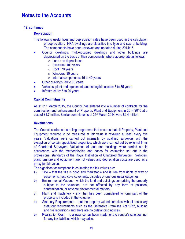### **12. continued**

#### **Depreciation**

- The following useful lives and depreciation rates have been used in the calculation of depreciation. HRA dwellings are classified into type and size of building. The components have been reviewed and updated during 2014/15.
- Council dwellings, multi-occupied dwellings and other buildings are depreciated on the basis of their components, where appropriate as follows:
	- $\circ$  Land : no depreciation
	- o Structure: 100 years
	- o Roof : 70 years
	- o Windows: 30 years
	- $\circ$  Internal components: 15 to 40 years
- Other buildings: 30 to 60 years
- Vehicles, plant and equipment, and intangible assets: 3 to 35 years
- Infrastructure: 5 to 20 years

#### **Capital Commitments**

As at 31<sup>st</sup> March 2015, the Council has entered into a number of contracts for the con**s**truction and enhancement of Property, Plant and Equipment in 2014/2015 at a cost of £1.7 million. Similar commitments at 31st March 2014 were £2.4 million.

#### **Revaluations**

The Council carries out a rolling programme that ensures that all Property, Plant and Equipment required to be measured at fair value is revalued at least every five years. Valuations were carried out internally by qualified surveyors with the exception of certain specialised properties, which were carried out by external firms of Chartered Surveyors. Valuations of land and buildings were carried out in accordance with the methodologies and bases for estimation set out in the professional standards of the Royal Institution of Chartered Surveyors. Vehicles, plant furniture and equipment are not valued and depreciation costs are used as a proxy for fair value.

The significant assumptions in estimating the fair values are:

- a) Title that the title is good and marketable and is free from rights of way or easements, restrictive covenants, disputes or onerous usual outgoings.
- b) Environmental Matters which the land and buildings comprising the property subject to the valuation, are not affected by any form of pollution, contamination, or adverse environmental matters.
- c) Plant and machinery any that has been considered to form part of the property is included in the valuation.
- d) Statutory Requirements that the property valued complies with all necessary statutory requirements such as the Defensive Premises Act 1972, building and fire regulations and there are no outstanding notices.
- e) Realisation Cost no allowance has been made for the vendor's sale cost nor for any tax liabilities which may arise.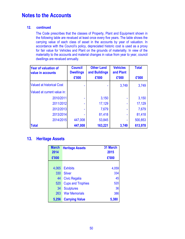### **12. continued**

The Code prescribes that the classes of Property, Plant and Equipment shown in the following table are revalued at least once every five years. The table shows the carrying value of each class of asset in the accounts by year of valuation. In accordance with the Council's policy, depreciated historic cost is used as a proxy for fair value for Vehicles and Plant on the grounds of materiality. In view of the materiality to the accounts and material changes in value from year to year, council dwellings are revalued annually.

| <b>Year of valuation of</b><br>value in accounts | <b>Council</b><br><b>Dwellings</b> | <b>Other Land</b><br>and Buildings | <b>Vehicles</b><br>and Plant | <b>Total</b> |
|--------------------------------------------------|------------------------------------|------------------------------------|------------------------------|--------------|
|                                                  | £'000                              | £'000                              | £'000                        | £'000        |
| <b>Valued at historical Cost</b>                 |                                    |                                    | 3,749                        | 3,749        |
| Valued at current value in:                      |                                    |                                    |                              |              |
| 2010/2011                                        |                                    | 3,150                              |                              | 3,150        |
| 2011/2012                                        | $\blacksquare$                     | 17,129                             |                              | 17,129       |
| 2012/2013                                        |                                    | 7,679                              |                              | 7,679        |
| 2013/2014                                        |                                    | 81,418                             |                              | 81,418       |
| 2014/2015                                        | 447,008                            | 53,845                             |                              | 500,853      |
| <b>Total</b>                                     | 447,008                            | 163,221                            | 3,749                        | 613,978      |

### **13. Heritage Assets**

| <b>March</b><br>2014 | <b>Heritage Assets</b>   | 31 March<br>2015 |
|----------------------|--------------------------|------------------|
| £'000                |                          | £'000            |
|                      |                          |                  |
| 4,065                | <b>Exhibits</b>          | 4,059            |
| 330                  | <b>Silver</b>            | 334              |
| 44                   | <b>Civic Regalia</b>     | 45               |
| 520                  | <b>Cups and Trophies</b> | 520              |
| 34                   | <b>Sculptures</b>        | 36               |
| 263                  | <b>War Memorials</b>     | 386              |
| 5,256                | <b>Carrying Value</b>    | 5,380            |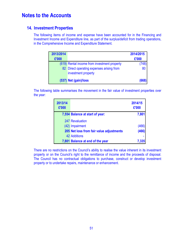### **14. Investment Properties**

The following items of income and expense have been accounted for in the Financing and Investment Income and Expenditure line, as part of the surplus/deficit from trading operations, in the Comprehensive Income and Expenditure Statement.

| 2013/2014<br>£'000 |                                                                  | 2014/2015<br>£'000 |
|--------------------|------------------------------------------------------------------|--------------------|
|                    | (619) Rental income from investment property                     | (748)              |
|                    | 82 Direct operating expenses arising from<br>investment property | 80                 |
|                    | (537) Net (gain)/loss                                            | (668)              |

The following table summarises the movement in the fair value of investment properties over the year:

| 2013/14<br>£'000 |                                          | 2014/15<br>£'000 |
|------------------|------------------------------------------|------------------|
|                  | 7,554 Balance at start of year:          | 7,801            |
|                  | 247 Revaluation                          |                  |
|                  | (42) Impairment                          | (466)            |
|                  | 205 Net loss from fair value adjustments | (466)            |
|                  | 42 Additions                             |                  |
|                  | 7,801 Balance at end of the year         | 7,335            |

There are no restrictions on the Council's ability to realise the value inherent in its investment property or on the Council's right to the remittance of income and the proceeds of disposal. The Council has no contractual obligations to purchase, construct or develop investment property or to undertake repairs, maintenance or enhancement.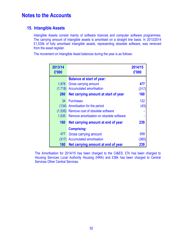### **15. Intangible Assets**

Intangible Assets consist mainly of software licences and computer software programmes. The carrying amount of intangible assets is amortised on a straight line basis. In 2013/2014 £1,535k of fully amortised intangible assets, representing obsolete software, was removed from the asset register.

The movement on Intangible Asset balances during the year is as follows:

| 2013/14<br>£'000 |                                          | 2014/15<br>£'000 |
|------------------|------------------------------------------|------------------|
|                  | <b>Balance at start of year:</b>         |                  |
| 1,978            | <b>Gross carrying amount</b>             | 477              |
| (1,718)          | <b>Accumulated amortisation</b>          | (317)            |
| <b>260</b>       | Net carrying amount at start of year     | 160              |
| 34               | <b>Purchases</b>                         | 122              |
| (134)            | Amortisation for the period              | (43)             |
| (1,535)          | Remove cost of obsolete software         |                  |
| 1,535            | Remove amortisation on obsolete software |                  |
| 160              | Net carrying amount at end of year       | 239              |
|                  | <b>Comprising:</b>                       |                  |
| 477              | Gross carrying amount                    | 599              |
| (317)            | <b>Accumulated amortisation</b>          | (360)            |
| 160              | Net carrying amount at end of year       | 239              |

The Amortisation for 2014/15 has been charged to the CI&ES. £7k has been charged to Housing Services Local Authority Housing (HRA) and £36k has been charged to Central Services Other Central Services.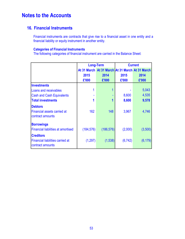### **16. Financial Instruments**

Financial instruments are contracts that give rise to a financial asset in one entity and a financial liability or equity instrument in another entity.

### **Categories of Financial Instruments**

The following categories of financial instrument are carried in the Balance Sheet:

|                                                                                 |            | <b>Long-Term</b>                                | <b>Current</b> |          |
|---------------------------------------------------------------------------------|------------|-------------------------------------------------|----------------|----------|
|                                                                                 |            | At 31 March At 31 March At 31 March At 31 March |                |          |
|                                                                                 | 2015       | 2014                                            | 2015           | 2014     |
|                                                                                 | £'000      | £'000                                           | £'000          | £'000    |
| Investments                                                                     |            |                                                 |                |          |
| Loans and receivables                                                           |            | 1                                               |                | 5,043    |
| <b>Cash and Cash Equivalents</b>                                                |            |                                                 | 8,600          | 4,535    |
| <b>Total investments</b>                                                        | 1          | 1                                               | 8,600          | 9,578    |
| <b>Debtors</b><br><b>Financial assets carried at</b><br>contract amounts        | 162        | 148                                             | 3,967          | 4,746    |
| <b>Borrowings</b><br><b>Financial liabilities at amortised</b>                  | (184, 576) | (186, 576)                                      | (2,000)        | (3,500)  |
| <b>Creditors</b><br><b>Financial liabilities carried at</b><br>contract amounts | (1,297)    | (1,538)                                         | (6, 742)       | (6, 179) |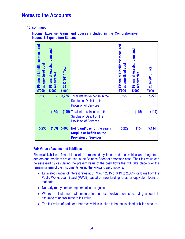**16. continued** 

**Income, Expense, Gains and Losses included in the Comprehensive Income & Expenditure Statement** 

| Financial Liabilities: measured<br>cost<br>at amortised<br>£'000 | Financial Assets: loans and<br>receivables<br>£'000 | 2013/2014 Total<br>£'000 |                                                                                                     | Financial Liabilities: measured<br>at amortised cost<br>£'000 | Financial Assets: loans and<br>receivables<br>£'000 | 2014/2015 Total<br>£'000 |
|------------------------------------------------------------------|-----------------------------------------------------|--------------------------|-----------------------------------------------------------------------------------------------------|---------------------------------------------------------------|-----------------------------------------------------|--------------------------|
| 5,235                                                            | ä,                                                  | 5,235                    | Total interest expense in the<br>Surplus or Deficit on the<br><b>Provision of Services</b>          | 5,229                                                         |                                                     | 5,229                    |
|                                                                  | (169)                                               |                          | (169) Total interest income in the<br>Surplus or Deficit on the<br><b>Provision of Services</b>     |                                                               | (115)                                               | (115)                    |
| 5,235                                                            | (169)                                               | 5,066                    | Net (gain)/loss for the year in<br><b>Surplus or Deficit on the</b><br><b>Provision of Services</b> | 5,229                                                         | (115)                                               | 5,114                    |

#### **Fair Value of assets and liabilities**

Financial liabilities, financial assets represented by loans and receivables and long- term debtors and creditors are carried in the Balance Sheet at amortised cost. Their fair value can be assessed by calculating the present value of the cash flows that will take place over the remaining term of the instruments, using the following assumptions:

- Estimated ranges of interest rates at 31 March 2015 of 0.19 to 2.06% for loans from the Public Works Loan Board (PWLB) based on new lending rates for equivalent loans at that date.
- No early repayment or impairment is recognised.
- Where an instrument will mature in the next twelve months, carrying amount is assumed to approximate to fair value.
- The fair value of trade or other receivables is taken to be the invoiced or billed amount.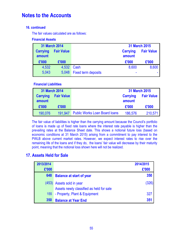### **16. continued**

The fair values calculated are as follows:

### **Financial Assets**

| <b>31 March 2014</b>                           |       |                            |                           | 31 March 2015     |
|------------------------------------------------|-------|----------------------------|---------------------------|-------------------|
| <b>Fair Value</b><br><b>Carrying</b><br>amount |       |                            | <b>Carrying</b><br>amount | <b>Fair Value</b> |
| £'000                                          | £'000 |                            | £'000                     | £'000             |
| 4,532                                          | 4,532 | Cash                       | 8,600                     | 8,600             |
| 5,043                                          | 5,048 | <b>Fixed term deposits</b> | ۰                         |                   |

### **Financial Liabilities**

| 31 March 2014             |                   |                                      |         | 31 March 2015     |
|---------------------------|-------------------|--------------------------------------|---------|-------------------|
| <b>Carrying</b><br>amount | <b>Fair Value</b> | <b>Carrying</b><br>amount            |         | <b>Fair Value</b> |
| £'000                     | £'000             |                                      | £'000   | £'000             |
| 190,076                   | 191.947           | <b>Public Works Loan Board loans</b> | 186,576 | 210,571           |

The fair value of liabilities is higher than the carrying amount because the Council's portfolio of loans is made up of fixed rate loans where the interest rate payable is higher than the prevailing rates at the Balance Sheet date. This shows a notional future loss (based on economic conditions at 31 March 2015) arising from a commitment to pay interest to the PWLB above current market rates. However, we expect interest rates to rise over the remaining life of the loans and if they do, the loans' fair value will decrease by their maturity point, meaning that the notional loss shown here will not be realized.

## **17. Assets Held for Sale**

| 2013/2014 |                                          | 2014/2015 |
|-----------|------------------------------------------|-----------|
| £'000     |                                          | £'000     |
| 648       | <b>Balance at start of year</b>          | 350       |
|           | (453) Assets sold in year                | (326)     |
|           | Assets newly classified as held for sale |           |
| 155       | - Property, Plant & Equipment            | 327       |
| 350       | <b>Balance at Year End</b>               | 351       |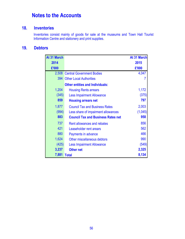### **18. Inventories**

Inventories consist mainly of goods for sale at the museums and Town Hall Tourist Information Centre and stationery and print supplies.

## **19. Debtors**

| At 31 March |                                           | <b>At 31 March</b> |
|-------------|-------------------------------------------|--------------------|
| 2014        |                                           | 2015               |
| £'000       |                                           | £'000              |
| 2,508       | <b>Central Government Bodies</b>          | 4,047              |
| 394         | <b>Other Local Authorities</b>            |                    |
|             | <b>Other entities and Individuals:</b>    |                    |
| 1,204       | <b>Housing Rents arrears</b>              | 1,172              |
| (345)       | <b>Less Impairment Allowance</b>          | (375)              |
| 859         | <b>Housing arrears net</b>                | 797                |
| 1,877       | <b>Council Tax and Business Rates</b>     | 2,003              |
| (994)       | Less share of impairment allowances       | (1,045)            |
| 883         | <b>Council Tax and Business Rates net</b> | 958                |
| 737         | Rent allowances and rebates               | 856                |
| 421         | Leaseholder rent arears                   | 562                |
| 880         | Payments in advance                       | 466                |
| 1,624       | Other miscellaneous debtors               | 990                |
| (425)       | <b>Less Impairment Allowance</b>          | (549)              |
| 3,237       | <b>Other net</b>                          | 2,325              |
| 7,881       | <b>Total</b>                              | 8,134              |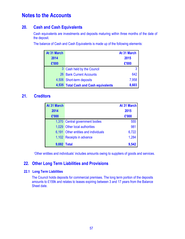## **20. Cash and Cash Equivalents**

Cash equivalents are investments and deposits maturing within three months of the date of the deposit.

The balance of Cash and Cash Equivalents is made up of the following elements:

| At 31 March |                                       | At 31 March |
|-------------|---------------------------------------|-------------|
| 2014        |                                       | 2015        |
| £'000       |                                       | £'000       |
|             | 3 Cash held by the Council            | 3           |
|             | 26 Bank Current Accounts              | 642         |
|             | 4,506 Short-term deposits             | 7,958       |
|             | 4,535 Total Cash and Cash equivalents | 8,603       |

## **21. Creditors**

| At 31 March |                                      | At 31 March |
|-------------|--------------------------------------|-------------|
| 2014        |                                      | 2015        |
| £'000       |                                      | £'000       |
|             | 1,370 Central government bodies      | 555         |
|             | 1,029 Other local authorities        | 981         |
|             | 6,191 Other entities and individuals | 6,722       |
|             | 1,102 Receipts in advance            | 1,284       |
| 9,692 Total |                                      | 9,542       |

'Other entities and individuals' includes amounts owing to suppliers of goods and services.

## **22. Other Long Term Liabilities and Provisions**

### **22.1 Long Term Liabilities**

The Council holds deposits for commercial premises. The long term portion of the deposits amounts to £159k and relates to leases expiring between 3 and 17 years from the Balance Sheet date.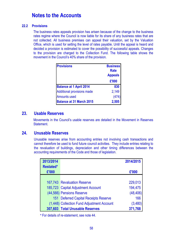#### **22.2 Provisions**

 The business rates appeals provision has arisen because of the change to the business rates regime where the Council is now liable for its share of any business rates that are not collected. All business premises can appeal their valuation, set by the Valuation Office, which is used for setting the level of rates payable. Until the appeal is heard and decided a provision is estimated to cover the possibility of successful appeals. Changes to the provision are charged to the Collection Fund. The following table shows the movement in the Council's 40% share of the provision.

| <b>Provisions</b>                 | <b>Business</b><br><b>Rate</b><br><b>Appeals</b><br>£'000 |
|-----------------------------------|-----------------------------------------------------------|
| <b>Balance at 1 April 2014</b>    | 830                                                       |
| <b>Additional provisions made</b> | 2,149                                                     |
| <b>Amounts used</b>               | (474)                                                     |
| <b>Balance at 31 March 2015</b>   | 2,505                                                     |

### **23. Usable Reserves**

Movements in the Council's usable reserves are detailed in the Movement in Reserves Statement.

### **24. Unusable Reserves**

Unusable reserves arise from accounting entries not involving cash transactions and cannot therefore be used to fund future council activities. They include entries relating to the revaluation of buildings, depreciation and other timing differences between the accounting requirements of the Code and those of legislation.

| 2013/2014        |                                            | 2014/2015 |
|------------------|--------------------------------------------|-----------|
| <b>Restated*</b> |                                            |           |
| £'000            |                                            | £'000     |
|                  |                                            |           |
|                  | 167,743 Revaluation Reserve                | 229,013   |
|                  | 185,723 Capital Adjustment Account         | 194,475   |
|                  | (44,566) Pensions Reserve                  | (48, 406) |
|                  | 151 Deferred Capital Receipts Reserve      | 166       |
|                  | (1,448) Collection Fund Adjustment Account | (3,480)   |
|                  | 307,603 Total Unusable Reserves            | 371,768   |

 **\*** For details of re-statement, see note 44.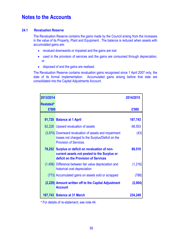### **24.1 Revaluation Reserve**

The Revaluation Reserve contains the gains made by the Council arising from the increases in the value of its Property, Plant and Equipment. The balance is reduced when assets with accumulated gains are:

- revalued downwards or impaired and the gains are lost
- used in the provision of services and the gains are consumed through depreciation, or
- disposed of and the gains are realised.

The Revaluation Reserve contains revaluation gains recognised since 1 April 2007 only, the date of its formal implementation. Accumulated gains arising before that date are consolidated into the Capital Adjustments Account.

| 2013/2014        |                                                                                                                                           | 2014/2015 |
|------------------|-------------------------------------------------------------------------------------------------------------------------------------------|-----------|
| <b>Restated*</b> |                                                                                                                                           |           |
| £'000            |                                                                                                                                           | £'000     |
|                  | 91,720 Balance at 1 April                                                                                                                 | 167,743   |
|                  | 82,226 Upward revaluation of assets                                                                                                       | 68,553    |
|                  | (3,974) Downward revaluation of assets and impairment<br>losses not charged to the Surplus/Deficit on the<br><b>Provision of Services</b> | (43)      |
|                  | 78,252 Surplus or deficit on revaluation of non-<br>current assets not posted to the Surplus or<br>deficit on the Provision of Services   | 68,510    |
|                  | (1,456) Difference between fair value depreciation and<br>historical cost depreciation                                                    | (1,216)   |
|                  | (773) Accumulated gains on assets sold or scrapped                                                                                        | (788)     |
|                  | (2,229) Amount written off to the Capital Adjustment<br><b>Account</b>                                                                    | (2,004)   |
|                  | 167,743 Balance at 31 March                                                                                                               | 234,249   |

 **\*** For details of re-statement, see note 44.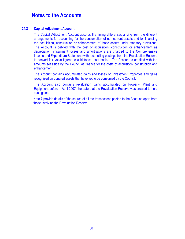#### **24.2 Capital Adjustment Account**

The Capital Adjustment Account absorbs the timing differences arising from the different arrangements for accounting for the consumption of non-current assets and for financing the acquisition, construction or enhancement of those assets under statutory provisions. The Account is debited with the cost of acquisition, construction or enhancement as depreciation, impairment losses and amortisations are charged to the Comprehensive Income and Expenditure Statement (with reconciling postings from the Revaluation Reserve to convert fair value figures to a historical cost basis). The Account is credited with the amounts set aside by the Council as finance for the costs of acquisition, construction and enhancement.

The Account contains accumulated gains and losses on Investment Properties and gains recognised on donated assets that have yet to be consumed by the Council.

The Account also contains revaluation gains accumulated on Property, Plant and Equipment before 1 April 2007, the date that the Revaluation Reserve was created to hold such gains.

Note 7 provide details of the source of all the transactions posted to the Account, apart from those involving the Revaluation Reserve.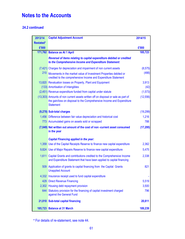### **24.2 continued**

| 2013/14   | <b>Capital Adjustment Account</b>                                                                                                                                              | 2014/15   |
|-----------|--------------------------------------------------------------------------------------------------------------------------------------------------------------------------------|-----------|
| Restated* |                                                                                                                                                                                |           |
| £'000     |                                                                                                                                                                                | £'000     |
|           | 171,762 Balance as At 1 April                                                                                                                                                  | 185,723   |
|           | Reversal of items relating to capital expenditure debited or credited<br>to the Comprehensive Income and Expenditure Statement:                                                |           |
|           | (7,421) Charges for depreciation and impairment of non current assets                                                                                                          | (8, 575)  |
| 210       | Movements in the market value of Investment Properties debited or<br>credited to the comprehensive Income and Expenditure Statement                                            | (466)     |
|           | 13,820 Revaluation losses on Property, Plant and Equipment                                                                                                                     | 3,913     |
|           | (133) Amortisation of Intangibles                                                                                                                                              | (42)      |
|           | (2,451) Revenue expenditure funded from capital under statute                                                                                                                  | (1, 573)  |
|           | (13,303) Amounts of non current assets written off on disposal or sale as part of<br>the gain/loss on disposal to the Comprehensive Income and Expenditure<br><b>Statement</b> | (12, 556) |
|           | (9,278) Sub-total charges                                                                                                                                                      | (19,299)  |
|           | 1,456 Difference between fair value depreciation and historical cost                                                                                                           | 1,216     |
|           | 773 Accumulated gains on assets sold or scrapped                                                                                                                               | 788       |
|           | (7,049) Net written out amount of the cost of non -current asset consumed<br>in the year                                                                                       | (17, 295) |
|           | <b>Capital Financing applied in the year:</b>                                                                                                                                  |           |
|           | 1,359 Use of the Capital Receipts Reserve to finance new capital expenditure                                                                                                   | 2,362     |
|           | 9,824 Use of Major Repairs Reserve to finance new capital expenditure                                                                                                          | 5,475     |
| 1,611     | Capital Grants and contributions credited to the Comprehensive Income<br>and Expenditure Statement that have been applied to capital financing                                 | 2,338     |
|           | 509 Application of grants to capital financing from the Capital Grants<br><b>Unapplied Account</b>                                                                             | 821       |
| 4,332     | Insurance receipt used to fund capital expenditure                                                                                                                             |           |
|           | 429 Direct Revenue Financing                                                                                                                                                   | 5,519     |
|           | 2,302 Housing debt repayment provision                                                                                                                                         | 3,500     |
|           | 644 Statutory provision for the financing of capital investment charged<br>against the General Fund                                                                            | 796       |
|           | 21,010 Sub-total capital financing                                                                                                                                             | 20,811    |
|           | 185,723 Balance at 31 March                                                                                                                                                    | 189,239   |

 **\*** For details of re-statement, see note 44.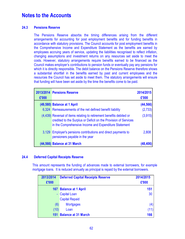#### **24.3 Pensions Reserve**

The Pensions Reserve absorbs the timing differences arising from the different arrangements for accounting for post employment benefits and for funding benefits in accordance with statutory provisions. The Council accounts for post employment benefits in the Comprehensive Income and Expenditure Statement as the benefits are earned by employees accruing years of service, updating the liabilities recognised to reflect inflation, changing assumptions and investment returns on any resources set aside to meet the costs. However, statutory arrangements require benefits earned to be financed as the Council makes employer's contributions to pension funds or eventually pay any pensions for which it is directly responsible. The debit balance on the Pensions Reserve therefore shows a substantial shortfall in the benefits earned by past and current employees and the resources the Council has set aside to meet them. The statutory arrangements will ensure that funding will have been set aside by the time the benefits come to be paid.

| £'000 | 2013/2014 Pensions Reserve                                                                                                                                                                       | 2014/2015<br>£'000 |
|-------|--------------------------------------------------------------------------------------------------------------------------------------------------------------------------------------------------|--------------------|
|       | (49,580) Balance at 1 April                                                                                                                                                                      | (44, 566)          |
|       | 6,324 Remeasurements of the net defined benefit liability                                                                                                                                        | (2,733)            |
|       | (4,439) Reversal of items relating to retirement benefits debited or<br>credited to the Surplus or Deficit on the Provision of Services<br>in the Comprehensive Income and Expenditure Statement | (3,915)            |
|       | 3,129 Employer's pensions contributions and direct payments to<br>pensioners payable in the year                                                                                                 | 2,808              |
|       | (44,566) Balance at 31 March                                                                                                                                                                     | (48.4              |

#### **24.4 Deferred Capital Receipts Reserve**

This amount represents the funding of advances made to external borrowers, for example mortgage loans. It is reduced annually as principal is repaid by the external borrowers.

| 2013/2014 | <b>Deferred Capital Receipts Reserve</b> | 2014/2015 |
|-----------|------------------------------------------|-----------|
| £'000     |                                          | £'000     |
|           | 167 Balance at 1 April                   | 151       |
|           | <b>Capital Loan</b>                      | 30        |
|           | <b>Capital Repaid</b>                    |           |
| (6)       | <b>Mortgages</b>                         | (4)       |
| (10)      | Loan                                     | (11)      |
| 151       | <b>Balance at 31 March</b>               | 166       |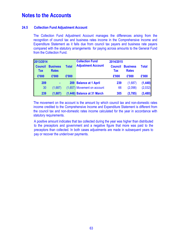### **24.5 Collection Fund Adjustment Account**

The Collection Fund Adjustment Account manages the differences arising from the recognition of council tax and business rates income in the Comprehensive Income and Expenditure Statement as it falls due from council tax payers and business rate payers compared with the statutory arrangements for paying across amounts to the General Fund from the Collection Fund.

| 2013/2014<br><b>Council</b><br><b>Tax</b> | <b>Business</b><br><b>Total</b><br><b>Rates</b> |       | <b>Collection Fund</b><br><b>Adjustment Account</b> |       | 2014/2015<br><b>Council</b><br><b>Business</b><br><b>Tax</b><br><b>Rates</b> |          |  |
|-------------------------------------------|-------------------------------------------------|-------|-----------------------------------------------------|-------|------------------------------------------------------------------------------|----------|--|
| £'000                                     | £'000                                           | £'000 |                                                     | £'000 | £'000                                                                        | £'000    |  |
| 209                                       | $\blacksquare$                                  |       | 209 Balance at 1 April                              | 239   | (1,687)                                                                      | (1, 448) |  |
| 30                                        | (1,687)                                         |       | (1,657) Movement on account                         | 66    | (2,098)                                                                      | (2,032)  |  |
| 239                                       | (1,687)                                         |       | (1,448) Balance at 31 March                         | 305   | (3,785)                                                                      | (3,480)  |  |

The movement on the account is the amount by which council tax and non-domestic rates income credited to the Comprehensive Income and Expenditure Statement is different from the council tax and non-domestic rates income calculated for the year in accordance with statutory requirements.

A positive amount indicates that tax collected during the year was higher than distributed to the preceptors and government and a negative figure that more was paid to the preceptors than collected. In both cases adjustments are made in subsequent years to pay or recover the under/over payments.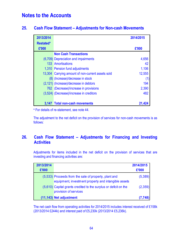### **25. Cash Flow Statement – Adjustments for Non-cash Movements**

| 2013/2014        |                                                   | 2014/2015 |
|------------------|---------------------------------------------------|-----------|
| <b>Restated*</b> |                                                   |           |
| £'000            |                                                   | £'000     |
|                  | <b>Non Cash Transactions</b>                      |           |
|                  | (6,709) Depreciation and impairments              | 4,656     |
|                  | 133 Amortisations                                 | 42        |
|                  | 1,310 Pension fund adjustments                    | 1,106     |
|                  | 13,304 Carrying amount of non-current assets sold | 12,555    |
|                  | (8) (Increase)/decrease in stock                  | (1)       |
|                  | (2,121) (Increase)/decrease in debtors            | 194       |
|                  | 762 (Decrease)/increase in provisions             | 2,390     |
|                  | (3,524) (Decrease)/increase in creditors          | 482       |
|                  |                                                   |           |
|                  | 3,147 Total non-cash movements                    |           |

**\*** For details of re-statement, see note 44.

The adjustment to the net deficit on the provision of services for non-cash movements is as follows:

## **26. Cash Flow Statement – Adjustments for Financing and Investing Activities**

Adjustments for items included in the net deficit on the provision of services that are investing and financing activities are:

| 2013/2014<br>£'000 |                                                                                                               | 2014/2015<br>£'000 |
|--------------------|---------------------------------------------------------------------------------------------------------------|--------------------|
|                    | (5,533) Proceeds from the sale of property, plant and<br>equipment, investment property and intangible assets | (5, 389)           |
|                    | (5,610) Capital grants credited to the surplus or deficit on the<br>provision of services                     | (2,359)            |
|                    | (11,143) Net adjustment                                                                                       | (7, 748)           |

The net cash flow from operating activities for 2014/2015 includes interest received of £158k (2013/2014 £244k) and interest paid of £5,230k (2013/2014 £5,236k).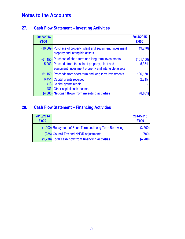## **27. Cash Flow Statement – Investing Activities**

| 2013/2014<br>£'000 |                                                                                                             | 2014/2015<br>£'000 |
|--------------------|-------------------------------------------------------------------------------------------------------------|--------------------|
|                    | (16,869) Purchase of property, plant and equipment, investment<br>property and intangible assets            | (19, 270)          |
|                    | (61,150) Purchase of short-term and long-term investments                                                   | (101, 150)         |
|                    | 5,263 Proceeds from the sale of property, plant and<br>equipment, investment property and intangible assets | 5,374              |
|                    | 61,150 Proceeds from short-term and long term investments                                                   | 106,150            |
| 6,451              | Capital grants received                                                                                     | 2,215              |
|                    | (13) Capital grants repaid                                                                                  |                    |
|                    | 285 Other capital cash income                                                                               |                    |
|                    | (4,883) Net cash flows from investing activities                                                            |                    |

## **28. Cash Flow Statement – Financing Activities**

| 2013/2014<br>£'000 |                                                         | 2014/2015<br>£'000 |
|--------------------|---------------------------------------------------------|--------------------|
|                    | (1,000) Repayment of Short-Term and Long-Term Borrowing | (3,500)            |
|                    | (238) Council Tax and NNDR adjustments                  | (700)              |
|                    | (1,238) Total cash flow from financing activities       | (4, 200)           |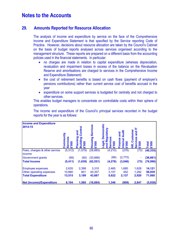### **29. Amounts Reported for Resource Allocation**

The analysis of income and expenditure by service on the face of the Comprehensive Income and Expenditure Statement is that specified by the Service reporting Code of Practice. However, decisions about resource allocation are taken by the Council's Cabinet on the basis of budget reports analysed across services organised according to the management structure. These reports are prepared on a different basis from the accounting policies used in the financial statements. In particular:

- no charges are made in relation to capital expenditure (whereas depreciation, revaluation and impairment losses in excess of the balance on the Revaluation Reserve and amortisations are charged to services in the Comprehensive Income and Expenditure Statement)
- the cost of retirement benefits is based on cash flows (payment of employer's pensions contributions) rather than current service cost of benefits accrued in the year
- expenditure on some support services is budgeted for centrally and not charged to other services.

This enables budget managers to concentrate on controllable costs within their sphere of operations.

| <b>Income and Expenditure</b><br>2014-15 | ommunity<br>ervices<br><b>E</b> '000<br>m | Contro<br>and<br>Planning<br>pai<br>$\overline{\mathbf{c}}$<br>Ō<br>$\bullet$<br>m | Services<br>Housing<br><b>E'000</b> | emocratic<br>ulatory<br>Ō<br>≏<br>$\overline{a}$<br>≃<br>8<br>ā<br>p | <b>Audit</b><br>and<br><b>Finance</b><br>Internal<br><b>000.3</b> | Customer<br>and<br><b>Ces</b><br><b>E'000</b><br>¥<br><b>Ser</b> | <b>E'000</b><br><b>Total</b> |
|------------------------------------------|-------------------------------------------|------------------------------------------------------------------------------------|-------------------------------------|----------------------------------------------------------------------|-------------------------------------------------------------------|------------------------------------------------------------------|------------------------------|
| Fees, charges & other service            | (5, 312)                                  | (1, 579)                                                                           | (28, 885)                           | (4, 210)                                                             | (276)                                                             | (73)                                                             | (40, 335)                    |
| income                                   |                                           |                                                                                    |                                     |                                                                      |                                                                   |                                                                  |                              |
| <b>Government grants</b>                 | (99)                                      | (60)                                                                               | (33,666)                            | (66)                                                                 | (2,770)                                                           |                                                                  | (36, 661)                    |
| <b>Total Income</b>                      | (5, 411)                                  | (1,639)                                                                            | (62, 551)                           | (4,276)                                                              | (3,046)                                                           | (73)                                                             | (76, 996)                    |
| <b>Employee expenses</b>                 | 2,635                                     | 2,398                                                                              | 3,310                               | 2,465                                                                | 1,685                                                             | 1,628                                                            | 14,121                       |
| Other operating expenses                 | 10,880                                    | 801                                                                                | 40,357                              | 3,157                                                                | 452                                                               | 1,292                                                            | 56,939                       |
| <b>Total Expenditure</b>                 | 13,515                                    | 3,199                                                                              | 43,667                              | 5,622                                                                | 2,137                                                             | 2,920                                                            | 71,060                       |
| <b>Net (Income)/Expenditure</b>          | 8,104                                     | 1,560                                                                              | (18, 884)                           | 1,346                                                                | (909)                                                             | 2,847                                                            | (5,936)                      |

The income and expenditure of the Council's principal services recorded in the budget reports for the year is as follows: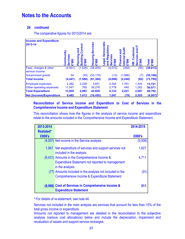### **29. continued**

The comparative figures for 2013/2014 are:

| <b>Income and Expenditure</b><br>2013-14                                         | Community<br>Ö<br>5<br>8<br>m | Control<br>and<br>mning<br><u>ing</u><br>$\overline{\bullet}$<br>0<br>0<br>ത<br>ന | Services<br><b>Housing</b><br><b>£'000</b> | <b>Democratic</b><br>egulatory<br>gal,<br>$\alpha$<br>ៜ<br>ъ<br>Φ | 등<br>and<br>nance<br><b>G</b><br>80 | Customer<br>and<br>ces<br>8<br>¥<br>Φ<br>ഗ<br>سآ | <b>£'000</b><br>otal       |
|----------------------------------------------------------------------------------|-------------------------------|-----------------------------------------------------------------------------------|--------------------------------------------|-------------------------------------------------------------------|-------------------------------------|--------------------------------------------------|----------------------------|
| Fees, charges & other<br>service income                                          | (4, 501)                      | (1,525)                                                                           | (28, 205)                                  | (4,073)                                                           | (254)                               | (55)                                             | (38, 613)                  |
| <b>Government grants</b><br><b>Total Income</b>                                  | 54<br>(4, 447)                | (55)<br>(1,580)                                                                   | (33, 179)<br>(61, 384)                     | (13)<br>(4,086)                                                   | (1,986)<br>(2, 240)                 | (7)<br>(62)                                      | (35, 186)<br>(73, 799)     |
| <b>Employee expenses</b><br>Other operating expenses<br><b>Total Expenditure</b> | 2,382<br>11,547<br>13,929     | 2,228<br>765<br>2,993                                                             | 3,651<br>39,278<br>42,929                  | 2,354<br>2,779<br>5,133                                           | 1,781<br>440<br>2,221               | 1,325<br>1,262<br>2,587                          | 13,721<br>56,071<br>69,792 |
| <b>Net (Income)/Expenditure</b>                                                  | 9,482                         | 1,413                                                                             | (18, 455)                                  | 1,047                                                             | (19)                                | 2,525                                            | (4,007)                    |

### **Reconciliation of Service Income and Expenditure to Cost of Services in the Comprehensive Income and Expenditure Statement**

This reconciliation shows how the figures in the analysis of service income and expenditure relate to the amounts included in the Comprehensive Income and Expenditure Statement.

| 2013-2014        |                                                                                                                             | 2014-2015 |
|------------------|-----------------------------------------------------------------------------------------------------------------------------|-----------|
| <b>Restated*</b> |                                                                                                                             |           |
| £000's           |                                                                                                                             | £000's    |
|                  | (4,007) Net income in the Service analysis                                                                                  | (5,936)   |
|                  | 1,947 Net expenditure of services and support services not<br>included in the analysis                                      | 1,827     |
|                  | (6,431) Amounts in the Comprehensive Income &<br><b>Expenditure Statement not reported to management</b><br>in the analysis | 4,711     |
|                  | (77) Amounts included in the analysis not included in the<br>Comprehensive Income & Expenditure Statement                   | (91       |
|                  | (8,568) Cost of Services in Comprehensive Income &<br><b>Expenditure Statement</b>                                          | 51'       |

**\*** For details of re-statement, see note 44.

Services not included in the main analysis are services that account for less than 10% of the total gross income or expenditure.

Amounts not reported to management are detailed in the reconciliation to the subjective analysis (various cost allocations) below and include the depreciation, impairment and revaluation of assets and support service recharges.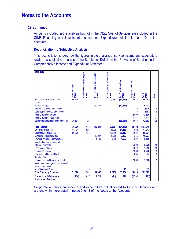#### **29. continued**

Amounts included in the analysis but not in the CI&E Cost of Services are included in the CI&E Financing and Investment Income and Expenditure detailed in note 10 to the accounts.

#### **Reconciliation to Subjective Analysis**

This reconciliation shows how the figures in the analysis of service income and expenditure relate to a subjective analysis of the Surplus or Deficit on the Provision of Services in the Comprehensive Income and Expenditure Statement**.** 

| 2014-2015                            |                  |                               |                                   |                              |                             |                          |                |      |
|--------------------------------------|------------------|-------------------------------|-----------------------------------|------------------------------|-----------------------------|--------------------------|----------------|------|
|                                      |                  | Services not in Main Analysis |                                   | lot included in COS in CI&ES |                             |                          |                |      |
|                                      |                  |                               | <b>Vot reported to Management</b> |                              |                             |                          |                |      |
|                                      |                  |                               |                                   |                              |                             |                          |                |      |
|                                      |                  |                               |                                   |                              | <b>Vet Cost of Services</b> | <b>Corporate Amounts</b> |                |      |
|                                      | Service Analysis |                               |                                   |                              |                             |                          |                |      |
|                                      |                  |                               |                                   |                              |                             |                          |                |      |
|                                      |                  |                               |                                   |                              |                             |                          |                |      |
|                                      | £'000            | $\frac{1}{2}$                 | <b>C'000</b>                      | <b>C'000</b>                 | <b>C'000</b>                | £'000                    | Total<br>£'000 | Vote |
| Fees, charges & other service        | (40, 335)        | (128)                         |                                   | 2,538                        | (37, 925)                   | (2,538)                  | (40, 463)      |      |
| income                               |                  |                               |                                   |                              |                             |                          |                |      |
| Service charges                      |                  |                               | (10, 231)                         | ÷                            | (10, 231)                   |                          | (10, 231)      |      |
| Interest and investment income       |                  |                               |                                   |                              |                             | (115)                    | (115)          | 10   |
| Other capital receipts and income    |                  |                               |                                   |                              |                             | (163)                    | (163)          | 9    |
| Income from council tax              |                  |                               |                                   |                              |                             | (12,500)                 | (12,500)       | 11   |
| Income from business rates           |                  |                               |                                   |                              |                             | (1, 411)                 | (1, 411)       | 11   |
| Government grants and contributions  | (36,661)         | (26)                          |                                   |                              | (36, 687)                   | (5,675)                  | (42, 362)      | 35   |
| <b>Total Income</b>                  | (76,996)         | (154)                         | (10, 231)                         | 2,538                        | (84, 843)                   | (22, 402)                | (107, 245)     |      |
| <b>Employee expenses</b>             | 14,121           | 826                           |                                   | (532)                        | 14,415                      | 532                      | 14,947         |      |
| Other service expenses               | 56,939           | 1,155                         |                                   | (1,684)                      | 56,410                      | 1,684                    | 58,094         |      |
| <b>Support Service recharges</b>     |                  |                               | 10,227                            | (375)                        | 9,852                       | 375                      | 10,227         |      |
| Revaluation gains, depreciation,     |                  |                               | 4,700                             | (38)                         | 4,662                       | 504                      | 5,166          |      |
| amortisation and impairment          |                  |                               |                                   |                              |                             |                          |                |      |
| <b>Interest Payments</b>             |                  |                               |                                   |                              |                             | 5,229                    | 5,229          | 10   |
| <b>Pension adjustment</b>            |                  |                               |                                   |                              |                             | 1,812                    | 1,812          | 10   |
| <b>Precepts &amp; Levies</b>         |                  |                               |                                   |                              |                             | 2,288                    | 2,288          | 9    |
| <b>Payments to Housing Capital</b>   |                  |                               |                                   |                              |                             | 834                      | 834            | 9    |
| <b>Receipts Pool</b>                 |                  |                               |                                   |                              |                             |                          |                |      |
| Gain or Loss on Disposal of Fixed    |                  |                               |                                   |                              |                             | 7,360                    | 7,360          | 9    |
| Assets and derecognition of replaced |                  |                               |                                   |                              |                             |                          |                |      |
| asset components                     |                  |                               |                                   |                              |                             |                          |                |      |
| <b>Non-Distributed Costs</b>         |                  |                               | 15                                |                              | 15                          |                          | 15             |      |
| <b>Total Operating Expenses</b>      | 71,060           | 1,981                         | 14,942                            | (2,629)                      | 85,354                      | 20,618                   | 105,972        |      |
| (Surplus) or Deficit on the          | (5,936)          | 1,827                         | 4,711                             | (91)                         | 511                         | (1,784)                  | (1, 273)       |      |
| <b>Provision of Services</b>         |                  |                               |                                   |                              |                             |                          |                |      |

Corporate amounts are income and expenditure not allocated to Cost of Services and are shown in more detail in notes 9 to 11 of the Notes to the Accounts.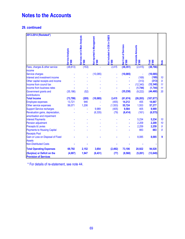### **29. continued**

| 2013-2014 (Restated*)                                       |                                         |                                       |                                                            |                                       |                                      |                            |                |             |
|-------------------------------------------------------------|-----------------------------------------|---------------------------------------|------------------------------------------------------------|---------------------------------------|--------------------------------------|----------------------------|----------------|-------------|
|                                                             |                                         |                                       |                                                            |                                       |                                      |                            |                |             |
|                                                             |                                         |                                       |                                                            |                                       |                                      |                            |                |             |
|                                                             |                                         |                                       |                                                            |                                       |                                      |                            |                |             |
|                                                             |                                         |                                       |                                                            |                                       |                                      |                            |                |             |
|                                                             |                                         |                                       |                                                            |                                       |                                      |                            |                |             |
|                                                             |                                         |                                       |                                                            |                                       |                                      |                            |                |             |
|                                                             |                                         |                                       |                                                            |                                       |                                      |                            |                |             |
|                                                             | <b>Service Analysis</b><br><b>E'000</b> | Services not in Main Analysis<br>2000 | Not reported to Management<br>$\boldsymbol{\epsilon}$ '000 | Not included in COS in CI&ES<br>£'000 | Net Cost of Services<br><b>E'000</b> | Corporate Amounts<br>£'000 | £'000<br>Total | <b>Note</b> |
| Fees, charges & other service                               | (38, 613)                               | (153)                                 |                                                            | 2,415                                 | (36, 351)                            | (2, 415)                   | (38, 766)      |             |
| income                                                      |                                         |                                       |                                                            |                                       |                                      |                            |                |             |
| Service charges                                             |                                         |                                       | (10,085)                                                   |                                       | (10, 085)                            |                            | (10, 085)      |             |
| Interest and investment income                              |                                         |                                       |                                                            |                                       |                                      | (169)                      | (169)          | 10          |
| Other capital receipts and income                           |                                         |                                       |                                                            |                                       |                                      | (313)                      | (313)          | 9           |
| Income from council tax                                     |                                         |                                       |                                                            |                                       |                                      | (12, 340)                  | (12, 340)      | 11          |
| Income from business rates                                  |                                         |                                       |                                                            |                                       |                                      | (1,744)                    | (1, 744)       | 11          |
| Government grants and                                       | (35, 186)                               | (52)                                  |                                                            |                                       | (35, 238)                            | (9, 222)                   | (44, 460)      | 35          |
| contributions                                               |                                         |                                       |                                                            |                                       |                                      |                            |                |             |
| <b>Total Income</b>                                         | (73, 799)                               | (205)                                 | (10, 085)                                                  | 2,415                                 | (81, 674)                            | (26, 203)                  | (107, 877)     |             |
| <b>Employee expenses</b>                                    | 13,721                                  | 946                                   |                                                            | (455)                                 | 14,212                               | 455                        | 14,667         |             |
| Other service expenses                                      | 56,071                                  | 1,206                                 |                                                            | (1, 553)                              | 55,724                               | 1,553                      | 57,277         |             |
| <b>Support Service recharges</b>                            |                                         |                                       | 9,989                                                      | (405)                                 | 9,584                                | 405                        | 9,989          |             |
| Revaluation gains, depreciation,                            |                                         |                                       | (6, 335)                                                   | (79)                                  | (6, 414)                             | (161)                      | (6, 575)       |             |
| amortisation and impairment                                 |                                         |                                       |                                                            |                                       |                                      |                            |                |             |
| <b>Interest Payments</b>                                    |                                         |                                       |                                                            |                                       |                                      | 5,234                      | 5,234          | 10          |
| <b>Pension adjustment</b>                                   |                                         |                                       |                                                            |                                       |                                      | 2,209                      | 2,209          | 10          |
| <b>Precepts &amp; Levies</b>                                |                                         |                                       |                                                            |                                       |                                      | 2,259                      | 2,259          | 9           |
| <b>Payments to Housing Capital</b>                          |                                         |                                       |                                                            |                                       |                                      | 883                        | 883            | 9           |
| <b>Receipts Pool</b>                                        |                                         |                                       |                                                            |                                       |                                      |                            |                |             |
| Gain or Loss on Disposal of Fixed                           |                                         |                                       |                                                            |                                       |                                      | 8,085                      | 8,085          | 9           |
| <b>Assets</b>                                               |                                         |                                       |                                                            |                                       |                                      |                            |                |             |
| <b>Non-Distributed Costs</b>                                |                                         |                                       |                                                            |                                       |                                      |                            |                |             |
| <b>Total Operating Expenses</b>                             | 69,792                                  | 2,152                                 | 3,654                                                      | (2, 492)                              | 73,106                               | 20,922                     | 94,028         |             |
| (Surplus) or Deficit on the<br><b>Provision of Services</b> | (4,007)                                 | 1,947                                 | (6, 431)                                                   | (77)                                  | (8, 568)                             | (5,281)                    | (13, 849)      |             |

\* For details of re-statement, see note 44.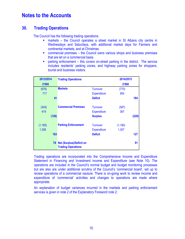### **30. Trading Operations**

The Council has the following trading operations:

- markets the Council operates a street market in St Albans city centre in Wednesdays and Saturdays, with additional market days for Farmers and continental markets, and at Christmas.
- commercial premises the Council owns various shops and business premises that are let on a commercial basis.
- parking enforcement this covers on-street parking in the district. The service includes residents' parking zones, and highway parking zones for shoppers, tourist and business visitors.

| 2013/2014 | <b>Trading Operations</b>                                |                    | 2014/2015 |       |
|-----------|----------------------------------------------------------|--------------------|-----------|-------|
| £'000     |                                                          |                    | £'000     |       |
| (676)     | <b>Markets</b>                                           | <b>Turnover</b>    | (770)     |       |
| 717       |                                                          | <b>Expenditure</b> | 954       |       |
| 41        |                                                          | <b>Deficit</b>     |           | 184   |
| (545)     | <b>Commercial Premises</b>                               | <b>Turnover</b>    | (587)     |       |
| 419       |                                                          | <b>Expenditure</b> | 367       |       |
| (126)     |                                                          | <b>Surplus</b>     |           | (220) |
| (1, 195)  | <b>Parking Enforcement</b>                               | <b>Turnover</b>    | (1, 180)  |       |
| 1,358     |                                                          | <b>Expenditure</b> | 1,307     |       |
| 163       |                                                          | <b>Deficit</b>     |           | 127   |
|           | 78 Net (Surplus)/Deficit on<br><b>Trading Operations</b> |                    |           | 91    |

Trading operations are incorporated into the Comprehensive Income and Expenditure Statement in Financing and Investment income and Expenditure (see Note 10). The operations are included in the Council's normal budget and budget monitoring processes but are also are under additional scrutiny of the Council's 'commercial board', set up to review operations of a commercial nauture. There is on-going work to review income and expenditure of 'commercial' activities and changes to operations are made where appropriate.

An explanation of budget variances incurred in the markets and parking enforcement services is given in note 2 of the Explanatory Foreword note 2.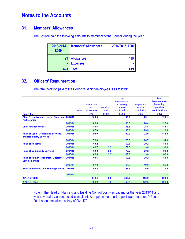### **31. Members' Allowances**

The Council paid the following amounts to members of the Council during the year.

| 2013/2014<br>£000 | <b>Members' Allowances</b> | 2014/2015 £000 |
|-------------------|----------------------------|----------------|
| 423               | <b>Allowances</b>          | 419            |
|                   | <b>Expenses</b>            | ÷              |
| 423               | Total                      | 419            |

## **32. Officers' Remuneration**

The remuneration paid to the Council's senior employees is as follows:

|                                                                              |         | <b>Notes</b> | Salary, fees<br>and<br>allowances | <b>Benefits in</b><br>kind | <b>Total</b><br><b>Remuneration</b><br>excluding<br>pension<br>contributions | <b>Employer's</b><br>pension<br>contribution | <b>Total</b><br><b>Remuneration</b><br>including<br>pension<br>contributions |
|------------------------------------------------------------------------------|---------|--------------|-----------------------------------|----------------------------|------------------------------------------------------------------------------|----------------------------------------------|------------------------------------------------------------------------------|
| <b>Post Title</b>                                                            |         |              | £'000                             | £'000                      | £'000                                                                        | £'000                                        | £'000                                                                        |
| <b>Chief Executive and Head of Policy and 2014/15</b><br><b>Partnerships</b> |         |              | 100.0                             | $\blacksquare$             | 100.0                                                                        | 29.1                                         | 129.1                                                                        |
|                                                                              | 2013/14 |              | 100.0                             |                            | 100.0                                                                        | 28.4                                         | 128.4                                                                        |
| <b>Chief Finance Officer</b>                                                 | 2014/15 |              | 88.6                              | ٠                          | 88.6                                                                         | 25.5                                         | 114.1                                                                        |
|                                                                              | 2013/14 |              | 87.8                              | ٠                          | 87.8                                                                         | 23.5                                         | 111.3                                                                        |
| <b>Head of Legal, Democratic Services</b><br>and Regulatory Services         | 2014/15 |              | 90.0                              |                            | 90.0                                                                         | 22.0                                         | 112.0                                                                        |
|                                                                              | 2013/14 |              | 73.6                              |                            | 73.6                                                                         | 20.7                                         | 94.3                                                                         |
| <b>Head of Housing</b>                                                       | 2014/15 |              | 69.2                              |                            | 69.2                                                                         | 20.2                                         | 89.4                                                                         |
|                                                                              | 2013/14 |              | 69.7                              | 2.3                        | 72.0                                                                         | 19.0                                         | 91.0                                                                         |
| <b>Head of Community Services</b>                                            | 2014/15 |              | 69.8                              | 2.8                        | 72.6                                                                         | 20.2                                         | 92.8                                                                         |
|                                                                              | 2013/14 |              | 66.8                              | 2.5                        | 69.3                                                                         | 19.0                                         | 88.3                                                                         |
| <b>Head of Human Resources, Customer</b><br><b>Services and IT</b>           | 2014/15 |              | 69.6                              |                            | 69.6                                                                         | 20.2                                         | 89.8                                                                         |
|                                                                              | 2013/14 |              | 67.0                              | $\blacksquare$             | 67.0                                                                         | 19.0                                         | 86.0                                                                         |
| Head of Planning and Building Control 2014/15                                |         |              | 55.2                              |                            | 55.2                                                                         | 16.0                                         | 71.2                                                                         |
|                                                                              | 2013/14 |              |                                   |                            |                                                                              |                                              |                                                                              |
| <b>2014/15 Totals</b>                                                        |         |              | 542.4                             | 2.8                        | 545.2                                                                        | 153.2                                        | 698.4                                                                        |
| <b>2013/14 Totals</b>                                                        |         |              | 464.9                             | 4.8                        | 469.7                                                                        | 129.6                                        | 599.3                                                                        |

Note i: The Head of Planning and Building Control post was vacant for the year 2013/14 and was covered by a contracted consultant. An appointment to the post was made on 2<sup>nd</sup> June 2014 at an annualised salary of £64,470.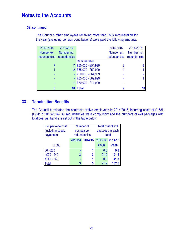### **32. continued**

The Council's other employees receiving more than £50k remuneration for the year (excluding pension contributions) were paid the following amounts:

| 2013/2014                 | 2013/2014   |                         | 2014/2015    | 2014/2015    |
|---------------------------|-------------|-------------------------|--------------|--------------|
| Number ex.                | Number inc. |                         | Number ex.   | Number inc.  |
| redundancies redundancies |             |                         | redundancies | redundancies |
|                           |             | Remuneration            |              |              |
|                           |             | 7 £50,000 - £54,999     | 8            |              |
|                           |             | 2 £55,000 - £59,999     |              |              |
|                           |             | $-$ £60,000 $-$ £64,999 |              |              |
|                           |             | $-$ £65,000 - £69,999   |              |              |
|                           |             | £70,000 - £74,999       |              |              |
|                           |             | <b>Total</b>            | 9            | 10           |

### **33. Termination Benefits**

The Council terminated the contracts of five employees in 2014/2015, incurring costs of £153k (£92k in 2013/2014). All redundancies were compulsory and the numbers of exit packages with total cost per band are set out in the table below.

| Exit package cost<br>(including special<br>payments) |                    | Number of<br>compulsory<br>redundancies | Total cost of exit<br>packages in each<br>band |         |  |
|------------------------------------------------------|--------------------|-----------------------------------------|------------------------------------------------|---------|--|
|                                                      | 2013/14<br>2014/15 |                                         | 2013/14                                        | 2014/15 |  |
| £'000                                                |                    |                                         | £'000                                          | £'000   |  |
| $£0 - £20$                                           |                    | 1                                       | 0.0                                            | 9.8     |  |
| $>E20 - E40$                                         | 3                  | $\mathbf{3}$                            | 91.9                                           | 101.5   |  |
| $>E40 - E60$                                         |                    | 1                                       | 0.0                                            | 41.3    |  |
| <b>Total</b>                                         | 3                  | 5                                       | 91.9                                           | 152.6   |  |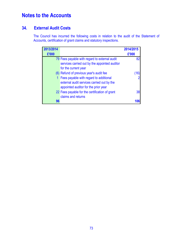## **34. External Audit Costs**

The Council has incurred the following costs in relation to the audit of the Statement of Accounts, certification of grant claims and statutory inspections.

| 2013/2014 |                                                | 2014/2015 |
|-----------|------------------------------------------------|-----------|
| £'000     |                                                | £'000     |
|           | 79 Fees payable with regard to external audit  | 82        |
|           | services carried out by the appointed auditor  |           |
|           | for the current year                           |           |
|           | (6) Refund of previous year's audit fee        | 10        |
|           | 1 Fees payable with regard to additional       |           |
|           | external audit services carried out by the     |           |
|           | appointed auditor for the prior year           |           |
|           | 22 Fees payable for the certification of grant | 38        |
|           | claims and returns                             |           |
| 96        |                                                |           |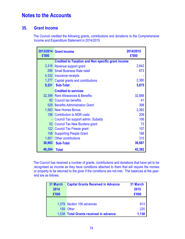## **35. Grant Income**

The Council credited the following grants, contributions and donations to the Comprehensive Income and Expenditure Statement in 2014/2015

| £'000            | 2013/2014 Grant Income                                    | 2014/2015<br>£'000 |
|------------------|-----------------------------------------------------------|--------------------|
|                  | <b>Credited to Taxation and Non specific grant income</b> |                    |
|                  | 3,316 Revenue support grant                               | 2,642              |
|                  | 296 Small Business Rate relief                            | 673                |
|                  | 4,332 Insurance receipts                                  |                    |
|                  | 1,277 Capital grants and contributions                    | 2,360              |
| 9,221            | <b>Sub-Total</b>                                          | 5,675              |
|                  | <b>Credited to services</b>                               |                    |
|                  | 32,399 Rent Allowances & Benefits                         | 32,888             |
|                  | 90 Council tax benefits                                   | 41                 |
|                  | 529 Benefits Administration Grant                         | 398                |
|                  | 1,583 New Homes Bonus                                     | 2,362              |
|                  | 198 Contribution to NDR costs                             | 209                |
| $\blacksquare$   | Council Tax support admin. Subsidy                        | 106                |
| 53               | Council Tax New Burdens grant                             | 73                 |
|                  | 122 Council Tax Freeze grant                              | 107                |
| 158 <sup>°</sup> | <b>Supporting People Grant</b>                            | 188                |
|                  | 1,851 Other contributions                                 | 315                |
| 36,983           | <b>Sub-Total</b>                                          | 36,687             |
| 46,204           | <b>Total</b>                                              | 42,362             |

The Council has received a number of grants, contributions and donations that have yet to be recognised as income as they have conditions attached to them that will require the monies or property to be returned to the giver if the conditions are not met. The balances at the yearend are as follows:

| 31 March | <b>Capital Grants Received in Advance</b> | 31 March |  |
|----------|-------------------------------------------|----------|--|
| 2014     |                                           | 2015     |  |
| £'000    |                                           | £'000    |  |
|          |                                           |          |  |
|          | 1,379 Section 106 advances                | 913      |  |
|          | 159 Other                                 | 225      |  |
|          | 1,538 Total Grants received in advance    | 1,138    |  |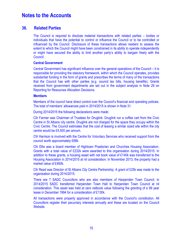### **36. Related Parties**

The Council is required to disclose material transactions with related parties – bodies or individuals that have the potential to control or influence the Council or to be controlled or influenced by the Council. Disclosure of these transactions allows readers to assess the extent to which the Council might have been constrained in its ability to operate independently or might have secured the ability to limit another party's ability to bargain freely with the Council.

### **Central Government**

Central Government has significant influence over the general operations of the Council – it is responsible for providing the statutory framework, within which the Council operates, provides substantial funding in the form of grants and prescribes the terms of many of the transactions that the Council has with other parties (e.g. council tax bills, housing benefits). Grants received from government departments are set out in the subject analysis in Note 29 on Reporting for Resources Allocation Decisions.

#### **Members**

Members of the council have direct control over the Council's financial and operating policies. The total of members' allowances paid in 2014/2015 is shown in Note 31.

During 2014/2015 the following declarations were made:

Cllr Farmer was Chairman of Trustees for Druglink. Druglink run a coffee cart from the Civic Centre in St Albans city centre. Druglink are not charged for the space they occupy within the Civic Centre. The Council estimates that the cost of leasing a similar sized site within the city centre would be £4,500 per annum.

Cllr Harrison is involved with the Centre for Voluntary Services who received support from the council worth approximately £68k.

Cllr Ellis was a board member of Hightown Praetorian and Churches Housing Association. Grants with a total value of £232k were awarded to this organisation during 2014/2015. In addition to these grants, a housing asset with net book value of £140k was transferred to the Housing Association in 2014/2015 at nil consideration. In November 2013, the property had a market value of £460k.

Cllr Read was Director of St Albans City Centre Partnership. A grant of £25k was made to the organisation during 2014/2015.

There are 7 SADC Councillors who are also members of Harpenden Town Council. In 2014/2015 SADC transferred Harpenden Town Hall to Harpenden Town Council at nil consideration. This asset was held at zero netbook value following the granting of a 99 year lease in December 1994 for a consideration of £130k.

All transactions were properly approved in accordance with the Council's constitution. All Councillors register their pecuniary interests annually and these are located on the Council Website.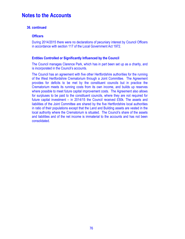### **36. continued**

### **Officers**

During 2014/2015 there were no declarations of pecuniary interest by Council Officers in accordance with section 117 of the Local Government Act 1972.

### **Entities Controlled or Significantly Influenced by the Council**

The Council manages Clarence Park, which has in part been set up as a charity, and is incorporated in the Council's accounts.

The Council has an agreement with five other Hertfordshire authorities for the running of the West Hertfordshire Crematorium through a Joint Committee. The Agreement provides for deficits to be met by the constituent councils but in practice the Crematorium meets its running costs from its own income, and builds up reserves where possible to meet future capital improvement costs. The Agreement also allows for surpluses to be paid to the constituent councils, where they are not required for future capital investment – in 2014/15 the Council received £50k. The assets and liabilities of the Joint Committee are shared by the five Hertfordshire local authorities in ratio of their populations except that the Land and Building assets are vested in the local authority where the Crematorium is situated. The Council's share of the assets and liabilities and of the net income is immaterial to the accounts and has not been consolidated.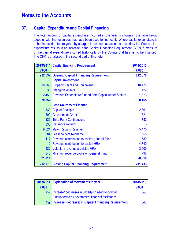## **37. Capital Expenditure and Capital Financing**

The total amount of capital expenditure incurred in the year is shown in the table below together with the resources that have been used to finance it. Where capital expenditure is to be financed in future years by charges to revenue as assets are used by the Council, the expenditure results in an increase in the Capital Financing Requirement (CFR), a measure of the capital expenditure incurred historically by the Council that has yet to be financed. The CFR is analysed in the second part of this note.

| 2013/2014 | <b>Capital financing Requirement</b>                  | 2014/2015 |
|-----------|-------------------------------------------------------|-----------|
| £'000     |                                                       | £'000     |
| 212,537   | <b>Opening Capital Financing Requirement</b>          | 212,078   |
|           | <b>Capital investment</b>                             |           |
| 18,068    | <b>Property, Plant and Equipment</b>                  | 18,470    |
| 33        | <b>Intangible Assets</b>                              | 122       |
| 2,451     | Revenue Expenditure funded from Capital under Statute | 1,573     |
| 20,552    |                                                       | 20,165    |
|           | <b>Less Sources of Finance</b>                        |           |
| 1,839     | <b>Capital Receipts</b>                               | 2,361     |
|           | 509 Government Grants                                 | 821       |
|           | 1,226 Third Party Contributions                       | 1,782     |
| 4,333     | Insurance receipts                                    |           |
| 9,824     | <b>Major Repairs Reserve</b>                          | 5,475     |
| 384       | Leaseholders Recharge                                 | 555       |
| 417       | Revenue contribution to capital general Fund          | 780       |
| 12        | Revenue contribution to capital HRA                   | 4,740     |
| 1,822     | <b>Voluntary revenue provision HRA</b>                | 3,500     |
| 645       | Minimum revenue provision General Fund                | 796       |
| 21,011    |                                                       | 20,810    |
|           | 212,078 Closing Capital Financing Requirement         | 211,433   |

|       | 2013/2014 Explanation of movements in year                                                                 | 2014/2015 |
|-------|------------------------------------------------------------------------------------------------------------|-----------|
| £'000 |                                                                                                            | £'000     |
|       | (459) Increase/(decrease) in underlying need to borrow<br>(unsupported by government financial assistance) | (645)     |
|       | (459) Increase/(decrease) in Capital Financing Requirement                                                 | (645)     |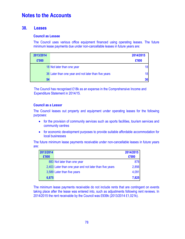### **38. Leases**

#### **Council as Lessee**

The Council uses various office equipment financed using operating leases. The future minimum lease payments due under non-cancellable leases in future years are:

| 2013/2014 |                                                      | 2014/2015 |
|-----------|------------------------------------------------------|-----------|
| £'000     |                                                      | £'000     |
|           | 18 Not later than one year                           | 18        |
|           | 36 Later than one year and not later than five years | 18        |
| 54        |                                                      | 36        |

The Council has recognised £18k as an expense in the Comprehensive Income and Expenditure Statement in 2014/15.

#### **Council as a Lessor**

The Council leases out property and equipment under operating leases for the following purposes:

- for the provision of community services such as sports facilities, tourism services and community centres
- for economic development purposes to provide suitable affordable accommodation for local businesses

The future minimum lease payments receivable under non-cancellable leases in future years are:

| 2013/2014 |                                                         | 2014/2015 |
|-----------|---------------------------------------------------------|-----------|
| £'000     |                                                         | £'000     |
|           | 883 Not later than one year                             | 878       |
|           | 2,403 Later than one year and not later than five years | 2,856     |
|           | 3,589 Later than five years                             | 4,091     |
| 6,875     |                                                         | 7,825     |

The minimum lease payments receivable do not include rents that are contingent on events taking place after the lease was entered into, such as adjustments following rent reviews. In 2014/2015 the rent receivable by the Council was £939k (2013/2014 £1,021k).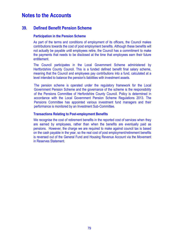### **39. Defined Benefit Pension Scheme**

#### **Participation in the Pension Scheme**

As part of the terms and conditions of employment of its officers, the Council makes contributions towards the cost of post employment benefits. Although these benefits will not actually be payable until employees retire, the Council has a commitment to make the payments that needs to be disclosed at the time that employees earn their future entitlement.

The Council participates in the Local Government Scheme administered by Hertfordshire County Council. This is a funded defined benefit final salary scheme, meaning that the Council and employees pay contributions into a fund, calculated at a level intended to balance the pension's liabilities with investment assets.

The pension scheme is operated under the regulatory framework for the Local Government Pension Scheme and the governance of the scheme is the responsibility of the Pensions Committee of Herfordshire County Council. Policy is determined in accordance with the Local Government Pension Scheme Regulations 2013. The Pensions Committee has appointed various investment fund managers and their performance is monitored by an Investment Sub-Committee.

#### **Transactions Relating to Post-employment Benefits**

We recognise the cost of retirement benefits in the reported cost of services when they are earned by employees, rather than when the benefits are eventually paid as pensions. However, the charge we are required to make against council tax is based on the cash payable in the year, so the real cost of post employment/retirement benefits is reversed out of the General Fund and Housing Revenue Account via the Movement in Reserves Statement.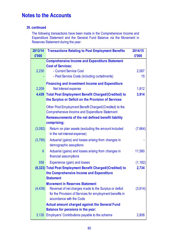### **39. continued**

The following transactions have been made in the Comprehensive Income and Expenditure Statement and the General Fund Balance via the Movement in Reserves Statement during the year:

| 2013/14         | <b>Transactions Relating to Post Employment Benefits</b>                             | 2014/15     |  |  |  |
|-----------------|--------------------------------------------------------------------------------------|-------------|--|--|--|
| £'000           |                                                                                      | £'000       |  |  |  |
|                 | <b>Comprehensive Income and Expenditure Statement</b>                                |             |  |  |  |
|                 | <b>Cost of Services:</b>                                                             |             |  |  |  |
| 2,230           | - Current Service Cost                                                               | 2,087<br>15 |  |  |  |
|                 | - Past Service Costs (including curtailments)                                        |             |  |  |  |
|                 | <b>Financing and Investment Income and Expenditure</b>                               |             |  |  |  |
| 2,209           | Net Interest expense                                                                 | 1,812       |  |  |  |
|                 | 4,439 Total Post Employment Benefit Charged/(Credited) to                            | 3,914       |  |  |  |
|                 | the Surplus or Deficit on the Provision of Services                                  |             |  |  |  |
|                 | Other Post Employment Benefit Charged/(Credited) to the                              |             |  |  |  |
|                 | <b>Comprehensive Income and Expenditure Statement</b>                                |             |  |  |  |
|                 | <b>Remeasurements of the net defined benefit liability</b>                           |             |  |  |  |
|                 | comprising:                                                                          |             |  |  |  |
| (3,092)         | Return on plan assets (excluding the amount included                                 | (7,664)     |  |  |  |
|                 | in the net interest expense)                                                         |             |  |  |  |
| (3,795)         | Actuarial (gains) and losses arising from changes in                                 |             |  |  |  |
|                 | demographic assuptions                                                               |             |  |  |  |
| $6\phantom{1}6$ | Actuarial (gains) and losses arising from changes in                                 | 11,580      |  |  |  |
|                 | financial assumptions                                                                |             |  |  |  |
| 558             | Experience (gain) and losses                                                         | (1, 182)    |  |  |  |
|                 | (6,323) Total Post Employment Benefit Charged/(Credited) to                          | 2,734       |  |  |  |
|                 | the Comprehensive Income and Expenditure                                             |             |  |  |  |
|                 | <b>Statement</b>                                                                     |             |  |  |  |
|                 | <b>Movement in Reserves Statement</b>                                                |             |  |  |  |
| (4, 439)        | Reversal of net charges made to the Surplus or deficit                               | (3,914)     |  |  |  |
|                 | for the Provision of Services for employment benefits in<br>accordance with the Code |             |  |  |  |
|                 | <b>Actual amount charged against the General Fund</b>                                |             |  |  |  |
|                 | <b>Balance for pensions in the year:</b>                                             |             |  |  |  |
|                 | 3,130 Employers' Contributions payable to the scheme                                 | 2,808       |  |  |  |
|                 |                                                                                      |             |  |  |  |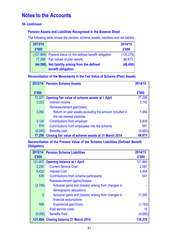### **39. continued**

### **Pension Assets and Liabilities Recognised in the Balance Sheet**

The following table shows the pension scheme assets, liabilities and net liability.

| 2013/14   |                                                              | 2014/15    |
|-----------|--------------------------------------------------------------|------------|
| £'000     |                                                              | £'000      |
|           | (121,864) Present Value of the defined benefit obligation    | (135, 279) |
| 77,298    | Fair values of plan assets                                   | 86,873     |
| (44, 566) | Net liability arising from the defined<br>benefit obligation | (48, 406)  |

### **Reconciliation of the Movements in the Fair Value of Scheme (Plan) Assets**

|         | 2013/14 Pension Scheme Assets                           | 2014/15 |
|---------|---------------------------------------------------------|---------|
|         |                                                         |         |
| £'000   |                                                         | £'000   |
| 72,327  | Opening fair value of scheme assets at 1 April          | 77,298  |
| 3,223   | Interest income                                         | 3,142   |
|         | Remeasurement gain/(loss):                              |         |
| 3,092   | Return on plan assets, excluding the amount included in | 7,664   |
|         | the net interest expense                                |         |
| 3,130   | <b>Contributions from employer</b>                      | 2,808   |
| 576     | Contributions from employees into the scheme            | 641     |
| (5,050) | <b>Benefits paid</b>                                    | (4,680) |
| 77,298  | Closing fair value of scheme assets at 31 March 2014    | 86,873  |

**Reconciliation of the Present Value of the Scheme Liabilities (Defined Benefit Obligation)**

| 2013/14 | <b>Pension Scheme Liabilities</b>                    | 2014/15  |
|---------|------------------------------------------------------|----------|
| £'000   |                                                      | £'000    |
| 121,907 | <b>Opening balance at 1 April</b>                    | 121,864  |
| 2,230   | <b>Current Service Cost</b>                          | 2,087    |
| 5,432   | <b>Interest Cost</b>                                 | 4,954    |
| 576     | Contributions from scheme participants               | 641      |
|         | Remeasurement (gains)/losses:                        |          |
| (3,795) | Actuarial gains and (losses) arising from changes in |          |
|         | demographic assuptions                               |          |
| 6       | Actuarial gains and (losses) arising from changes in | 11,580   |
|         | financial assumptions                                |          |
| 558     | Experience gain/(loss)                               | (1, 182) |
|         | Past service costs                                   | 15       |
| (5,050) | <b>Benefits Paid</b>                                 | (4,680)  |
| 121,864 | <b>Closing balance 31 March 2014</b>                 | 135,279  |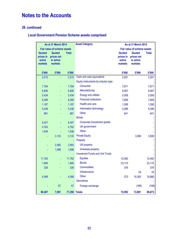### **39. continued**

## **Local Government Pension Scheme assets comprised:**

| <b>As at 31 March 2014</b>               |                                              |               | <b>Asset Category</b>                   | As at 31 March 2015                      |                                              |              |
|------------------------------------------|----------------------------------------------|---------------|-----------------------------------------|------------------------------------------|----------------------------------------------|--------------|
|                                          | <b>Fair value of scheme assets</b>           |               |                                         | <b>Fair value of scheme assets</b>       |                                              |              |
| Quoted<br>prices in<br>active<br>markets | Quoted<br>prices not<br>in active<br>markets | <b>Total</b>  |                                         | Quoted<br>prices in<br>active<br>markets | Quoted<br>prices not<br>in active<br>markets | <b>Total</b> |
| £'000                                    | £'000                                        | £'000         |                                         | £'000                                    | £'000                                        | £'000        |
| 2,515                                    |                                              | 2,515         | Cash and cash equivalents               | 2,291                                    |                                              | 2,291        |
|                                          |                                              | L,            | Equity Instruments by industry type     |                                          |                                              |              |
| 7,784                                    |                                              | 7,784         | Consumer                                | 7,671                                    |                                              | 7,671        |
| 8,906                                    | ÷,                                           | 8,906         | Manufacturing                           | 9,087                                    |                                              | 9,087        |
| 3,434                                    | ÷,                                           | 3,434         | <b>Energy and utilities</b>             | 2,508                                    |                                              | 2,508        |
| 8,395                                    |                                              | 8,395         | <b>Financial institutions</b>           | 7,808                                    |                                              | 7,808        |
| 1,187                                    |                                              | 1,187         | <b>Health and care</b>                  | 1,288                                    |                                              | 1,288        |
| 5,436                                    |                                              | 5,436         | Information technology                  | 5,396                                    |                                              | 5,396        |
| 881                                      |                                              | 881           | Other                                   | 641                                      |                                              | 641          |
|                                          |                                              |               | <b>Bonds</b>                            |                                          |                                              |              |
| 6,407                                    |                                              | 6,407         | Corporate (investment grade)            |                                          |                                              |              |
| 4,762                                    |                                              | 4,762         | <b>UK</b> government                    |                                          |                                              |              |
| 1,636                                    | Ξ                                            | 1,636         | <b>Other</b>                            |                                          |                                              |              |
|                                          | 3,133                                        | 3,133         | <b>Private Equity</b>                   |                                          | 3,599                                        | 3,599        |
|                                          |                                              | L,            | Property                                |                                          |                                              |              |
|                                          | 2,993                                        | 2,993         | <b>UK property</b>                      |                                          |                                              |              |
|                                          | 1,698                                        | 1,698         | Overseas property                       |                                          |                                              |              |
|                                          |                                              | L,            | <b>Investment Funds and Unit Trusts</b> |                                          |                                              |              |
| 11,762                                   |                                              | 11,762        | <b>Equities</b>                         | 12,482                                   |                                              | 12,482       |
| 1,885                                    |                                              | 1,885         | <b>Bonds</b>                            | 23,172                                   |                                              | 23,172       |
| 328                                      |                                              | 328           | <b>Commodities</b>                      | 376                                      |                                              | 376          |
|                                          |                                              |               | Infrastructure                          |                                          | 78                                           | 78           |
| 4,089                                    |                                              | 4,089         | Other                                   | 273                                      | 10,393                                       | 10,666       |
|                                          |                                              |               | <b>Derivatives</b>                      |                                          |                                              |              |
|                                          | 67                                           | 67            | Foreign exchange                        |                                          | (188)                                        | (188)        |
| 69,407                                   | 7,891                                        | 77,298 Totals |                                         | 72,992                                   | 13,881                                       | 86,873       |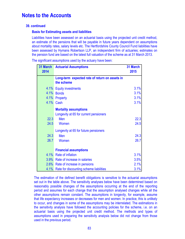### **39. continued**

### **Basis for Estimating assets and liabilities**

Liabilities have been assessed on an actuarial basis using the projected unit credit method, an estimate of the pensions that will be payable in future years dependent on assumptions about mortality rates, salary levels etc. The Hertfordshire County Council Fund liabilities have been assessed by Hymans Robertson LLP, an independent firm of actuaries; estimates on the pension fund are based on the latest full valuation of the scheme as at 31 March 2013.

The significant assumptions used by the actuary have been:

| 31 March<br>2014 | <b>Actuarial Assumptions</b>                   | 31 March<br>2015 |
|------------------|------------------------------------------------|------------------|
|                  | Long-term expected rate of return on assets in |                  |
|                  | the scheme                                     |                  |
|                  | 4.1% Equity investments                        | 3.1%             |
| 4.1%             | <b>Bonds</b>                                   | 3.1%             |
| 4.1%             | Property                                       | 3.1%             |
| 4.1%             | Cash                                           | 3.1%             |
|                  | <b>Mortality assumptions</b>                   |                  |
|                  | Longevity at 65 for current pensioners         |                  |
| 22.3             | Men                                            | 22.3             |
| 24.5             | Women                                          | 24.5             |
|                  | Longevity at 65 for future pensioners          |                  |
| 24.3             | Men                                            | 24.3             |
| 26.7             | Women                                          | 26.7             |
|                  |                                                |                  |
|                  | <b>Financial assumptions</b>                   |                  |
| 4.1%             | <b>Rate of inflation</b>                       | 3.1%             |
|                  | 3.9% Rate of increase in salaries              | 3.5%             |
|                  | 2.6% Rate of increase in pensions              | 2.1%             |
| 4.1%             | Rate for discounting scheme liabilities        | 3.1%             |

The estimation of the defined benefit obligations is sensitive to the actuarial assumptions set out in the table above. The sensitivity analyses below have been determined based on reasonably possible changes of the assumptions occurring at the end of the reporting period and assumes for each change that the assumption analysed changes while all the other assumptions remain constant. The assumptions in longevity, for example, assume that life expectancy increases or decreases for men and women. In practice, this is unlikely to occur, and changes in some of the assumptions may be interrelated. The estimations in the sensitivity analysis have followed the accounting policies for the scheme, i.e. on an actuarial basis using the projected unit credit method. The methods and types of assumptions used in preparing the sensitivity analysis below did not change from those used in the previous period.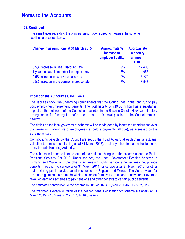### **39. Continued**

The sensitivities regarding the principal assumptions used to measure the scheme liabilities are set out below:

| Change in assumptions at 31 March 2015     | <b>Approximate %</b><br>increase to<br>employer liability | <b>Approximate</b><br>monetary<br>ammount<br>£'000 |
|--------------------------------------------|-----------------------------------------------------------|----------------------------------------------------|
| 0.5% decrease in Real Discount Rate        | 9%                                                        | 12,408                                             |
| 1 year increase in member life expectancy  | 3%                                                        | 4,058                                              |
| 0.5% increase in salary increase rate      | 2%                                                        | 3,279                                              |
| 0.5% increase in the pension increase rate | 7%                                                        | 8,947                                              |

#### **Impact on the Authority's Cash Flows**

The liabilities show the underlying commitments that the Council has in the long run to pay post employment (retirement) benefits. The total liability of £49.58 million has a substantial impact on the net worth of the Council as recorded in the Balance Sheet. However, statutory arrangements for funding the deficit mean that the financial position of the Council remains healthy.

The deficit on the local government scheme will be made good by increased contributions over the remaining working life of employees (i.e. before payments fall due), as assessed by the scheme actuary.

Contributions payable by the Council are set by the Fund Actuary at each triennial actuarial valuation (the most recent being as at 31 March 2013), or at any other time as instructed to do so by the Administering Authority.

The scheme will need to take account of the national changes to the scheme under the Public Pensions Services Act 2013. Under the Act, the Local Government Pension Scheme in England and Wales and the other main existing public service schemes may not provide benefits in relation to service after 31 March 2014 (or service after 31 March 2015 for other main existing public service pension schemes in England and Wales). The Act provides for scheme regulations to be made within a common framework, to establish new career average revalued earnings schemes to pay pensions and other benefits to certain public servants.

The estimated contribution to the scheme in 2015/2016 is £2,829k (2014/2015 is £2,611k).

The weighted average duration of the defined benefit obligation for scheme members at 31 March 2015 is 16.3 years (March 2014 16.3 years).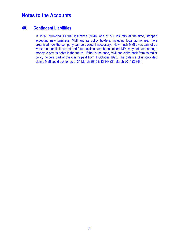### **40. Contingent Liabilities**

In 1992, Municipal Mutual Insurance (MMI), one of our insurers at the time, stopped accepting new business. MMI and its policy holders, including local authorities, have organised how the company can be closed if necessary. How much MMI owes cannot be worked out until all current and future claims have been settled. MMI may not have enough money to pay its debts in the future. If that is the case, MMI can claim back from its major policy holders part of the claims paid from 1 October 1993. The balance of un-provided claims MMI could ask for as at 31 March 2015 is £384k (31 March 2014 £384k).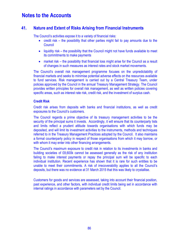## **41. Nature and Extent of Risks Arising from Financial Instruments**

The Council's activities expose it to a variety of financial risks:

- credit risk the possibility that other parties might fail to pay amounts due to the **Council**
- liquidity risk the possibility that the Council might not have funds available to meet its commitments to make payments
- market risk the possibility that financial loss might arise for the Council as a result of changes in such measures as interest rates and stock market movements.

The Council's overall risk management programme focuses on the unpredictability of financial markets and seeks to minimise potential adverse effects on the resources available to fund services. Risk management is carried out by a Central Treasury Team, under policies approved by the Council in the annual Treasury Management Strategy. The Council provides written principles for overall risk management, as well as written policies covering specific areas, such as interest rate risk, credit risk, and the investment of surplus cash.

#### **Credit Risk**

Credit risk arises from deposits with banks and financial institutions, as well as credit exposures to the Council's customers.

The Council regards a prime objective of its treasury management activities to be the security of the principal sums it invests. Accordingly, it will ensure that its counterparty lists and limits reflect a prudent attitude towards organisations with which funds may be deposited, and will limit its investment activities to the instruments, methods and techniques referred to in the Treasury Management Practices adopted by the Council. It also maintains a formal counterparty policy in respect of those organisations from which it may borrow, or with whom it may enter into other financing arrangements.

The Council's maximum exposure to credit risk in relation to its investments in banks and building societies of £8,600k cannot be assessed generally as the risk of any institution failing to make interest payments or repay the principal sum will be specific to each individual institution. Recent experience has shown that it is rare for such entities to be unable to meet their commitments. A risk of irrecoverability applies to all the Council's deposits, but there was no evidence at 31 March 2015 that this was likely to crystallise.

Customers for goods and services are assessed, taking into account their financial position, past experience, and other factors, with individual credit limits being set in accordance with internal ratings in accordance with parameters set by the Council.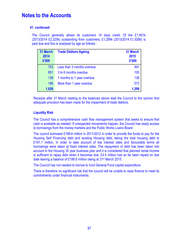### **41. continued**

The Council generally allows its customers 14 days credit. Of the £1,451k (2013/2014 £2,325k) outstanding from customers, £1,299k (2013/2014 £1,928k) is past due and this is analysed by age as follows :

| 31 March<br>2014<br>£'000 | <b>Trade Debtors Ageing</b> | 31 March<br>2015<br>£'000 |
|---------------------------|-----------------------------|---------------------------|
| 753                       | Less than 3 months overdue  | 491                       |
| 851                       | 3 to 6 months overdue       | 100                       |
| 138                       | 7 months to 1 year overdue  | 136                       |
| 186                       | More than 1 year overdue    | 572                       |
| 1,928                     |                             | 1,299                     |

Receipts after 31 March relating to the balances above lead the Council to the opinion that adequate provision has been made for the impairment of trade debtors.

### **Liquidity Risk**

The Council has a comprehensive cash flow management system that seeks to ensure that cash is available as needed. If unexpected movements happen, the Council has ready access to borrowings from the money markets and the Public Works Loans Board.

The council borrowed £189.6 million in 2011/2012 in order to provide the funds to pay for the Housing Self Financing debt and existing Housing debt, taking the total housing debt to £191.1 million. In order to take account of low interest rates and favourable terms all borrowings were taken at fixed interest rates. The repayment of debt has been taken into account in the Housing 30 year business plan and it is considered that planned rental income is sufficient to repay debt when it becomes due. £4.5 million has so far been repaid on due date leaving a balance of £186.6 million owing at 31<sup>st</sup> March 2015.

The Council has not needed to borrow to fund General Fund capital expenditure.

There is therefore no significant risk that the council will be unable to raise finance to meet its commitments under financial instruments.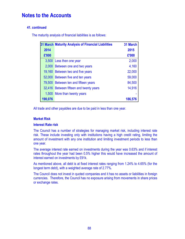### **41. continued**

The maturity analysis of financial liabilities is as follows:

|         | 31 March Maturity Analysis of Financial Liabilities | 31 March |
|---------|-----------------------------------------------------|----------|
| 2014    |                                                     | 2015     |
| £'000   |                                                     | £'000    |
| 3,500   | Less then one year                                  | 2,000    |
| 2,000   | Between one and two years                           | 4,160    |
| 19,160  | Between two and five years                          | 22,000   |
|         | 52,000 Between five and ten years                   | 59,000   |
| 79,500  | Between ten and fifteen years                       | 84,500   |
|         | 32,416 Between fifteen and twenty years             | 14,916   |
|         | 1,500 More than twenty years                        |          |
| 190,076 |                                                     | 186,576  |

All trade and other payables are due to be paid in less than one year.

#### **Market Risk**

#### **Interest Rate risk**

The Council has a number of strategies for managing market risk, including interest rate risk. These include investing only with institutions having a high credit rating, limiting the amount of investment with any one institution and limiting investment periods to less than one year.

The average interest rate earned on investments during the year was 0.63% and if interest rates throughout the year had been 0.5% higher this would have increased the amount of interest earned on investments by £91k.

As mentioned above, all debt is at fixed interest rates ranging from 1.24% to 4.65% (for the longest term debt), with a weighted average rate of 2.77%.

The Council does not invest in quoted companies and it has no assets or liabilities in foreign currencies. Therefore, the Council has no exposure arising from movements in share prices or exchange rates.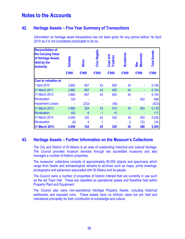## **42. Heritage Assets – Five Year Summary of Transactions**

Information on heritage asset transactions has not been given for any period before 1st April 2010 as it is not considered practicable to do so.

| <b>Reconciliation of</b><br>the Carrying Value<br>of Heritage Assets<br><b>Held by the</b><br><b>Authority</b> | Exhibits | Silver          | Civic Regalia | Cups and<br><b>Trophies</b> | <b>Sculptures</b> | <b>Memorials</b><br>War | <b>Total Assets</b> |
|----------------------------------------------------------------------------------------------------------------|----------|-----------------|---------------|-----------------------------|-------------------|-------------------------|---------------------|
|                                                                                                                | £'000    | £'000           | £'000         | £'000                       | £'000             | £'000                   | £'000               |
| <b>Cost or valuation at:</b>                                                                                   |          |                 |               |                             |                   |                         |                     |
| 1 April 2010                                                                                                   | 3,860    | 657             | 43            | 600                         | 34                |                         | 5,194               |
| 31 March 2011                                                                                                  | 3,860    | 657             | 43            | 600                         | 34                |                         | 5,194               |
| 31 March 2012                                                                                                  | 3,860    | 657             | 43            | 600                         | 34                |                         | 5,194               |
| <b>Revaluation</b>                                                                                             | 105      |                 |               |                             |                   | 263                     | 368                 |
| <b>Impairment Losses</b>                                                                                       |          | (333)           |               | (90)                        |                   |                         | (423)               |
| 31 March 2013                                                                                                  | 3,965    | 324             | 43            | 510                         | 34                | 263                     | 5,139               |
| <b>Revaluation</b>                                                                                             | 100      | $6\phantom{1}6$ | 1             | 10                          |                   |                         | 117                 |
| 31 March 2014                                                                                                  | 4,065    | 330             | 44            | 520                         | 34                | 263                     | 5,256               |
| <b>Revaluation</b>                                                                                             | (6)      | 4               | 1             |                             | $\overline{2}$    | 123                     | 124                 |
| <b>31 March 2015</b>                                                                                           | 4,059    | 334             | 45            | 520                         | 36                | 386                     | 5,380               |

## **43. Heritage Assets – Further Information on the Museum's Collections**

The City and District of St Albans is an area of outstanding historical and cultural heritage. The Council provides museum services through two accredited museums and also manages a number of historic properties.

The museums' collections consists of approximately 80,000 objects and specimens which range from fossils and archaeological remains to archives such as maps, prints drawings, photographs and ephemera associated with St Albans and its people.

The Council owns a number of properties of historic interest that are currently in use such as the old Town Hall. These are classified as operational assets and therefore held within Property Plant and Equipment.

The Council also owns non-operational Heritage Property Assets, including historical earthworks and exposed ruins. These assets have no intrinsic value but are held and maintained principally for their contribution to knowledge and culture.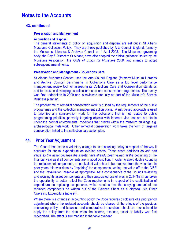### **43. continued**

#### **Preservation and Management**

#### **Acquisition and Disposal**

The general statements of policy on acquisition and disposal are set out in St Albans Museums Collection Policy. They are those published by Arts Council England, formerly the Museums, Libraries & Archives Council on 4 April 2008. The Museums' governing body, the City & District of St Albans, have also adopted the ethical guidance issued by the Museums Association, the *Code of Ethics for Museums 2008*, and intends to adopt subsequent amendments.

#### **Preservation and Management - Collections Care**

St Albans Museums Service uses the Arts Council England (formerly Museum Libraries and Archive Council) Benchmarks in Collections Care as a top level performance management review tool for assessing its Collections Care and Conservation standards and to assist in developing its collections care and conservation programmes. The survey was first undertaken in 2009 and is reviewed annually as part of the Museum's Service Business planning.

The programme of remedial conservation work is guided by the requirements of the public programmes and the collection management action plans. A risk based approach is used to prioritise any conservation work for the collections that is not related to public programming priorities, primarily targeting objects with inherent vice that are not stable under the normal environmental conditions that prevail within the museum buildings e.g. archaeological metalwork. Other remedial conservation work takes the form of targeted conservation linked to the collection care action plan.

### **44. Prior Year Adjustment**

The Council has made a voluntary change to its accounting policy in respect of the way it accounts for capital expenditure on existing assets. These asset additions do *not 'add value' to the asset because the assets have already been valued at the* beginning of the financial year as if all components are in good condition. In order to avoid double counting the replacement components, an equivalent value has to be removed from the valuation. In prior years this was done by 'impairing' the components, writing the value off to the CI&E and the Revaluation Reserve as appropriate. As a consequence of the Council reviewing and revising its asset components and their associated useful lives in 2014/15 it has taken the opportunity to better reflect the Code requirements in respect of the capitalisation of expenditure on replacing components, which requires that the carrying amount of the replaced components be written out of the Balance Sheet as a disposal (via Other Operating Expenditure (note 9)).

Where there is a change in accounting policy the Code requires disclosure of a prior period adjustment where the restated accounts should be cleared of the effects of the previous accounting policy, and balances and comparative transactions should be recalculated to apply the policy from the date when the income, expense, asset or liability was first recognised. The effect is summarised in the table overleaf.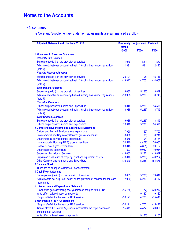## **44. continued**

The Core and Supplementary Statement adjustments are summarised as follow:

| <b>Adjusted Statement and Line item 2013/14</b>                                                  | <b>Previously</b>      | <b>Adjustment Restated</b> |                     |
|--------------------------------------------------------------------------------------------------|------------------------|----------------------------|---------------------|
|                                                                                                  | <b>stated</b><br>£'000 | £'000                      | £'000               |
| <b>1 Movement in Reserves Statement</b>                                                          |                        |                            |                     |
| <b>General Fund Balance</b>                                                                      |                        |                            |                     |
| Surplus or (deficit) on the provision of services                                                | (1,036)                | (531)                      | (1, 567)            |
| Adjustments between accounting basis & funding basis under regulations                           | 1,891                  | 531                        | 2,422               |
| (note 7)                                                                                         |                        |                            |                     |
| <b>Housing Revenue Account</b>                                                                   |                        |                            |                     |
| Surplus or (deficit) on the provision of services                                                | 20,121                 | (4,705)                    | 15,416              |
| Adjustments between accounting basis & funding basis under regulations                           | (19, 312)              | 4,705                      | (14, 607)           |
| (note 7)                                                                                         |                        |                            |                     |
| <b>Total Usable Reserves</b>                                                                     |                        |                            |                     |
| Surplus or (deficit) on the provision of services                                                | 19,085                 | (5,236)                    | 13,849              |
| Adjustments between accounting basis & funding basis under regulations                           | (13,985)               | 5,236                      | (8,749)             |
| (note 7)                                                                                         |                        |                            |                     |
| <b>Unusable Reserves</b>                                                                         |                        |                            |                     |
| Other Comprehensive Income and Expenditure                                                       | 79,340                 | 5,236                      | 84,576              |
| Adjustments between accounting basis & funding basis under regulations                           | 13,985                 | (5,236)                    | 8,749               |
| (note 7)                                                                                         |                        |                            |                     |
| <b>Total Council Reserves</b>                                                                    |                        |                            |                     |
| Surplus or (deficit) on the provision of services                                                | 19,085                 | (5,236)                    | 13,849              |
| Other Comprehensive Income and expenditure                                                       | 79,340                 | 5,236                      | 84,576              |
| 2 Comprehensive Income and Expenditure Statement                                                 |                        |                            |                     |
| <b>Culture and Related Services gross expenditure</b>                                            | 7,950                  | (160)                      | 7,790               |
| <b>Environmental and Regulatory Services gross expenditure</b>                                   | 8,868                  | (120)                      | 8,748               |
| <b>Other Housing Services gross expenditure</b>                                                  | 2,878                  | (94)                       | 2,784               |
| Local Authority Housing (HRA) gross expenditure                                                  | 24,510                 | (4, 477)                   | 20,033              |
| Cost of Services gross expenditure                                                               | 68,048                 | (4,851)                    | 63,197              |
| Other operating expenditure                                                                      | 827                    | 10,087                     | 10,914              |
| <b>Surplus on Provision of Services</b>                                                          | (19,085)               | 5,236                      | (13, 849)           |
| Surplus on revaluation of property, plant and equipment assets                                   | (73,016)               | (5,236)                    | (78, 252)           |
| Other Comprehensive Income and Expenditure                                                       | (79, 340)              | (5,236)                    | (84, 576)           |
| 3 Balance Sheet                                                                                  |                        |                            |                     |
| There are no changes to Balance Sheet Statement                                                  |                        |                            |                     |
| <b>4 Cash Flow Statement</b>                                                                     |                        |                            |                     |
| Net surplus or (deficit) on the provision of services                                            | 19,085                 | (5,236)                    | 13,849              |
| Adjustment to net surplus or deficit on the provision of services for non-cash                   | (2,089)                | 5,236                      | 3,147               |
| movements                                                                                        |                        |                            |                     |
| <b>5 HRA Income and Expenditure Statement</b>                                                    |                        |                            |                     |
| Revaluation gains reversing prior year losses charged to the HRA                                 | (15, 765)              | (4, 477)                   | (20, 242)           |
| Write off of replaced asset components                                                           |                        | 9,182                      | 9,182               |
| (Surplus)/Deficit for the year on HRA services                                                   | (20, 121)              | 4,705                      | (15, 416)           |
| <b>6 Movement on the HRA Statement</b>                                                           |                        |                            |                     |
| (Surplus)/Deficit for the year on HRA services                                                   | (20, 121)<br>15,619    | 4,705                      | (15, 416)<br>20,096 |
| Transfer from the Capital Adjustment Account for the depreciation and<br>impairment of dwellings |                        | 4,477                      |                     |
| Write off of replaced asset components                                                           |                        |                            |                     |
|                                                                                                  |                        | (9, 182)                   | (9, 182)            |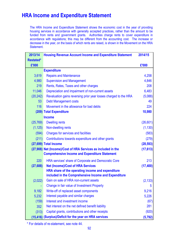# **HRA Income and Expenditure Statement**

The HRA Income and Expenditure Statement shows the economic cost in the year of providing housing services in accordance with generally accepted practices, rather than the amount to be funded from rents and government grants. Authorities charge rents to cover expenditure in accordance with regulations; this may be different from the accounting cost. The increase or decrease in the year, on the basis of which rents are raised, is shown in the Movement on the HRA Statement.

| 2013/14          | <b>Housing Revenue Account Income and Expenditure Statement</b>  | 2014/15   |
|------------------|------------------------------------------------------------------|-----------|
| <b>Restated*</b> |                                                                  |           |
| £'000            |                                                                  | £'000     |
|                  | <b>Expenditure</b>                                               |           |
| 3,619            | <b>Repairs and Maintenance</b>                                   | 4,258     |
| 4,980            | <b>Supervision and Management</b>                                | 4,846     |
| 219              | Rents, Rates, Taxes and other charges                            | 208       |
| 11,046           | Depreciation and impairment of non-current assets                | 6,483     |
| (20, 242)        | Revaluation gains reversing prior year losses charged to the HRA | (5,088)   |
| 53               | <b>Debt Management costs</b>                                     | 49        |
| 116              | Movement in the allowance for bad debts                          | 224       |
|                  | (209) Total Expenditure                                          | 10,980    |
|                  | <b>Income</b>                                                    |           |
| (25, 769)        | <b>Dwelling rents</b>                                            | (26, 601) |
| (1, 125)         | Non-dwelling rents                                               | (1, 130)  |
| (594)            | <b>Charges for services and facilities</b>                       | (583)     |
| (211)            | Contributions towards expenditure and other grants               | (279)     |
|                  | (27,699) Total Income                                            | (28, 593) |
|                  | (27,908) Net (Income)/Cost of HRA Services as included in the    | (17, 613) |
|                  | <b>Comprehensive Income and Expenditure Statement</b>            |           |
| 220              | HRA services' share of Corporate and Democratic Core             | 213       |
| (27, 688)        | <b>Net (Income)/Cost of HRA Services</b>                         | (17, 400) |
|                  | HRA share of the operating income and expenditure                |           |
|                  | included in the Comprehensive Income and Expenditure             |           |
| (2,022)          | Gain on sale of HRA non-current assets                           | (2, 133)  |
|                  | Change in fair value of Investment Property                      | 5         |
| 9,182            | Write-off of replaced asset components                           | 9,216     |
| 5,232            | Interest payable and similar charges                             | 5,226     |
| (159)            | Interest and investment income                                   | (67)      |
| 352              | Net interest on the net defined benefit liability                | 281       |
| (313)            | Capital grants, contributions and other receipts                 | (920)     |
|                  | (15,416) (Surplus)/Deficit for the year on HRA services          | (5, 792)  |

\* For details of re-statement, see note 44.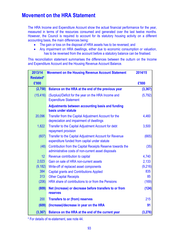# **Movement on the HRA Statement**

The HRA Income and Expenditure Account show the actual financial performance for the year, measured in terms of the resources consumed and generated over the last twelve months. However, the Council is required to account for its statutory housing activity on a different accounting basis, the main differences being:

- The gain or loss on the disposal of HRA assets has to be reversed; and
- Any impairment on HRA dwellings, either due to economic consumption or valuation, has to be reversed from the account before a statutory balance can be finalised.

This reconciliation statement summarises the differences between the outturn on the Income and Expenditure Account and the Housing Revenue Account Balance.

| 2013/14         | <b>Movement on the Housing Revenue Account Statement</b>                                                          | 2014/15  |
|-----------------|-------------------------------------------------------------------------------------------------------------------|----------|
| Restated*       |                                                                                                                   |          |
| £'000           |                                                                                                                   | £'000    |
| (2,758)         | Balance on the HRA at the end of the previous year                                                                | (3, 367) |
| (15, 416)       | (Surplus)/Deficit for the year on the HRA Income and<br><b>Expenditure Statement</b>                              | (5, 792) |
|                 | Adjustments between accounting basis and funding<br>basis under statute                                           |          |
| 20,096          | Transfer from the Capital Adjustment Account for the<br>depreciation and impairment of dwellings                  | 4,460    |
| 1,822           | Transfer to the Capital Adjustment Account for debt<br>repayment provision                                        | 3,500    |
| (607)           | Transfer to the Capital Adjustment Account for Revenue<br>expenditure funded from capital under statute           | (665)    |
| (48)            | Contribution from the Capital Receipts Reserve towards the<br>administrative costs of non-current asset disposals | (35)     |
| 12 <sup>°</sup> | Revenue contribution to capital                                                                                   | 4,740    |
| 2,023           | Gain on sale of HRA non-current assets                                                                            | 2,133    |
| (9, 182)        | Write-off of replaced asset components                                                                            | (9,216)  |
| 384             | <b>Capital grants and Contributions Applied</b>                                                                   | 835      |
| 313             | <b>Other Capital Receipts</b>                                                                                     | 85       |
| (206)           | HRA share of contributions to or from the Pensions                                                                | (169)    |
| (809)           | Net (increase) or decrease before transfers to or from<br><b>reserves</b>                                         | (124)    |
| 200             | <b>Transfers to or (from) reserves</b>                                                                            | 215      |
| (609)           | (Increase)/decrease in year on the HRA                                                                            | 91       |
| (3, 367)        | Balance on the HRA at the end of the current year                                                                 | (3, 276) |

\* For details of re-statement, see note 44.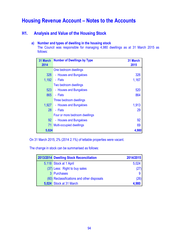## **H1. Analysis and Value of the Housing Stock**

### **a) Number and types of dwelling in the housing stock**

The Council was responsible for managing 4,980 dwellings as at 31 March 2015 as follows:

| 31 March        | <b>Number of Dwellings by Type</b> | <b>31 March</b> |
|-----------------|------------------------------------|-----------------|
| 2014            |                                    | 2015            |
|                 | One bedroom dwellings              |                 |
| 326             | - Houses and Bungalows             | 326             |
| 1,192           | - Flats                            | 1,167           |
|                 | Two bedroom dwellings              |                 |
| 523             | - Houses and Bungalows             | 520             |
| 865             | - Flats                            | 864             |
|                 | Three bedroom dwellings            |                 |
| 1,927           | - Houses and Bungalows             | 1,913           |
| 28              | - Flats                            | 29              |
|                 | Four or more bedroom dwellings     |                 |
| 92 <sub>2</sub> | - Houses and Bungalows             | 92              |
|                 | 71 Multi-occupied dwellings        | 69              |
| 5,024           |                                    | 4,980           |

On 31 March 2015, 2% (2014 2.1%) of lettable properties were vacant.

The change in stock can be summarised as follows:

| 2013/2014 Dwelling Stock Reconciliation    | 2014/2015 |
|--------------------------------------------|-----------|
| 5,118 Stock at 1 April                     | 5,024     |
| (37) Less: Right to buy sales              | (27)      |
| 3 Purchases                                | 9         |
| (60) Reclassifications and other disposals | (26)      |
| 5,024 Stock at 31 March                    | 4,980     |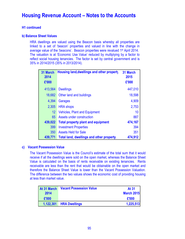### **H1 continued**

#### **b) Balance Sheet Values**

HRA dwellings are valued using the Beacon basis whereby all properties are linked to a set of 'beacon' properties and valued in line with the change in average value of the 'beacons'. Beacon properties were revalued 1st April 2014. The valuation is at 'Economic Use Value' reduced by multiplying by a factor to reflect social housing tenancies. The factor is set by central government and is 35% in 2014/2015 (35% in 2013/2014).

| 31 March<br>2014<br>£'000 | Housing land, dwellings and other property      | 31 March<br>2015<br>£'000 |
|---------------------------|-------------------------------------------------|---------------------------|
| 413,564                   | <b>Dwellings</b>                                | 447,010                   |
| 18,682                    | Other land and buildings                        | 18,598                    |
| 4,394                     | Garages                                         | 4,909                     |
| 2,305                     | <b>HRA</b> shops                                | 2,753                     |
| $12 \,$                   | <b>Vehicles, Plant and Equipment</b>            | 10                        |
| 65                        | Assets under construction                       | 887                       |
| 439,022                   | <b>Total property plant and equipment</b>       | 474,167                   |
| 399                       | <b>Investment Properties</b>                    | 394                       |
| 350                       | <b>Assets Held for Sale</b>                     | 351                       |
| 439,771                   | <b>Total land, dwellings and other property</b> | 474,912                   |

#### **c) Vacant Possession Value**

The Vacant Possession Value is the Council's estimate of the total sum that it would receive if all the dwellings were sold on the open market, whereas the Balance Sheet Value is calculated on the basis of rents receivable on existing tenancies. Rents receivable are less than the rent that would be obtainable on the open market and therefore the Balance Sheet Value is lower than the Vacant Possession Valuation. The difference between the two values shows the economic cost of providing housing at less than market value.

| At 31 March | <b>Vacant Possession Value</b> | <b>At 31</b>      |
|-------------|--------------------------------|-------------------|
| 2014        |                                | <b>March 2015</b> |
| £'000       |                                | £'000             |
| 1,122,301   | <b>HRA Dwellings</b>           | 1,225,513         |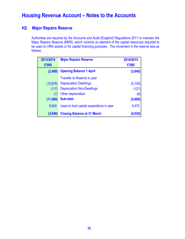## **H2. Major Repairs Reserve**

Authorities are required by the Accounts and Audit (England) Regulations 2011 to maintain the Major Repairs Reserve (MRR), which controls an element of the capital resources required to be used on HRA assets or for capital financing purposes. The movement in the reserve was as follows:

| 2013/2014 | <b>Major Repairs Reserve</b>             | 2014/2015 |
|-----------|------------------------------------------|-----------|
| £'000     |                                          | £'000     |
| (2,469)   | <b>Opening Balance 1 April</b>           | (3, 645)  |
|           | Transfer to Reserve in year              |           |
| (10, 876) | <b>Depreciation Dwellings</b>            | (5,730)   |
| (117)     | <b>Depreciation Non-Dwellings</b>        | (127)     |
| (7)       | Other depreciation                       | (8)       |
| (11,000)  | <b>Sub-total</b>                         | (5,865)   |
| 9,824     | Used to fund capital expenditure in year | 5,475     |
| (3,645)   | <b>Closing Balance at 31 March</b>       | (4,035)   |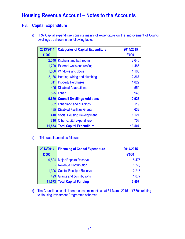## **H3. Capital Expenditure**

**a)** HRA Capital expenditure consists mainly of expenditure on the improvement of Council dwellings as shown in the following table:

| 2013/2014 | <b>Categories of Capital Expenditure</b> | 2014/2015 |
|-----------|------------------------------------------|-----------|
| £'000     |                                          | £'000     |
|           | 2,548 Kitchens and bathrooms             | 2,648     |
|           | 1,709 External walls and roofing         | 1,486     |
|           | 1,586 Windows and doors                  | 1,100     |
|           | 2,186 Heating, wiring and plumbing       | 2,367     |
| 611       | <b>Property Purchases</b>                | 1,829     |
| 495       | <b>Disabled Adaptations</b>              | 552       |
| 525       | <b>Other</b>                             | 945       |
|           | 9,660 Council Dwellings Additions        | 10,927    |
|           | 302 Other land and buildings             | 119       |
|           | <b>485 Disabled Facilities Grants</b>    | 632       |
| 410       | Social Housing Development               | 1,121     |
| 716       | Other capital expenditure                | 708       |
|           | 11,573 Total Capital Expenditure         | 13,507    |

**b)** This was financed as follows:

| 2013/2014 | <b>Financing of Capital Expenditure</b> | 2014/2015 |
|-----------|-----------------------------------------|-----------|
| £'000     |                                         | £'000     |
|           | 9,824 Major Repairs Reserve             | 5,475     |
|           | - Revenue Contribution                  | 4,740     |
|           | 1,326 Capital Receipts Reserve          | 2,215     |
|           | 423 Grants and contributions            | 1,077     |
|           | 11,573 Total Capital Funding            | 13,507    |

**c)** The Council has capital contract commitments as at 31 March 2015 of £830k relating to Housing Investment Programme schemes.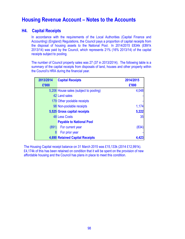### **H4. Capital Receipts**

In accordance with the requirements of the Local Authorities (Capital Finance and Accounting) (England) Regulations, the Council pays a proportion of capital receipts from the disposal of housing assets to the National Pool. In 2014/2015 £834k (£891k 2013/14) was paid by the Council, which represents 21% (16% 2013/14) of the capital receipts subject to pooling.

The number of Council property sales was 27 (37 in 2013/2014). The following table is a summary of the capital receipts from disposals of land, houses and other property within the Council's HRA during the financial year.

| 2013/2014 | <b>Capital Receipts</b>                | 2014/2015 |
|-----------|----------------------------------------|-----------|
| £'000     |                                        | £'000     |
|           | 5,206 House sales (subject to pooling) | 4,048     |
|           | 42 Land sales                          |           |
|           | 179 Other poolable receipts            |           |
|           | 98 Non-poolable receipts               | 1,174     |
|           | 5,525 Gross capital receipts           | 5,222     |
|           | <b>48 Less Costs</b>                   | 35        |
|           | <b>Payable to National Pool</b>        |           |
| (891)     | For current year                       | (834)     |
| 8         | For prior year                         |           |
|           | <b>4,690 Retained Capital Receipts</b> |           |

The Housing Capital receipt balance on 31 March 2015 was £15,133k (2014 £12,991k). £4,174k of this has been retained on condition that it will be spent on the provision of new affordable housing and the Council has plans in place to meet this condition.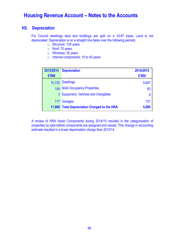### **H5. Depreciation**

For Council dwellings land and buildings are split on a 33:67 basis. Land is not depreciated. Depreciation is on a straight line basis over the following periods:

- o Structure: 100 years
- o Roof: 70 years
- o Windows: 30 years
- o Internal components: 15 to 40 years

| 2013/2014      | <b>Depreciation</b>                          | 2014/2015 |
|----------------|----------------------------------------------|-----------|
| £'000          |                                              | £'000     |
|                | 10,722 Dwellings                             | 5,647     |
|                | 154 Multi Occupancy Properties               | 83        |
| 7 <sup>1</sup> | <b>Equipment, Vehicles and Intangibles</b>   | 8         |
|                | 117 Garages                                  | 127       |
|                | 11,000 Total Depreciation Charged to the HRA | 5,865     |

A review of HRA Asset Components during 2014/15 resulted in the categorisation of properties by type before components are assigned and valued. This change in accounting estimate resulted in a lower depreciation charge than 2013/14.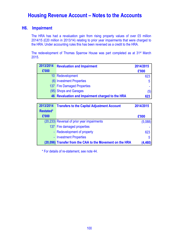## **H6. Impairment**

The HRA has had a revaluation gain from rising property values of over £5 million 2014/15 (£20 million in 2013/14) relating to prior year impairments that were charged to the HRA. Under accounting rules this has been reversed as a credit to the HRA.

The redevelopment of Thomas Sparrow House was part completed as at 31st March 2015.

| 2013/2014 | <b>Revaluation and Impairment</b>                | 2014/2015 |
|-----------|--------------------------------------------------|-----------|
| £'000     |                                                  | £'000     |
|           | 10 Redevelopment                                 | 623       |
|           | (6) Investment Properties                        | 5         |
|           | 137 Fire Damaged Properties                      |           |
|           | (95) Shops and Garages                           | (5)       |
|           | 46 Revaluation and Impairment charged to the HRA | 623       |

| 2013/2014        | <b>Transfers to the Capital Adjustment Account</b>        | 2014/2015 |
|------------------|-----------------------------------------------------------|-----------|
| <b>Restated*</b> |                                                           |           |
| £'000            |                                                           | £'000     |
|                  | (20,233) Reversal of prior year impairments               | (5,088)   |
|                  | 137 Fire damaged properties                               |           |
|                  | - Redevelopment of property                               | 623       |
|                  | - Investment Properties                                   | 5         |
|                  | (20,096) Transfer from the CAA to the Movement on the HRA | (4, 460)  |

\* For details of re-statement, see note 44.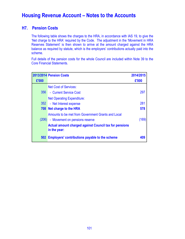## **H7. Pension Costs**

The following table shows the charges to the HRA, in accordance with IAS 19, to give the 'Net charge to the HRA' required by the Code. The adjustment in the 'Movement in HRA Reserves Statement' is then shown to arrive at the amount charged against the HRA balance as required by statute, which is the employers' contributions actually paid into the scheme.

Full details of the pension costs for the whole Council are included within Note 39 to the Core Financial Statements.

| £'000 | 2013/2014 Pension Costs                                       | 2014/2015<br>£'000 |
|-------|---------------------------------------------------------------|--------------------|
|       |                                                               |                    |
|       | <b>Net Cost of Services:</b>                                  |                    |
| 356   | - Current Service Cost                                        | 297                |
|       | <b>Net Operating Expenditure:</b>                             |                    |
| 352   | - Net Interest expense                                        | 281                |
|       | 708 Net charge to the HRA                                     | 578                |
|       | Amounts to be met from Government Grants and Local            |                    |
|       | (206) - Movement on pensions reserve                          | (169)              |
|       | <b>Actual amount charged against Council tax for pensions</b> |                    |
|       | in the year:                                                  |                    |
|       | 502 Employers' contributions payable to the scheme            | 409                |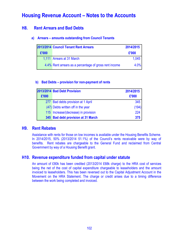## **H8. Rent Arrears and Bad Debts**

### **a) Arrears – amounts outstanding from Council Tenants**

|       | 2013/2014 Council Tenant Rent Arrears                  | 2014/2015 |
|-------|--------------------------------------------------------|-----------|
| £'000 |                                                        | £'000     |
|       | 1,111 Arrears at 31 March                              | 1.045     |
|       | 4.4% Rent arrears as a percentage of gross rent income | 4.0%      |

### **b) Bad Debts – provision for non-payment of rents**

|       | 2013/2014 Bad Debt Provision         | 2014/2015 |
|-------|--------------------------------------|-----------|
| £'000 |                                      | £'000     |
|       | 277 Bad debts provision at 1 April   | 345       |
|       | (47) Debts written off in the year   | (194)     |
|       | 115 Increase/(decrease) in provision | 224       |
|       | 345 Bad debt provision at 31 March   | 375       |

## **H9. Rent Rebates**

Assistance with rents for those on low incomes is available under the Housing Benefits Scheme. In 2014/2015, 50% (2013/2014 51.1%) of the Council's rents receivable were by way of benefits. Rent rebates are chargeable to the General Fund and reclaimed from Central Government by way of a Housing Benefit grant.

## **H10. Revenue expenditure funded from capital under statute**

An amount of £80k has been credited (2013/2014 £68k charge) to the HRA cost of services being the net of the cost of capital expenditure chargeable to leaseholders and the amount invoiced to leaseholders. This has been reversed out to the Capital Adjustment Account in the Movement on the HRA Statement. The charge or credit arises due to a timing difference between the work being completed and invoiced.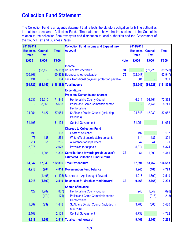# **Collection Fund Statement**

The Collection Fund is an agent's statement that reflects the statutory obligation for billing authorities to maintain a separate Collection Fund. The statement shows the transactions of the Council in relation to the collection from taxpayers and distribution to local authorities and the Government of the Council Tax and Business Rates.

| 2013/2014                       |                              |                 | <b>Collection Fund Income and Expenditure</b>                                    |                | 2014/2015                       |                              |                 |
|---------------------------------|------------------------------|-----------------|----------------------------------------------------------------------------------|----------------|---------------------------------|------------------------------|-----------------|
| <b>Business</b><br><b>Rates</b> | <b>Council</b><br><b>Tax</b> | <b>Total</b>    | <b>Account</b>                                                                   |                | <b>Business</b><br><b>Rates</b> | <b>Council</b><br><b>Tax</b> | <b>Total</b>    |
| £'000                           | £'000                        | £'000           |                                                                                  | <b>Note</b>    | £'000                           | £'000                        | £'000           |
|                                 |                              |                 | <b>Income</b>                                                                    |                |                                 |                              |                 |
|                                 | (88, 153)                    |                 | (88,153) Council tax receivable                                                  | C <sub>1</sub> |                                 | (89, 228)                    | (89, 228)       |
| (60, 863)                       |                              |                 | (60,863) Business rates receivable                                               | C <sub>2</sub> | (62, 947)                       |                              | (62, 947)       |
| 134                             |                              |                 | 134 Less Transitional payment protection payable                                 |                | 301                             |                              | 301             |
| (60, 729)                       | (88, 153)                    |                 | (148,882) Total Income                                                           |                | (62, 646)                       | (89, 228)                    | (151, 874)      |
|                                 |                              |                 | <b>Expenditure</b>                                                               |                |                                 |                              |                 |
|                                 |                              |                 | <b>Precepts, Demands and shares:</b>                                             |                |                                 |                              |                 |
| 6,239                           | 65,610<br>8,668              | 71,849<br>8,668 | <b>Hertfordshire County Council</b><br>Police and Crime Commissioner for         |                | 6,211                           | 66,161<br>8,741              | 72,372<br>8,741 |
|                                 |                              |                 | <b>Hertfordshire</b>                                                             |                |                                 |                              |                 |
| 24,954                          | 12,127                       | 37,081          | <b>St Albans District Council (including</b>                                     |                | 24,843                          | 12,239                       | 37,082          |
|                                 |                              |                 | Parishes)                                                                        |                |                                 |                              |                 |
| 31,193                          |                              | 31,193          | <b>Central Government</b>                                                        |                | 31,054                          |                              | 31,054          |
|                                 |                              |                 | <b>Charges to Collection Fund</b>                                                |                |                                 |                              |                 |
| 198                             |                              | 198             | <b>Costs of collection</b>                                                       |                | 197                             |                              | 197             |
| 73                              | 188                          | 261             | Write-offs of uncollectable amounts                                              |                | 114                             | 187                          | 301             |
| 214                             | 51                           | 265             | Allowance for impairment                                                         |                | 47                              | 44                           | 91              |
| 2,076                           |                              | 2,076           | Provision for appeals                                                            |                | 5,374                           | $\blacksquare$               | 5,374           |
| ٠                               | 1,305                        |                 | 1,305 Contributions towards previous year's<br>estimated Collection Fund surplus | C <sub>3</sub> | 51                              | 1,390                        | 1,441           |
| 64,947                          | 87,949                       |                 | 152,896 Total Expenditure                                                        |                | 67,891                          | 88,762                       | 156,653         |
| 4,218                           | (204)                        |                 | 4,014 Movement on Fund balance                                                   |                | 5,245                           | (466)                        | 4,779           |
|                                 | (1, 495)                     |                 | (1,495) Balance at 1 April brought forward                                       |                | 4,218                           | (1,699)                      | 2,519           |
| 4,218                           | (1,699)                      |                 | 2,519 Balance at 31 March carried forward                                        | C <sub>3</sub> | 9,463                           | (2, 165)                     | 7,298           |
|                                 |                              |                 | <b>Shares of balance</b>                                                         |                |                                 |                              |                 |
| 422                             | (1,289)                      | (867)           | <b>Hertfordshire County Council</b>                                              |                | 946                             | (1,642)                      | (696)           |
|                                 | (171)                        | (171)           | Police and Crime Commissioner for<br>Hertfordshire                               |                |                                 | (218)                        | (218)           |
| 1,687                           | (239)                        | 1,448           | St Albans District Council (included in<br>reserves)                             |                | 3,785                           | (305)                        | 3,480           |
| 2,109                           |                              | 2,109           | <b>Central Government</b>                                                        |                | 4,732                           | ÷                            | 4,732           |
| 4,218                           | (1,699)                      |                 | 2,519 Total carried forward                                                      |                | 9,463                           | (2, 165)                     | 7,298           |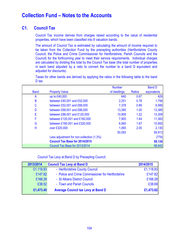# **Collection Fund – Notes to the Accounts**

## **C1. Council Tax**

Council Tax income derives from charges raised according to the value of residential properties, which have been classified into 8 valuation bands.

The amount of Council Tax is estimated by calculating the amount of income required to be taken from the Collection Fund by the precepting authorities (Hertfordshire County Council, the Police and Crime Commissioner for Hertfordshire, Parish Councils and the Council) for the forthcoming year to meet their service requirements. Individual charges are calculated by dividing this total by the Council Tax base (the total number of properties in each band adjusted by a ratio to convert the number to a band D equivalent and adjusted for discounts).

Taxes for other bands are derived by applying the ratios in the following table to the band D tax.

|             |                                           | <b>Number</b> |        | <b>Band D</b> |
|-------------|-------------------------------------------|---------------|--------|---------------|
| <b>Band</b> | <b>Property Value</b>                     | of dwellings  | Ratios | equivalents   |
| A           | up to £40,000                             | 640           | 0.67   | 429           |
| B           | between £40,001 and £52,000               | 2,251         | 0.78   | 1,756         |
| С           | between £52,001 and £68,000               | 7,378         | 0.89   | 6,566         |
| D           | between £68,001 and £88,000               | 13,385        | 1.00   | 13,385        |
| E           | between £88,001 and £120,000              | 10,909        | 1.22   | 13,309        |
| F           | between £120,001 and £160,000             | 7,905         | 1.44   | 11,383        |
| G           | between £160,001 and £320,000             | 6,560         | 1.67   | 10,955        |
| Н           | over £320,000                             | 1,065         | 2.00   | 2,130         |
|             |                                           | 50,093        |        | 59,913        |
|             | Less adjustment for non-collection (1.3%) |               |        | (779)         |
|             | <b>Council Tax Base for 2014/2015</b>     |               |        | 59,134        |
|             | Council Tax Base for 2013/2014            |               |        | 58,642        |

Council Tax Levy at Band D by Precepting Council:

| 2013/2014 | <b>Council Tax Levy at Band D</b>                 | 2014/2015 |
|-----------|---------------------------------------------------|-----------|
| £1,118.83 | - Hertfordshire County Council                    | £1,118.83 |
| £147.82   | - Police and Crime Commissioner for Hertfordshire | £147.82   |
| £168.28   | - St Albans District Council                      | £168.28   |
| £38.52    | - Town and Parish Councils                        | £38.69    |
| £1,473.45 | <b>Average Council tax Levy at Band D</b>         | £1,473.62 |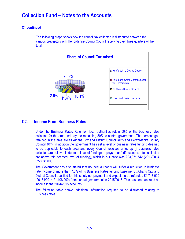# **Collection Fund – Notes to the Accounts**

### **C1 continued**

The following graph shows how the council tax collected is distributed between the various preceptors with Herfordshire County Council receiving over three quarters of the total.



## **C2. Income From Business Rates**

Under the Business Rates Retention local authorities retain 50% of the business rates collected for the area and pay the remaining 50% to central government. The percentages retained in the area are St Albans City and District Council 40% and Hertfordshire County Council 10%. In addition the government has set a level of business rates funding deemed to be applicable to each area and every Council receives a top-up (if business rates collected are below this deemed level of funding) or pays a tariff (if business rates collected are above this deemed level of funding), which in our case was £23,071,542 (2013/2014 £22,631,000).

The Government has also stated that no local authority will suffer a reduction in business rate income of more than 7.5% of its Business Rates funding baseline. St Albans City and District Council qualified for this safety net payment and expects to be refunded £1,717,000 (20134/2014 £1,108,000) from central government in 2015/2016. This has been accrued as income in the 2014/2015 accounts.

The following table shows additional information required to be disclosed relating to Business rates;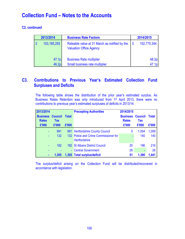# **Collection Fund – Notes to the Accounts**

### **C2. continued**

|   | 2013/2014<br><b>Business Rate Factors</b> |                                                                                 |   | 2014/2015         |  |  |
|---|-------------------------------------------|---------------------------------------------------------------------------------|---|-------------------|--|--|
| E | 153, 185, 293                             | Rateable value at 31 March as notified by the<br><b>Valuation Office Agency</b> | £ | 152,775,344       |  |  |
|   | 47.1 <sub>p</sub>                         | <b>Business Rate multiplier</b>                                                 |   | 48.2 <sub>p</sub> |  |  |
|   | 46.2 <sub>p</sub>                         | Small business rate multiplier                                                  |   | 47.1 <sub>p</sub> |  |  |

## **C3. Contributions to Previous Year's Estimated Collection Fund Surpluses and Deficits**

The following table shows the distribution of the prior year's estimated surplus. As Business Rates Retention was only introduced from 1st April 2013, there were no contributions to previous year's estimated surpluses of deficits in 2013/14.

| 2013/2014                       |                              |              | <b>Precepting Authorities</b>                                 | 2014/2015                       |                              |              |
|---------------------------------|------------------------------|--------------|---------------------------------------------------------------|---------------------------------|------------------------------|--------------|
| <b>Business</b><br><b>Rates</b> | <b>Council</b><br><b>Tax</b> | <b>Total</b> |                                                               | <b>Business</b><br><b>Rates</b> | <b>Council</b><br><b>Tax</b> | <b>Total</b> |
| £'000                           | £'000                        | £'000        |                                                               | £'000                           | £'000                        | £'000        |
| ٠                               | 991                          |              | 991 Hertfordshire County Council                              | 5                               | 1,054                        | 1,059        |
| ۰                               | 132                          |              | 132 Police and Crime Commissioner for<br><b>Hertfordshire</b> | ۰                               | 140                          | 140          |
|                                 | 182                          |              | <b>182 St Albans District Council</b>                         | 20                              | 196                          | 216          |
|                                 |                              |              | - Central Government                                          | 26                              | -                            | 26           |
| ۰                               | 1,305                        |              | 1,305 Total surplus/deficit                                   | 51                              | 1,390                        | 1,441        |

The surplus/deficit arising on the Collection Fund will be distributed/recovered in accordance with legislation.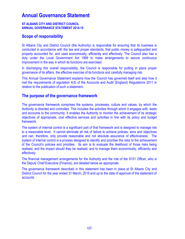# **Annual Governance Statement**

#### **ST ALBANS CITY AND DISTRICT COUNCIL ANNUAL GOVERNANCE STATEMENT 2014-15**

## **Scope of responsibility**

St Albans City and District Council (the Authority) is responsible for ensuring that its business is conducted in accordance with the law and proper standards, that public money is safeguarded and properly accounted for, and used economically, efficiently and effectively. The Council also has a duty under the Local Government Act 1999 to make arrangements to secure continuous improvement in the way in which its functions are exercised.

In discharging this overall responsibility, the Council is responsible for putting in place proper governance of its affairs, the effective exercise of its functions and carefully managing risk.

This Annual Governance Statement explains how the Council has governed itself and also how it met the requirements of regulation 4(3) of the Accounts and Audit (England) Regulations 2011 in relation to the publication of such a statement.

### **The purpose of the governance framework**

The governance framework comprises the systems, processes, culture and values, by which the Authority is directed and controlled. This includes the activities through which it engages with, leads and accounts to the community. It enables the Authority to monitor the achievement of its strategic objectives of appropriate, cost effective services and activities in line with its policy and budget framework.

The system of internal control is a significant part of that framework and is designed to manage risk to a reasonable level. It cannot eliminate all risk of failure to achieve policies, aims and objectives and can, therefore, only provide reasonable and not absolute assurance of effectiveness. The system of internal control is a process designed to identify and prioritise the risks to the achievement of the Council's policies and priorities. Its aim is to evaluate the likelihood of those risks being realised, and the impact should they be realised, and to manage them economically, efficiently and effectively.

The financial management arrangements for the Authority and the role of the S151 Officer, who is the Deputy Chief Executive (Finance), are detailed below as appropriate.

The governance framework described in this statement has been in place at St Albans City and District Council for the year ended 31 March, 2015 and up to the date of approval of the statement of accounts.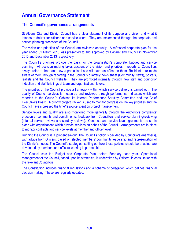# **Annual Governance Statement**

### **The Council's governance arrangements**

St Albans City and District Council has a clear statement of its purpose and vision and what it intends to deliver for citizens and service users. They are implemented through the corporate and service planning processes of the Council.

The vision and priorities of the Council are reviewed annually. A refreshed corporate plan for the year ended 31 March 2015 was presented to and approved by Cabinet and Council in November 2013 and December 2013 respectively.

The Council's priorities provide the basis for the organisation's corporate, budget and service planning. All decision making takes account of the vision and priorities – reports to Councillors always refer to them and how a particular issue will have an effect on them. Residents are made aware of them through reporting in the Council's quarterly news sheet (Community News), posters, leaflets and the Council website. They are promoted internally through new staff and councillor induction and staff briefings at team and organisational levels.

The priorities of the Council provide a framework within which service delivery is carried out. The quality of Council services is measured and reviewed through performance indicators which are reported to the Council's Cabinet, its Internal Performance Scrutiny Committee and the Chief Executive's Board. A priority project tracker is used to monitor progress on the key priorities and the Council have increased the time/resource spent on project management.

Service levels and quality are also monitored more generally through the Authority's complaints' procedure; comments and compliments; feedback from Councillors and service planning/reviewing (internal service reviews and scrutiny reviews). Contracts and service level agreements are set in place with organisations which provide services on behalf of the Council. Arrangements are in place to monitor contracts and service levels at member and officer level.

Running the Council is a joint endeavour. The Council's policy is decided by Councillors (members), with advice from Officers, based on elected members' community leadership and representation of the District's needs. The Council's strategies, setting out how those policies should be enacted, are developed by members and officers working in partnership.

The Council sets the Budget and Corporate Plan, before February each year. Operational management of the Council, based upon its strategies, is undertaken by Officers, in consultation with the relevant Councillors.

The Constitution includes financial regulations and a scheme of delegation which defines financial decision making. These are regularly updated.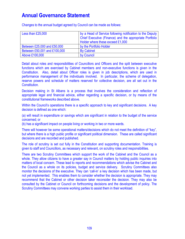| Less than £25,000            | by a Head of Service following notification to the Deputy |
|------------------------------|-----------------------------------------------------------|
|                              | Chief Executive (Finance) and the appropriate Portfolio   |
|                              | Holder where these exceed £1,000                          |
| Between £25,000 and £50,000  | by the Portfolio Holder                                   |
| Between £50,001 and £100,000 | <b>By Cabinet</b>                                         |
| Above £100,000               | by Council                                                |

Changes to the annual budget agreed by Council can be made as follows:

Detail about roles and responsibilities of Councillors and Officers and the split between executive functions which are exercised by Cabinet members and non-executive functions is given in the Constitution. Also, detail about Officer roles is given in job descriptions, which are used in performance management of the individuals involved. In particular, the scheme of delegation, reserve powers and schedule of matters reserved for collective decision, are all set out in the Constitution.

Decision making in St Albans is a process that involves the consideration and reflection of appropriate legal and financial advice, either regarding a specific decision, or by means of the constitutional frameworks described above.

Within the Council's operations there is a specific approach to key and significant decisions. A key decision is defined as one which:

(a) will result in expenditure or savings which are significant in relation to the budget of the service concerned; or

(b) has a significant impact on people living or working in two or more wards.

There will however be some operational matters/decisions which do not meet the definition of "key", but where there is a high public profile or significant political dimension. These are called significant decisions and are recorded and published.

The role of scrutiny is set out fully in the Constitution and supporting documentation. Training is given to staff and Councillors, as necessary and relevant, on scrutiny roles and responsibilities.

There are two Scrutiny Committees which support the work of the Cabinet and the Council as a whole. They allow citizens to have a greater say in Council matters by holding public inquiries into matters of local concern. These lead to reports and recommendations which advise the Cabinet and the Council as a whole on its policies, budget and service delivery. Scrutiny Committees also monitor the decisions of the executive. They can 'call-in' a key decision which has been made, but not yet implemented. This enables them to consider whether the decision is appropriate. They may recommend that the Cabinet or other decision taker reconsider the decision. They may also be consulted by the Cabinet or Council on forthcoming decisions and the development of policy. The Scrutiny Committees may convene working parties to assist them in their workload.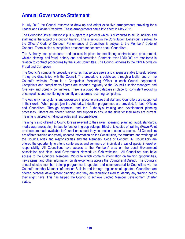In July 2010 the Council resolved to draw up and adopt executive arrangements providing for a Leader and Cabinet Executive. These arrangements came into effect in May 2011.

The Councillor/Officer relationship is subject to a protocol which is distributed to all Councillors and staff and is the subject of induction training. This is set out in the Constitution. Behaviour is subject to the Officers' Code of Conduct. Performance of Councillors is subject to the Members' Code of Conduct. There is also a complaints procedure for concerns about Councillors.

The Authority has procedures and policies in place for monitoring contracts and procurement, whistle blowing, anti-fraud, bribery and anti-corruption. Contracts over £250,000 are monitored in relation to contract procedures by the Audit Committee. The Council adheres to the CIPFA code on Fraud and Corruption.

The Council's complaints procedure ensures that service users and citizens are able to seek redress if they are dissatisfied with the Council. The procedure is publicised through a leaflet and on the Council's website. There is a Complaints' Monitoring Officer in each Council department. Complaints and compliments figures are reported regularly to the Council's senior managers and Overview and Scrutiny committees. There is a corporate database in place for consistent recording of complaints and monitoring to identify and address recurring complaints.

The Authority has systems and processes in place to ensure that staff and Councillors are supported in their work. When people join the Authority, induction programmes are provided, for both Officers and Councillors. Through appraisal and the Authority's training and development planning processes, Officers are offered training and support to ensure the skills for their roles are current. Training is tailored to individual roles and responsibilities.

Training is also offered to Councillors as relevant to their roles (licensing, planning, audit, standards, media awareness etc.), in face to face or in group settings. Electronic copies of training (PowerPoint or video) are made available to Councillors should they be unable to attend a course. All Councillors are offered training and yearly updated information on the Constitution, the structure and workings of the Council, roles and responsibilities and the Members' Code of Conduct. All Councillors are offered the opportunity to attend conferences and seminars on individual areas of special interest or responsibility. All Councillors have access to the Members' area on the Local Government Association and New Local Government Network (NLGN) websites. All Councillors also have access to the Council's Members' Microsite which contains information on training opportunities, news items, and other information on developments across the Council and District. The Council's annual elected member training programme is updated and communicated to Councillors via the Council's monthly Member Information Bulletin and through regular email updates. Councillors are offered personal development planning and they are regularly asked to identify any training needs they might have. This has helped the Council to achieve Elected Member Development Charter status.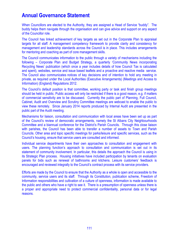When Councillors are elected to the Authority, they are assigned a Head of Service "buddy". The buddy helps them navigate through the organisation and can give advice and support on any aspect of the Councillor role.

The Council has linked achievement of key targets as set out in the Corporate Plan to appraisal targets for all staff. A management competency framework to provide clarity and consistency for management and leadership standards across the Council is in place. This includes arrangements for mentoring and coaching as part of core management skills.

The Council communicates information to the public through a variety of mechanisms including the following – Corporate Plan and Budget Strategy, a quarterly 'Community News incorporating Recycling News' publication (which once a year includes details of how Council Tax is calculated and spent), websites, service and issue based leaflets and a proactive and reactive media service. The Council also communicates notices of key decisions and of intention to hold any meeting in private, as required under the Local Authorities (Executive Arrangements) (Meetings and Access to Information) (England) Regulations 2012.

The Council's default position is that committee, working party or task and finish group meetings should be held in public. Public access will only be restricted if there is a good reason, e.g. if matters of commercial sensitivity are to be discussed. Currently the public part of Planning, Full Council, Cabinet, Audit and Overview and Scrutiny Committee meetings are webcast to enable the public to view these remotely. Since January 2014 reports produced by Internal Audit are presented in the public part of the Audit meeting.

Mechanisms for liaison, consultation and communication with local areas have been set up as part of the Council's review of democratic arrangements, namely the St Albans City Neighbourhoods Committee and a biannual conference for the District's Parish Councils. Through this close liaison with parishes, the Council has been able to transfer a number of assets to Town and Parish Councils. Other area and topic specific meetings for parks/leisure and specific services, such as the Council's housing, ensure that service users are consulted and informed.

Individual service departments have their own approaches to consultation and engagement with users. The planning function's approach to consultation and communication is set out in its statement of community involvement. In particular, this details the approach the Council is using in its Strategic Plan process. Housing initiatives have included participation by tenants on evaluation panels for bids such as renewal of bathrooms and kitchens. Leisure customers' feedback is encouraged and reviewed integrally to the Council's contract process with its service providers.

Efforts are made by the Council to ensure that the Authority as a whole is open and accessible to the community, service users and its staff. Through its Constitution, publication scheme, Freedom of Information responsibilities and cultivation of a culture of openness, information is made available to the public and others who have a right to see it. There is a presumption of openness unless there is a proper and appropriate need to protect commercial confidentiality, personal data or for legal reasons.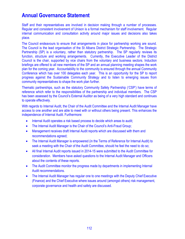Staff and their representatives are involved in decision making through a number of processes. Regular and consistent involvement of Unison is a formal mechanism for staff involvement. Regular internal communication and consultation activity around major issues and decisions also takes place.

The Council endeavours to ensure that arrangements in place for partnership working are sound. The Council is the lead organisation of the St Albans District Strategic Partnership. The Strategic Partnership (SP) is a voluntary, rather than statutory partnership. The SP regularly reviews its function, structure and working arrangements. Currently, the Executive Leader of the District Council is the chair, supported by vice chairs from the voluntary and business sectors. Induction briefings are offered to all new members of the SP and an annual planning meeting shapes the work plan for the coming year. Accountability to the community is ensured through the annual Community Conference which has over 100 delegates each year. This is an opportunity for the SP to report progress against the Sustainable Community Strategy and to listen to emerging issues from community representatives to shape the work plan further.

Thematic partnerships, such as the statutory Community Safety Partnership ('CSP') have terms of reference which refer to the responsibilities of the partnership and individual members. The CSP has been assessed by the Council's External Auditor as being of a very high standard and continues to operate effectively.

With regards to Internal Audit, the Chair of the Audit Committee and the Internal Audit Manager have access to one another and are able to meet with or without others being present. This enhances the independence of Internal Audit. Furthermore:

- Internal Audit operates a risk based process to decide which areas to audit;
- The Internal Audit Manager is the Chair of the Council's Anti-Fraud Group;
- Management receives draft Internal Audit reports which are discussed with them and recommendations agreed;
- The Internal Audit Manager is empowered (in the Terms of Reference for Internal Audit) to seek a meeting with the Chair of the Audit Committee, should he feel the need to do so;
- All final Internal Audit reports issued in 2014-15 were submitted to the Audit Committee for consideration. Members have asked questions to the Internal Audit Manager and Officers about the contents of these reports.
- The Audit Committee monitor the progress made by departments in implementing Internal Audit recommendations.
- The Internal Audit Manager has regular one to one meetings with the Deputy Chief Executive (Finance) and the Chief Executive where issues around (amongst others) risk management, corporate governance and health and safety are discussed.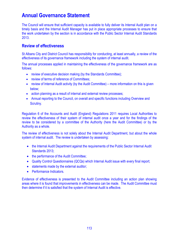The Council will ensure that sufficient capacity is available to fully deliver its Internal Audit plan on a timely basis and the Internal Audit Manager has put in place appropriate processes to ensure that the work undertaken by the section is in accordance with the Public Sector Internal Audit Standards 2013.

## **Review of effectiveness**

St Albans City and District Council has responsibility for conducting, at least annually, a review of the effectiveness of its governance framework including the system of internal audit.

The annual processes applied in maintaining the effectiveness of the governance framework are as follows:

- review of executive decision making (by the Standards Committee);
- review of terms of reference of Committees;
- review of Internal Audit activity (by the Audit Committee) more information on this is given below;
- action planning as a result of internal and external review processes;
- Annual reporting to the Council, on overall and specific functions including Overview and Scrutiny.

Regulation 6 of the Accounts and Audit (England) Regulations 2011 requires Local Authorities to review the effectiveness of their system of internal audit once a year and for the findings of the review to be considered by a committee of the Authority (here the Audit Committee) or by the Authority as a whole.

The review of effectiveness is not solely about the Internal Audit Department, but about the whole system of internal audit. The review is undertaken by assessing:

- the Internal Audit Department against the requirements of the Public Sector Internal Audit Standards 2013;
- the performance of the Audit Committee;
- Quality Control Questionnaires (QCQs) which Internal Audit issue with every final report;
- statements made by the external auditor;
- Performance Indicators

Evidence of effectiveness is presented to the Audit Committee including an action plan showing areas where it is found that improvements in effectiveness can be made. The Audit Committee must then determine if it is satisfied that the system of Internal Audit is effective.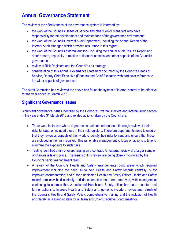The review of the effectiveness of the governance system is informed by:

- the work of the Council's Heads of Service and other Senior Managers who have responsibility for the development and maintenance of the governance environment;
- the work of the Council's Internal Audit Department, including the Annual Report of the Internal Audit Manager, which provides assurance in this regard;
- the work of the Council's external auditor including the annual Audit Result's Report and other reports, especially in relation to financial aspects, and other aspects of the Council's governance;
- review of Risk Registers and the Council's risk strategy;
- consideration of this Annual Governance Statement document by the Council's Heads of Service, Deputy Chief Executive (Finance) and Chief Executive with particular reference to the wider aspects of governance.

The Audit Committee has reviewed the above and found the system of internal control to be effective for the year ended 31 March 2015.

## **Significant Governance Issues**

Significant governance issues identified by the Council's External Auditors and Internal Audit section in the year ended 31 March 2015 and related actions taken by the Council are:

- There were instances where departments had not undertaken a thorough review of their risks to fraud, or included these in their risk registers. Therefore departments need to ensure that they review all aspects of their work to identify their risks to fraud and ensure that these are included in their risk register. This will enable management to focus on actions to take to minimise the exposure to such risks.
- Testing identified a risk of overcharging on a contract. An external review of a larger sample of charges is taking place. The results of this review are being closely monitored by the Council's senior management team.
- A review of the Council's Health and Safety arrangements found areas which required improvement including the need: a) to hold Health and Safety records centrally; b) for improved documentation; and c) for a dedicated Health and Safety Officer. Health and Safety records are now held centrally and documentation has been improved, with management continuing to address this. A dedicated Health and Safety officer has been recruited and further actions to improve Health and Safety arrangements include a review and refresh of the Council's Health and Safety Policy, comprehensive training and the inclusion of Health and Safety as a standing item for all team and Chief Executive Board meetings.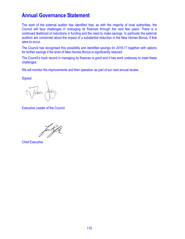The work of the external auditor has identified that, as with the majority of local authorities, the Council will face challenges in managing its finances through the next few years. There is a continued likelihood of reductions in funding and the need to make savings. In particular the external auditors are concerned about the impact of a substantial reduction in the New Homes Bonus, if that were to occur.

The Council has recognised this possibility and identified savings for 2016-17 together with options for further savings if the level of New Homes Bonus is significantly reduced.

The Council's track record in managing its finances is good and it has work underway to meet these challenges.

We will monitor the improvements and their operation as part of our next annual review.

Signed:

finián

Executive Leader of the Council

Chief Executive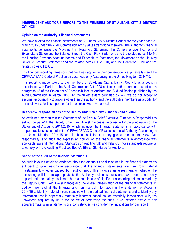## **INDEPENDENT AUDITOR'S REPORT TO THE MEMBERS OF ST ALBANS CITY & DISTRICT COUNCIL**

## **Opinion on the Authority's financial statements**

We have audited the financial statements of St Albans City & District Council for the year ended 31 March 2015 under the Audit Commission Act 1998 (as transitionally saved). The Authority's financial statements comprise the Movement in Reserves Statement, the Comprehensive Income and Expenditure Statement, the Balance Sheet, the Cash Flow Statement, and the related notes 1 to 44, the Housing Revenue Account Income and Expenditure Statement, the Movement on the Housing Revenue Account Statement and the related notes H1 to H10, and the Collection Fund and the related notes C1 to C3.

The financial reporting framework that has been applied in their preparation is applicable law and the CIPFA/LASAAC Code of Practice on Local Authority Accounting in the United Kingdom 2014/15.

This report is made solely to the members of St Albans City & District Council, as a body, in accordance with Part II of the Audit Commission Act 1998 and for no other purpose, as set out in paragraph 48 of the Statement of Responsibilities of Auditors and Audited Bodies published by the Audit Commission in March 2010. To the fullest extent permitted by law, we do not accept or assume responsibility to anyone other than the authority and the authority's members as a body, for our audit work, for this report, or for the opinions we have formed.

## **Respective responsibilities of the Deputy Chief Executive (Finance) and auditor**

As explained more fully in the Statement of the Deputy Chief Executive (Finance)'s Responsibilities set out on page14, the Deputy Chief Executive (Finance) is responsible for the preparation of the Statement of Accounts 2014/2015, which includes the financial statements, in accordance with proper practices as set out in the CIPFA/LASAAC Code of Practice on Local Authority Accounting in the United Kingdom 2014/15, and for being satisfied that they give a true and fair view. Our responsibility is to audit and express an opinion on the financial statements in accordance with applicable law and International Standards on Auditing (UK and Ireland). Those standards require us to comply with the Auditing Practices Board's Ethical Standards for Auditors.

## **Scope of the audit of the financial statements**

An audit involves obtaining evidence about the amounts and disclosures in the financial statements sufficient to give reasonable assurance that the financial statements are free from material misstatement, whether caused by fraud or error. This includes an assessment of: whether the accounting policies are appropriate to the Authority's circumstances and have been consistently applied and adequately disclosed; the reasonableness of significant accounting estimates made by the Deputy Chief Executive (Finance) and the overall presentation of the financial statements. In addition, we read all the financial and non-financial information in the Statement of Accounts 2014/15 to identify material inconsistencies with the audited financial statements and to identify any information that is apparently materially incorrect based on, or materially inconsistent with, the knowledge acquired by us in the course of performing the audit. If we become aware of any apparent material misstatements or inconsistencies we consider the implications for our report.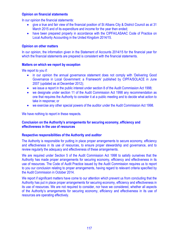## **Opinion on financial statements**

In our opinion the financial statements:

- give a true and fair view of the financial position of St Albans City & District Council as at 31 March 2015 and of its expenditure and income for the year then ended;
- have been prepared properly in accordance with the CIPFA/LASAAC Code of Practice on Local Authority Accounting in the United Kingdom 2014/15.

## **Opinion on other matters**

In our opinion, the information given in the Statement of Accounts 2014/15 for the financial year for which the financial statements are prepared is consistent with the financial statements.

## **Matters on which we report by exception**

We report to you if:

- in our opinion the annual governance statement does not comply with 'Delivering Good Governance in Local Government: a Framework' published by CIPFA/SOLACE in June 2007 (updated as at December 2012);
- we issue a report in the public interest under section 8 of the Audit Commission Act 1998;
- we designate under section 11 of the Audit Commission Act 1998 any recommendation as one that requires the Authority to consider it at a public meeting and to decide what action to take in response; or
- we exercise any other special powers of the auditor under the Audit Commission Act 1998.

We have nothing to report in these respects.

## **Conclusion on the Authority's arrangements for securing economy, efficiency and effectiveness in the use of resources**

## **Respective responsibilities of the Authority and auditor**

The Authority is responsible for putting in place proper arrangements to secure economy, efficiency and effectiveness in its use of resources, to ensure proper stewardship and governance, and to review regularly the adequacy and effectiveness of these arrangements.

We are required under Section 5 of the Audit Commission Act 1998 to satisfy ourselves that the Authority has made proper arrangements for securing economy, efficiency and effectiveness in its use of resources. The Code of Audit Practice issued by the Audit Commission requires us to report to you our conclusion relating to proper arrangements, having regard to relevant criteria specified by the Audit Commission in October 2014.

We report if significant matters have come to our attention which prevent us from concluding that the Authority has put in place proper arrangements for securing economy, efficiency and effectiveness in its use of resources. We are not required to consider, nor have we considered, whether all aspects of the Authority's arrangements for securing economy, efficiency and effectiveness in its use of resources are operating effectively.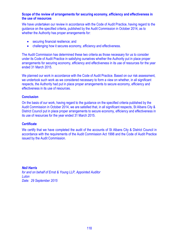## **Scope of the review of arrangements for securing economy, efficiency and effectiveness in the use of resources**

We have undertaken our review in accordance with the Code of Audit Practice, having regard to the guidance on the specified criteria, published by the Audit Commission in October 2014, as to whether the Authority has proper arrangements for:

- securing financial resilience; and
- challenging how it secures economy, efficiency and effectiveness.

The Audit Commission has determined these two criteria as those necessary for us to consider under its Code of Audit Practice in satisfying ourselves whether the Authority put in place proper arrangements for securing economy, efficiency and effectiveness in its use of resources for the year ended 31 March 2015.

We planned our work in accordance with the Code of Audit Practice. Based on our risk assessment, we undertook such work as we considered necessary to form a view on whether, in all significant respects, the Authority had put in place proper arrangements to secure economy, efficiency and effectiveness in its use of resources.

## **Conclusion**

On the basis of our work, having regard to the guidance on the specified criteria published by the Audit Commission in October 2014, we are satisfied that, in all significant respects, St Albans City & District Council put in place proper arrangements to secure economy, efficiency and effectiveness in its use of resources for the year ended 31 March 2015.

## **Certificate**

We certify that we have completed the audit of the accounts of St Albans City & District Council in accordance with the requirements of the Audit Commission Act 1998 and the Code of Audit Practice issued by the Audit Commission.

*Neil Harris for and on behalf of Ernst & Young LLP, Appointed Auditor Luton Date: 29 September 2015*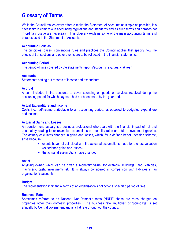While the Council makes every effort to make the Statement of Accounts as simple as possible, it is necessary to comply with accounting regulations and standards and as such terms and phrases not in ordinary usage are necessary. This glossary explains some of the main accounting terms and phrases used in the Statement of Accounts.

## **Accounting Policies**

The principles, bases, conventions rules and practices the Council applies that specify how the effects of transactions and other events are to be reflected in the financial statements.

### **Accounting Period**

The period of time covered by the statements/reports/accounts (*e.g. financial year*).

### **Accounts**

Statements setting out records of income and expenditure.

### **Accrual**

A sum included in the accounts to cover spending on goods or services received during the accounting period for which payment had not been made by the year end.

### **Actual Expenditure and Income**

Costs incurred/income attributable to an accounting period, as opposed to budgeted expenditure and income.

#### **Actuarial Gains and Losses**

An pension fund actuary is a business professional who deals with the financial impact of risk and uncertainty relating to,for example, assumptions on mortality rates and future investment growths. The actuary calculates changes in gains and losses, which, for a defined benefit pension scheme, arise because:

- events have not coincided with the actuarial assumptions made for the last valuation (experience gains and losses).
- the actuarial assumptions have changed.

#### **Asset**

Anything owned which can be given a monetary value, for example, buildings, land, vehicles, machinery, cash, investments etc. It is always considered in comparison with liabilities in an organisation's accounts.

## **Budget**

The representation in financial terms of an organisation's policy for a specified period of time.

## **Business Rates**

Sometimes referred to as National Non-Domestic rates (NNDR) these are rates charged on properties other than domestic properties. The business rate 'multiplier' or 'poundage' is set annually by Central government and is a flat rate throughout the country.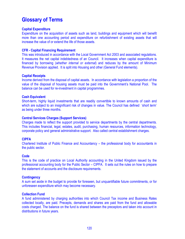## **Capital Expenditure**

Expenditure on the acquisition of assets such as land, buildings and equipment which will benefit more than one accounting period and expenditure on refurbishment of existing assets that will increase the value of or extend the life of those assets.

## **CFR - Capital Financing Requirement**

This was introduced in accordance with the Local Government Act 2003 and associated regulations. It measures the net capital indebtedness of an Council. It increases when capital expenditure is financed by borrowing (*whether internal or external*) and reduces by the amount of Minimum Revenue Provision applied. It is split into Housing and other (General Fund elements).

## **Capital Receipts**

Income derived from the disposal of capital assets. In accordance with legislation a proportion of the value of the disposal of housing assets must be paid into the Government's National Pool. The balance can be used for re-investment in capital programmes.

## **Cash Equivalent**

Short-term, highly liquid investments that are readily convertible to known amounts of cash and which are subject to an insignificant risk of changes in value. The Council has defined 'short term' as being under three months.

## **Central Services Charges (Support Services)**

Charges made to reflect the support provided to service departments by the central departments. This includes financial, legal, estates, audit, purchasing, human resources, information technology, corporate policy and general administrative support. Also called central establishment charges.

## **CIPFA**

Chartered Institute of Public Finance and Accountancy – the professional body for accountants in the public sector.

## **Code**

This is the code of practice on Local Authority accounting in the United Kingdom issued by the professional accounting body for the Public Sector – CIPFA. It sets out the rules on how to prepare the statement of accounts and the disclosure requirements.

## **Contingency**

A sum set aside in the budget to provide for foreseen, but unquantifiable future commitments, or for unforeseen expenditure which may become necessary.

## **Collection Fund**

A fund administered by charging authorities into which Council Tax income and Business Rates collected locally, are paid. Precepts, demands and shares are paid from the fund and allowable costs charged. The balance on the fund is shared between the preceptors and taken into account in distributions in future years.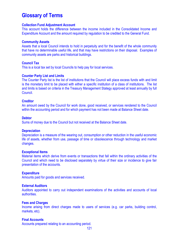## **Collection Fund Adjustment Account**

This account holds the difference between the income included in the Consolidated Income and Expenditure Account and the amount required by regulation to be credited to the General Fund.

### **Community Assets**

Assets that a local Council intends to hold in perpetuity and for the benefit of the whole community that have no determinable useful life, and that may have restrictions on their disposal. Examples of community assets are parks and historical buildings.

### **Council Tax**

This is a local tax set by local Councils to help pay for local services.

#### **Counter Party List and Limits**

The Counter Party list is the list of institutions that the Council will place excess funds with and limit is the monetary limit to be placed with either a specific institution of a class of institutions. The list and limits is based on criteria in the Treasury Management Stategy approved at least annually by full Council.

#### **Creditor**

An amount owed by the Council for work done, good received, or services rendered to the Council within the accounting period and for which payment has not been made at Balance Sheet date.

### **Debtor**

Sums of money due to the Council but not received at the Balance Sheet date.

#### **Depreciation**

Depreciation is a measure of the wearing out, consumption or other reduction in the useful economic life of assets, whether from use, passage of time or obsolescence through technology and market changes.

#### **Exceptional Items**

Material items which derive from events or transactions that fall within the ordinary activities of the Council and which need to be disclosed separately by virtue of their size or incidence to give fair presentation of the accounts.

#### **Expenditure**

Amounts paid for goods and services received.

#### **External Auditors**

Auditors appointed to carry out independent examinations of the activities and accounts of local authorities.

#### **Fees and Charges**

Income arising from direct charges made to users of services (e.g. car parks, building control, markets, etc).

#### **Final Accounts**

Accounts prepared relating to an accounting period.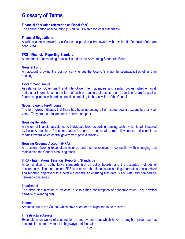### **Financial Year (also referred to as Fiscal Year)**

The annual period of accounting (1 April to 31 March for local authorities)

#### **Financial Regulations**

A written code approved by a Council to provide a framework within which its financial affairs are conducted.

## **FRS – Financial Reporting Standard**

A statement of accounting practice issued by the Accounting Standards Board.

#### **General Fund**

An account showing the cost of carrying out the Council's major functions/activities other than housing.

#### **Government Grants**

Assistance by Government and inter-Government agencies and similar bodies, whether local, national or international, in the form of cash or transfers of assets to an Council in return for past or future compliance with certain conditions relating to the activities of the Council.

#### **Gross (Expenditure/Income)**

The term gross indicates that there has been no setting off of income against expenditure or viceversa. They are the total amounts received or spent.

#### **Housing Benefits**

A system of financial assistance to individuals towards certain housing costs, which is administered by Local Authorities. Assistance takes the form of rent rebates, rent allowances, and council tax rebates toward which central government pays a subsidy.

#### **Housing Revenue Account (HRA)**

An account showing expenditure incurred and income received in connection with managing and maintaining the Council's housing stock.

#### **IFRS – International Financial Reporting Standards**

A combination of authoritative standards (set by policy boards) and the accepted methods of accountancy. The idea behind IFRS is to ensure that financial accounting information is assembled and reported objectively to a certain standard, so ensuring that data is accurate, and comparable between companies.

#### **Impairment**

The diminution in value of an asset due to either 'consumption of economic value' (e.g. physical damage or wearing out).

#### **Income**

Amounts due to the Council which have been, or are expected to be received.

#### **Infrastructure Assets**

Expenditure on works of construction or improvement but which have no tangible value, such as construction or improvement to highways and footpaths.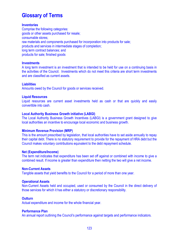## **Inventories**

Comprise the following categories: goods or other assets purchased for resale; consumable stores; raw materials and components purchased for incorporation into products for sale; products and services in intermediate stages of completion; long term contract balances; and products for sale; finished goods

### **Investments**

A long term investment is an investment that is intended to be held for use on a continuing basis in the activities of the Council. Investments which do not meet this criteria are short term investments and are classified as current assets.

### **Liabilities**

Amounts owed by the Council for goods or services received.

### **Liquid Resources**

Liquid resources are current asset investments held as cash or that are quickly and easily convertible into cash.

### **Local Authority Business Growth initiative (LABGI)**

The Local Authority Business Growth Incentives (LABGI) is a government grant designed to give local authorities an incentive to encourage local economic and business growth.

#### **Minimum Revenue Provision (MRP)**

This is the amount prescribed by legislation, that local authorities have to set aside annually to repay their capital debt. There is no statutory requirement to provide for the repayment of HRA debt but the Council makes voluntary contributions equivalent to the debt repayment schedule.

#### **Net (Expenditure/Income)**

The term net indicates that expenditure has been set off against or combined with income to give a combined result. If income is greater than expenditure then netting the two will give a net income.

#### **Non-Current Assets**

Tangible assets that yield benefits to the Council for a period of more than one year.

## **Operational Assets**

Non-Current Assets held and occupied, used or consumed by the Council in the direct delivery of those services for which it has either a statutory or discretionary responsibility.

#### **Outturn**

Actual expenditure and income for the whole financial year.

#### **Performance Plan**

An annual report outlining the Council's performance against targets and performance indicators.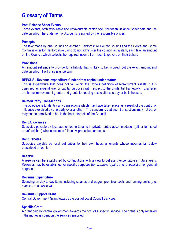### **Post Balance Sheet Events**

Those events, both favourable and unfavourable, which occur between Balance Sheet date and the date on which the Statement of Accounts is signed by the responsible officer.

## **Precepts**

The levy made by one Council on another. Hertfordshire County Council and the Police and Crime Commissioner for Hertfordshire , who do not administer the council tax system, each levy an amount on the Council, which collects the required income from local taxpayers on their behalf.

## **Provisions**

An amount set aside to provide for a liability that is likely to be incurred, but the exact amount and date on which it will arise is uncertain.

#### **REFCUS - Revenue expenditure funded from capital under statute.**

This is expenditure that does not fall within the Code's definition of Non-Current Assets, but is classified as expenditure for capital purposes with respect to the prudential framework. Examples are home improvement grants, and grants to housing associations to buy or build houses.

#### **Related Party Transactions**

The objective is to identify any transactions which may have taken place as a result of the control or influence exercised by one party over another. The concern is that such transactions may not be, or may not be perceived to be, in the best interests of the Council.

#### **Rent Allowances**

Subsidies payable by local authorities to tenants in private rented accommodation (either furnished or unfurnished) whose incomes fall below prescribed amounts.

#### **Rent Rebates**

Subsidies payable by local authorities to their own housing tenants whose incomes fall below prescribed amounts.

## **Reserve**

A reserve can be established by contributions with a view to defraying expenditure in future years. Reserves may be established for specific purposes (*for example repairs and renewals*) or for general purposes.

#### **Revenue Expenditure**

Spending on day-to-day items including salaries and wages, premises costs and running costs (*e.g. supplies and services*).

## **Revenue Support Grant**

Central Government Grant towards the cost of Local Council Services.

### **Specific Grant**

A grant paid by central government towards the cost of a specific service. The grant is only received if the money is spent on the services specified.